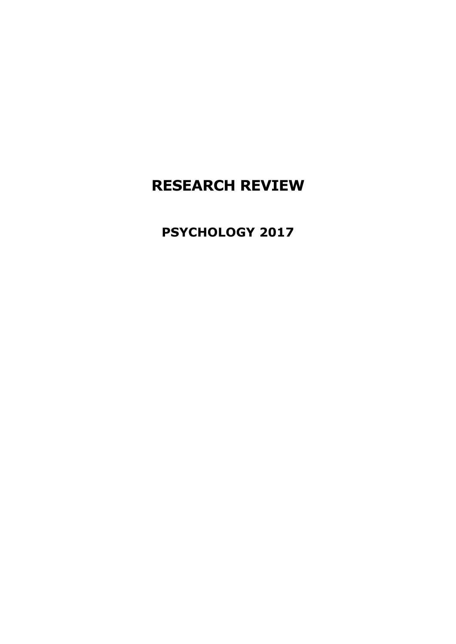# RESEARCH REVIEW

PSYCHOLOGY 2017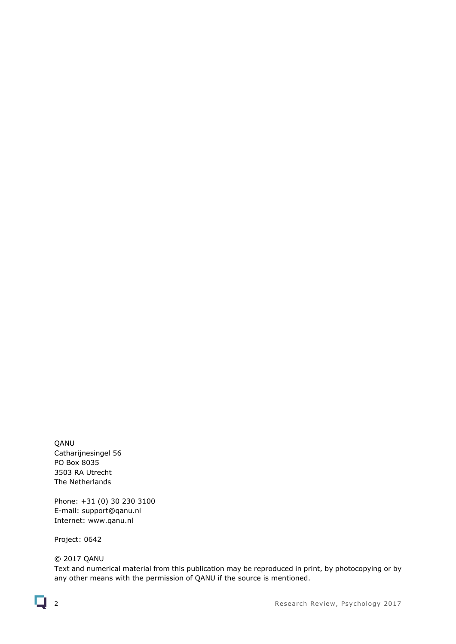QANU Catharijnesingel 56 PO Box 8035 3503 RA Utrecht The Netherlands

Phone: +31 (0) 30 230 3100 E-mail: support@qanu.nl Internet: www.qanu.nl

Project: 0642

# © 2017 QANU

Text and numerical material from this publication may be reproduced in print, by photocopying or by any other means with the permission of QANU if the source is mentioned.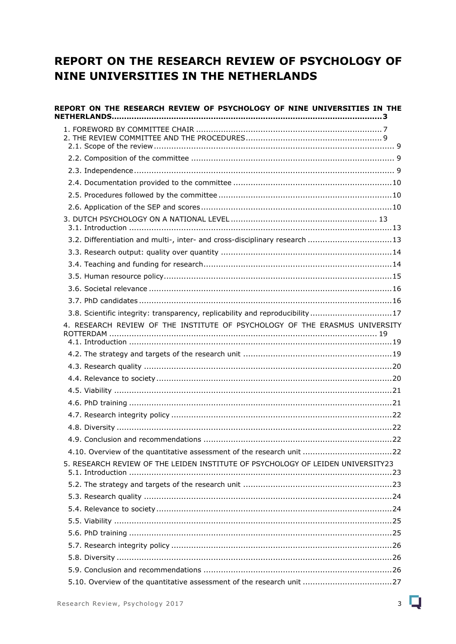# REPORT ON THE RESEARCH REVIEW OF PSYCHOLOGY OF NINE UNIVERSITIES IN THE NETHERLANDS

| REPORT ON THE RESEARCH REVIEW OF PSYCHOLOGY OF NINE UNIVERSITIES IN THE         |
|---------------------------------------------------------------------------------|
|                                                                                 |
|                                                                                 |
|                                                                                 |
|                                                                                 |
|                                                                                 |
|                                                                                 |
|                                                                                 |
| 3.2. Differentiation and multi-, inter- and cross-disciplinary research 13      |
|                                                                                 |
|                                                                                 |
|                                                                                 |
|                                                                                 |
|                                                                                 |
| 3.8. Scientific integrity: transparency, replicability and reproducibility 17   |
| 4. RESEARCH REVIEW OF THE INSTITUTE OF PSYCHOLOGY OF THE ERASMUS UNIVERSITY     |
|                                                                                 |
|                                                                                 |
|                                                                                 |
|                                                                                 |
|                                                                                 |
|                                                                                 |
|                                                                                 |
|                                                                                 |
| 4.10. Overview of the quantitative assessment of the research unit 22           |
| 5. RESEARCH REVIEW OF THE LEIDEN INSTITUTE OF PSYCHOLOGY OF LEIDEN UNIVERSITY23 |
|                                                                                 |
|                                                                                 |
|                                                                                 |
|                                                                                 |
|                                                                                 |
|                                                                                 |
|                                                                                 |
|                                                                                 |
| 5.10. Overview of the quantitative assessment of the research unit 27           |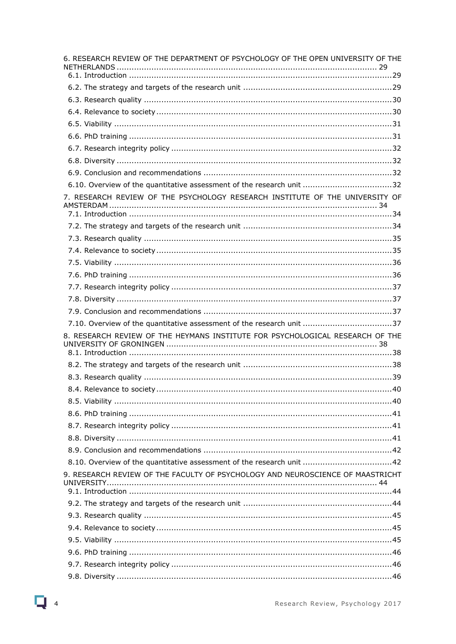| 6. RESEARCH REVIEW OF THE DEPARTMENT OF PSYCHOLOGY OF THE OPEN UNIVERSITY OF THE |  |
|----------------------------------------------------------------------------------|--|
|                                                                                  |  |
|                                                                                  |  |
|                                                                                  |  |
|                                                                                  |  |
|                                                                                  |  |
|                                                                                  |  |
|                                                                                  |  |
|                                                                                  |  |
|                                                                                  |  |
| 6.10. Overview of the quantitative assessment of the research unit 32            |  |
| 7. RESEARCH REVIEW OF THE PSYCHOLOGY RESEARCH INSTITUTE OF THE UNIVERSITY OF     |  |
|                                                                                  |  |
|                                                                                  |  |
|                                                                                  |  |
|                                                                                  |  |
|                                                                                  |  |
|                                                                                  |  |
|                                                                                  |  |
|                                                                                  |  |
|                                                                                  |  |
| 7.10. Overview of the quantitative assessment of the research unit 37            |  |
| 8. RESEARCH REVIEW OF THE HEYMANS INSTITUTE FOR PSYCHOLOGICAL RESEARCH OF THE    |  |
|                                                                                  |  |
|                                                                                  |  |
|                                                                                  |  |
|                                                                                  |  |
|                                                                                  |  |
|                                                                                  |  |
|                                                                                  |  |
|                                                                                  |  |
|                                                                                  |  |
|                                                                                  |  |
| 9. RESEARCH REVIEW OF THE FACULTY OF PSYCHOLOGY AND NEUROSCIENCE OF MAASTRICHT   |  |
|                                                                                  |  |
|                                                                                  |  |
|                                                                                  |  |
|                                                                                  |  |
|                                                                                  |  |
|                                                                                  |  |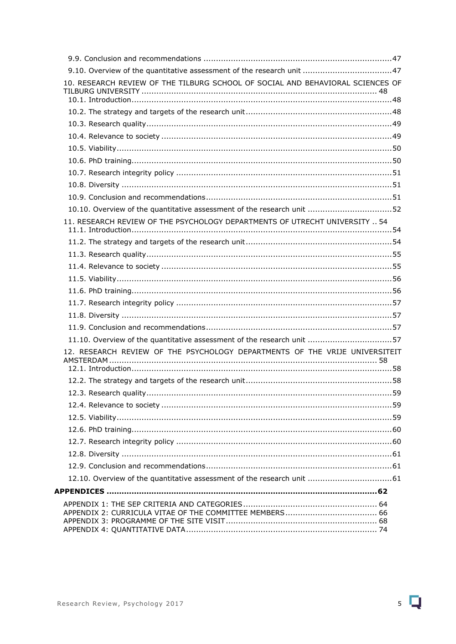| 9.10. Overview of the quantitative assessment of the research unit 47          |  |
|--------------------------------------------------------------------------------|--|
| 10. RESEARCH REVIEW OF THE TILBURG SCHOOL OF SOCIAL AND BEHAVIORAL SCIENCES OF |  |
|                                                                                |  |
|                                                                                |  |
|                                                                                |  |
|                                                                                |  |
|                                                                                |  |
|                                                                                |  |
|                                                                                |  |
|                                                                                |  |
| 10.10. Overview of the quantitative assessment of the research unit 52         |  |
| 11. RESEARCH REVIEW OF THE PSYCHOLOGY DEPARTMENTS OF UTRECHT UNIVERSITY  54    |  |
|                                                                                |  |
|                                                                                |  |
|                                                                                |  |
|                                                                                |  |
|                                                                                |  |
|                                                                                |  |
|                                                                                |  |
|                                                                                |  |
| 11.10. Overview of the quantitative assessment of the research unit 57         |  |
| 12. RESEARCH REVIEW OF THE PSYCHOLOGY DEPARTMENTS OF THE VRIJE UNIVERSITEIT    |  |
|                                                                                |  |
|                                                                                |  |
|                                                                                |  |
|                                                                                |  |
|                                                                                |  |
|                                                                                |  |
|                                                                                |  |
|                                                                                |  |
|                                                                                |  |
|                                                                                |  |
|                                                                                |  |
|                                                                                |  |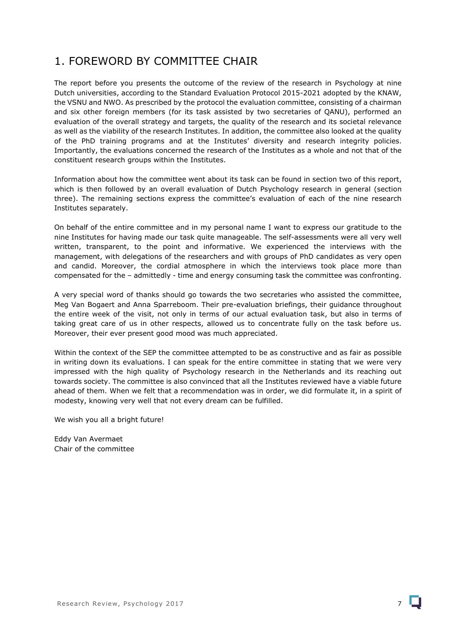# 1. FOREWORD BY COMMITTEE CHAIR

The report before you presents the outcome of the review of the research in Psychology at nine Dutch universities, according to the Standard Evaluation Protocol 2015-2021 adopted by the KNAW, the VSNU and NWO. As prescribed by the protocol the evaluation committee, consisting of a chairman and six other foreign members (for its task assisted by two secretaries of QANU), performed an evaluation of the overall strategy and targets, the quality of the research and its societal relevance as well as the viability of the research Institutes. In addition, the committee also looked at the quality of the PhD training programs and at the Institutes' diversity and research integrity policies. Importantly, the evaluations concerned the research of the Institutes as a whole and not that of the constituent research groups within the Institutes.

Information about how the committee went about its task can be found in section two of this report, which is then followed by an overall evaluation of Dutch Psychology research in general (section three). The remaining sections express the committee's evaluation of each of the nine research Institutes separately.

On behalf of the entire committee and in my personal name I want to express our gratitude to the nine Institutes for having made our task quite manageable. The self-assessments were all very well written, transparent, to the point and informative. We experienced the interviews with the management, with delegations of the researchers and with groups of PhD candidates as very open and candid. Moreover, the cordial atmosphere in which the interviews took place more than compensated for the – admittedly - time and energy consuming task the committee was confronting.

A very special word of thanks should go towards the two secretaries who assisted the committee, Meg Van Bogaert and Anna Sparreboom. Their pre-evaluation briefings, their guidance throughout the entire week of the visit, not only in terms of our actual evaluation task, but also in terms of taking great care of us in other respects, allowed us to concentrate fully on the task before us. Moreover, their ever present good mood was much appreciated.

Within the context of the SEP the committee attempted to be as constructive and as fair as possible in writing down its evaluations. I can speak for the entire committee in stating that we were very impressed with the high quality of Psychology research in the Netherlands and its reaching out towards society. The committee is also convinced that all the Institutes reviewed have a viable future ahead of them. When we felt that a recommendation was in order, we did formulate it, in a spirit of modesty, knowing very well that not every dream can be fulfilled.

We wish you all a bright future!

Eddy Van Avermaet Chair of the committee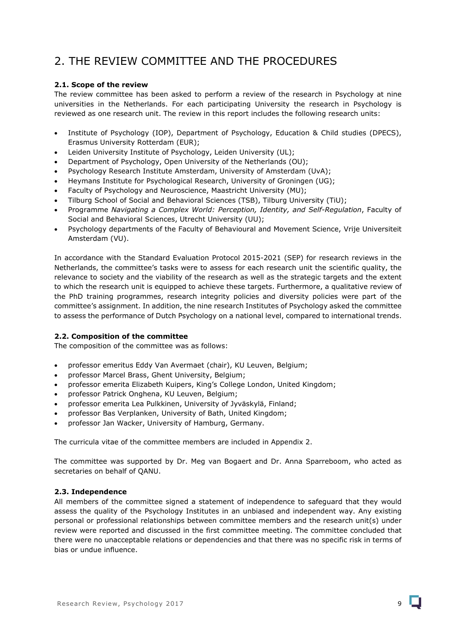# 2. THE REVIEW COMMITTEE AND THE PROCEDURES

# 2.1. Scope of the review

The review committee has been asked to perform a review of the research in Psychology at nine universities in the Netherlands. For each participating University the research in Psychology is reviewed as one research unit. The review in this report includes the following research units:

- Institute of Psychology (IOP), Department of Psychology, Education & Child studies (DPECS), Erasmus University Rotterdam (EUR);
- Leiden University Institute of Psychology, Leiden University (UL);
- Department of Psychology, Open University of the Netherlands (OU);
- Psychology Research Institute Amsterdam, University of Amsterdam (UvA);
- Heymans Institute for Psychological Research, University of Groningen (UG);
- Faculty of Psychology and Neuroscience, Maastricht University (MU);
- Tilburg School of Social and Behavioral Sciences (TSB), Tilburg University (TiU);
- Programme *Navigating a Complex World: Perception, Identity, and Self-Regulation*, Faculty of Social and Behavioral Sciences, Utrecht University (UU);
- Psychology departments of the Faculty of Behavioural and Movement Science, Vrije Universiteit Amsterdam (VU).

In accordance with the Standard Evaluation Protocol 2015-2021 (SEP) for research reviews in the Netherlands, the committee's tasks were to assess for each research unit the scientific quality, the relevance to society and the viability of the research as well as the strategic targets and the extent to which the research unit is equipped to achieve these targets. Furthermore, a qualitative review of the PhD training programmes, research integrity policies and diversity policies were part of the committee's assignment. In addition, the nine research Institutes of Psychology asked the committee to assess the performance of Dutch Psychology on a national level, compared to international trends.

#### 2.2. Composition of the committee

The composition of the committee was as follows:

- professor emeritus Eddy Van Avermaet (chair), KU Leuven, Belgium;
- professor Marcel Brass, Ghent University, Belgium;
- professor emerita Elizabeth Kuipers, King's College London, United Kingdom;
- professor Patrick Onghena, KU Leuven, Belgium;
- professor emerita Lea Pulkkinen, University of Jyväskylä, Finland;
- professor Bas Verplanken, University of Bath, United Kingdom;
- professor Jan Wacker, University of Hamburg, Germany.

The curricula vitae of the committee members are included in Appendix 2.

The committee was supported by Dr. Meg van Bogaert and Dr. Anna Sparreboom, who acted as secretaries on behalf of QANU.

#### 2.3. Independence

All members of the committee signed a statement of independence to safeguard that they would assess the quality of the Psychology Institutes in an unbiased and independent way. Any existing personal or professional relationships between committee members and the research unit(s) under review were reported and discussed in the first committee meeting. The committee concluded that there were no unacceptable relations or dependencies and that there was no specific risk in terms of bias or undue influence.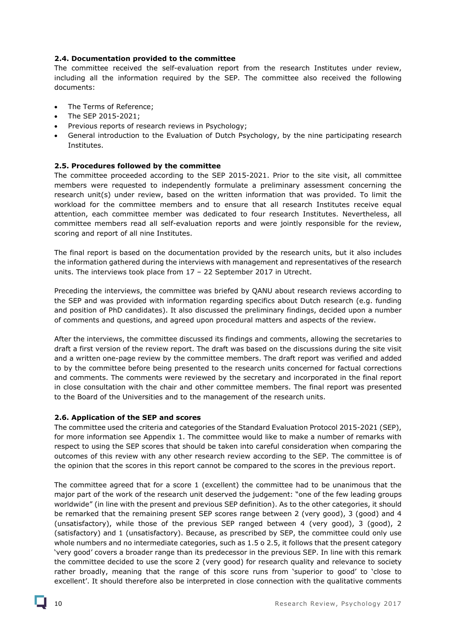# 2.4. Documentation provided to the committee

The committee received the self-evaluation report from the research Institutes under review, including all the information required by the SEP. The committee also received the following documents:

- The Terms of Reference;
- The SEP 2015-2021;
- Previous reports of research reviews in Psychology;
- General introduction to the Evaluation of Dutch Psychology, by the nine participating research Institutes.

# 2.5. Procedures followed by the committee

The committee proceeded according to the SEP 2015-2021. Prior to the site visit, all committee members were requested to independently formulate a preliminary assessment concerning the research unit(s) under review, based on the written information that was provided. To limit the workload for the committee members and to ensure that all research Institutes receive equal attention, each committee member was dedicated to four research Institutes. Nevertheless, all committee members read all self-evaluation reports and were jointly responsible for the review, scoring and report of all nine Institutes.

The final report is based on the documentation provided by the research units, but it also includes the information gathered during the interviews with management and representatives of the research units. The interviews took place from 17 – 22 September 2017 in Utrecht.

Preceding the interviews, the committee was briefed by QANU about research reviews according to the SEP and was provided with information regarding specifics about Dutch research (e.g. funding and position of PhD candidates). It also discussed the preliminary findings, decided upon a number of comments and questions, and agreed upon procedural matters and aspects of the review.

After the interviews, the committee discussed its findings and comments, allowing the secretaries to draft a first version of the review report. The draft was based on the discussions during the site visit and a written one-page review by the committee members. The draft report was verified and added to by the committee before being presented to the research units concerned for factual corrections and comments. The comments were reviewed by the secretary and incorporated in the final report in close consultation with the chair and other committee members. The final report was presented to the Board of the Universities and to the management of the research units.

#### 2.6. Application of the SEP and scores

The committee used the criteria and categories of the Standard Evaluation Protocol 2015-2021 (SEP), for more information see Appendix 1. The committee would like to make a number of remarks with respect to using the SEP scores that should be taken into careful consideration when comparing the outcomes of this review with any other research review according to the SEP. The committee is of the opinion that the scores in this report cannot be compared to the scores in the previous report.

The committee agreed that for a score 1 (excellent) the committee had to be unanimous that the major part of the work of the research unit deserved the judgement: "one of the few leading groups worldwide" (in line with the present and previous SEP definition). As to the other categories, it should be remarked that the remaining present SEP scores range between 2 (very good), 3 (good) and 4 (unsatisfactory), while those of the previous SEP ranged between 4 (very good), 3 (good), 2 (satisfactory) and 1 (unsatisfactory). Because, as prescribed by SEP, the committee could only use whole numbers and no intermediate categories, such as 1.5 o 2.5, it follows that the present category 'very good' covers a broader range than its predecessor in the previous SEP. In line with this remark the committee decided to use the score 2 (very good) for research quality and relevance to society rather broadly, meaning that the range of this score runs from 'superior to good' to 'close to excellent'. It should therefore also be interpreted in close connection with the qualitative comments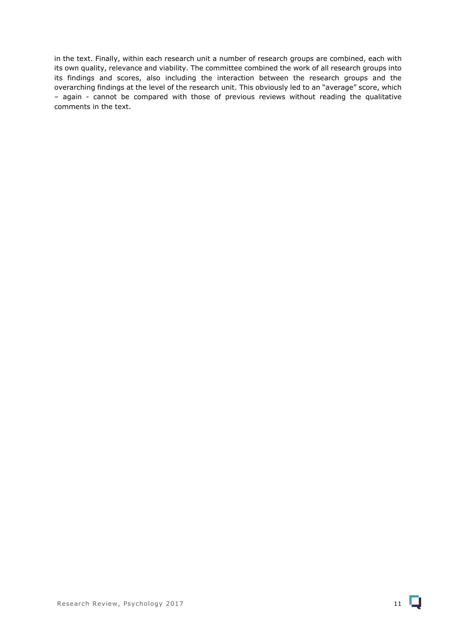in the text. Finally, within each research unit a number of research groups are combined, each with its own quality, relevance and viability. The committee combined the work of all research groups into its findings and scores, also including the interaction between the research groups and the overarching findings at the level of the research unit. This obviously led to an "average" score, which – again - cannot be compared with those of previous reviews without reading the qualitative comments in the text.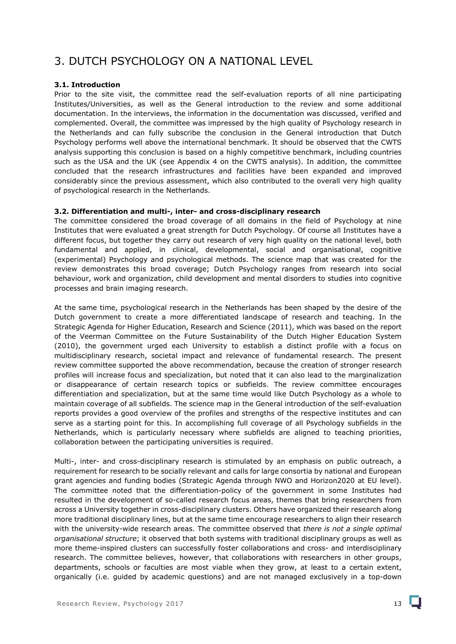# 3. DUTCH PSYCHOLOGY ON A NATIONAL LEVEL

# 3.1. Introduction

Prior to the site visit, the committee read the self-evaluation reports of all nine participating Institutes/Universities, as well as the General introduction to the review and some additional documentation. In the interviews, the information in the documentation was discussed, verified and complemented. Overall, the committee was impressed by the high quality of Psychology research in the Netherlands and can fully subscribe the conclusion in the General introduction that Dutch Psychology performs well above the international benchmark. It should be observed that the CWTS analysis supporting this conclusion is based on a highly competitive benchmark, including countries such as the USA and the UK (see Appendix 4 on the CWTS analysis). In addition, the committee concluded that the research infrastructures and facilities have been expanded and improved considerably since the previous assessment, which also contributed to the overall very high quality of psychological research in the Netherlands.

#### 3.2. Differentiation and multi-, inter- and cross-disciplinary research

The committee considered the broad coverage of all domains in the field of Psychology at nine Institutes that were evaluated a great strength for Dutch Psychology. Of course all Institutes have a different focus, but together they carry out research of very high quality on the national level, both fundamental and applied, in clinical, developmental, social and organisational, cognitive (experimental) Psychology and psychological methods. The science map that was created for the review demonstrates this broad coverage; Dutch Psychology ranges from research into social behaviour, work and organization, child development and mental disorders to studies into cognitive processes and brain imaging research.

At the same time, psychological research in the Netherlands has been shaped by the desire of the Dutch government to create a more differentiated landscape of research and teaching. In the Strategic Agenda for Higher Education, Research and Science (2011), which was based on the report of the Veerman Committee on the Future Sustainability of the Dutch Higher Education System (2010), the government urged each University to establish a distinct profile with a focus on multidisciplinary research, societal impact and relevance of fundamental research. The present review committee supported the above recommendation, because the creation of stronger research profiles will increase focus and specialization, but noted that it can also lead to the marginalization or disappearance of certain research topics or subfields. The review committee encourages differentiation and specialization, but at the same time would like Dutch Psychology as a whole to maintain coverage of all subfields. The science map in the General introduction of the self-evaluation reports provides a good overview of the profiles and strengths of the respective institutes and can serve as a starting point for this. In accomplishing full coverage of all Psychology subfields in the Netherlands, which is particularly necessary where subfields are aligned to teaching priorities, collaboration between the participating universities is required.

Multi-, inter- and cross-disciplinary research is stimulated by an emphasis on public outreach, a requirement for research to be socially relevant and calls for large consortia by national and European grant agencies and funding bodies (Strategic Agenda through NWO and Horizon2020 at EU level). The committee noted that the differentiation-policy of the government in some Institutes had resulted in the development of so-called research focus areas, themes that bring researchers from across a University together in cross-disciplinary clusters. Others have organized their research along more traditional disciplinary lines, but at the same time encourage researchers to align their research with the university-wide research areas. The committee observed that *there is not a single optimal organisational structure*; it observed that both systems with traditional disciplinary groups as well as more theme-inspired clusters can successfully foster collaborations and cross- and interdisciplinary research. The committee believes, however, that collaborations with researchers in other groups, departments, schools or faculties are most viable when they grow, at least to a certain extent, organically (i.e. guided by academic questions) and are not managed exclusively in a top-down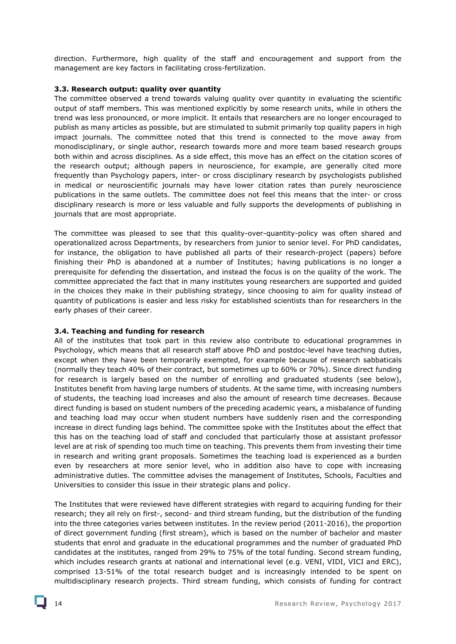direction. Furthermore, high quality of the staff and encouragement and support from the management are key factors in facilitating cross-fertilization.

# 3.3. Research output: quality over quantity

The committee observed a trend towards valuing quality over quantity in evaluating the scientific output of staff members. This was mentioned explicitly by some research units, while in others the trend was less pronounced, or more implicit. It entails that researchers are no longer encouraged to publish as many articles as possible, but are stimulated to submit primarily top quality papers in high impact journals. The committee noted that this trend is connected to the move away from monodisciplinary, or single author, research towards more and more team based research groups both within and across disciplines. As a side effect, this move has an effect on the citation scores of the research output; although papers in neuroscience, for example, are generally cited more frequently than Psychology papers, inter- or cross disciplinary research by psychologists published in medical or neuroscientific journals may have lower citation rates than purely neuroscience publications in the same outlets. The committee does not feel this means that the inter- or cross disciplinary research is more or less valuable and fully supports the developments of publishing in journals that are most appropriate.

The committee was pleased to see that this quality-over-quantity-policy was often shared and operationalized across Departments, by researchers from junior to senior level. For PhD candidates, for instance, the obligation to have published all parts of their research-project (papers) before finishing their PhD is abandoned at a number of Institutes; having publications is no longer a prerequisite for defending the dissertation, and instead the focus is on the quality of the work. The committee appreciated the fact that in many institutes young researchers are supported and guided in the choices they make in their publishing strategy, since choosing to aim for quality instead of quantity of publications is easier and less risky for established scientists than for researchers in the early phases of their career.

# 3.4. Teaching and funding for research

All of the institutes that took part in this review also contribute to educational programmes in Psychology, which means that all research staff above PhD and postdoc-level have teaching duties, except when they have been temporarily exempted, for example because of research sabbaticals (normally they teach 40% of their contract, but sometimes up to 60% or 70%). Since direct funding for research is largely based on the number of enrolling and graduated students (see below), Institutes benefit from having large numbers of students. At the same time, with increasing numbers of students, the teaching load increases and also the amount of research time decreases. Because direct funding is based on student numbers of the preceding academic years, a misbalance of funding and teaching load may occur when student numbers have suddenly risen and the corresponding increase in direct funding lags behind. The committee spoke with the Institutes about the effect that this has on the teaching load of staff and concluded that particularly those at assistant professor level are at risk of spending too much time on teaching. This prevents them from investing their time in research and writing grant proposals. Sometimes the teaching load is experienced as a burden even by researchers at more senior level, who in addition also have to cope with increasing administrative duties. The committee advises the management of Institutes, Schools, Faculties and Universities to consider this issue in their strategic plans and policy.

The Institutes that were reviewed have different strategies with regard to acquiring funding for their research; they all rely on first-, second- and third stream funding, but the distribution of the funding into the three categories varies between institutes. In the review period (2011-2016), the proportion of direct government funding (first stream), which is based on the number of bachelor and master students that enrol and graduate in the educational programmes and the number of graduated PhD candidates at the institutes, ranged from 29% to 75% of the total funding. Second stream funding, which includes research grants at national and international level (e.g. VENI, VIDI, VICI and ERC), comprised 13-51% of the total research budget and is increasingly intended to be spent on multidisciplinary research projects. Third stream funding, which consists of funding for contract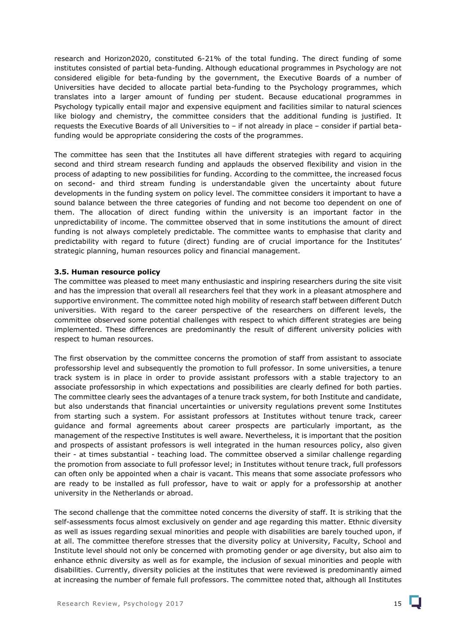research and Horizon2020, constituted 6-21% of the total funding. The direct funding of some institutes consisted of partial beta-funding. Although educational programmes in Psychology are not considered eligible for beta-funding by the government, the Executive Boards of a number of Universities have decided to allocate partial beta-funding to the Psychology programmes, which translates into a larger amount of funding per student. Because educational programmes in Psychology typically entail major and expensive equipment and facilities similar to natural sciences like biology and chemistry, the committee considers that the additional funding is justified. It requests the Executive Boards of all Universities to – if not already in place – consider if partial betafunding would be appropriate considering the costs of the programmes.

The committee has seen that the Institutes all have different strategies with regard to acquiring second and third stream research funding and applauds the observed flexibility and vision in the process of adapting to new possibilities for funding. According to the committee, the increased focus on second- and third stream funding is understandable given the uncertainty about future developments in the funding system on policy level. The committee considers it important to have a sound balance between the three categories of funding and not become too dependent on one of them. The allocation of direct funding within the university is an important factor in the unpredictability of income. The committee observed that in some institutions the amount of direct funding is not always completely predictable. The committee wants to emphasise that clarity and predictability with regard to future (direct) funding are of crucial importance for the Institutes' strategic planning, human resources policy and financial management.

#### 3.5. Human resource policy

The committee was pleased to meet many enthusiastic and inspiring researchers during the site visit and has the impression that overall all researchers feel that they work in a pleasant atmosphere and supportive environment. The committee noted high mobility of research staff between different Dutch universities. With regard to the career perspective of the researchers on different levels, the committee observed some potential challenges with respect to which different strategies are being implemented. These differences are predominantly the result of different university policies with respect to human resources.

The first observation by the committee concerns the promotion of staff from assistant to associate professorship level and subsequently the promotion to full professor. In some universities, a tenure track system is in place in order to provide assistant professors with a stable trajectory to an associate professorship in which expectations and possibilities are clearly defined for both parties. The committee clearly sees the advantages of a tenure track system, for both Institute and candidate, but also understands that financial uncertainties or university regulations prevent some Institutes from starting such a system. For assistant professors at Institutes without tenure track, career guidance and formal agreements about career prospects are particularly important, as the management of the respective Institutes is well aware. Nevertheless, it is important that the position and prospects of assistant professors is well integrated in the human resources policy, also given their - at times substantial - teaching load. The committee observed a similar challenge regarding the promotion from associate to full professor level; in Institutes without tenure track, full professors can often only be appointed when a chair is vacant. This means that some associate professors who are ready to be installed as full professor, have to wait or apply for a professorship at another university in the Netherlands or abroad.

The second challenge that the committee noted concerns the diversity of staff. It is striking that the self-assessments focus almost exclusively on gender and age regarding this matter. Ethnic diversity as well as issues regarding sexual minorities and people with disabilities are barely touched upon, if at all. The committee therefore stresses that the diversity policy at University, Faculty, School and Institute level should not only be concerned with promoting gender or age diversity, but also aim to enhance ethnic diversity as well as for example, the inclusion of sexual minorities and people with disabilities. Currently, diversity policies at the institutes that were reviewed is predominantly aimed at increasing the number of female full professors. The committee noted that, although all Institutes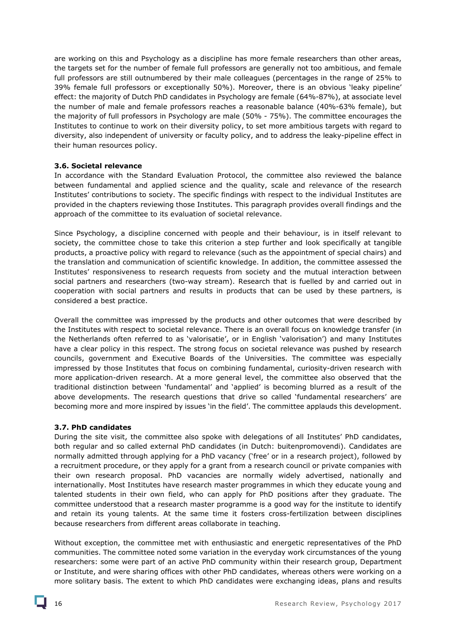are working on this and Psychology as a discipline has more female researchers than other areas, the targets set for the number of female full professors are generally not too ambitious, and female full professors are still outnumbered by their male colleagues (percentages in the range of 25% to 39% female full professors or exceptionally 50%). Moreover, there is an obvious 'leaky pipeline' effect: the majority of Dutch PhD candidates in Psychology are female (64%-87%), at associate level the number of male and female professors reaches a reasonable balance (40%-63% female), but the majority of full professors in Psychology are male (50% - 75%). The committee encourages the Institutes to continue to work on their diversity policy, to set more ambitious targets with regard to diversity, also independent of university or faculty policy, and to address the leaky-pipeline effect in their human resources policy.

#### 3.6. Societal relevance

In accordance with the Standard Evaluation Protocol, the committee also reviewed the balance between fundamental and applied science and the quality, scale and relevance of the research Institutes' contributions to society. The specific findings with respect to the individual Institutes are provided in the chapters reviewing those Institutes. This paragraph provides overall findings and the approach of the committee to its evaluation of societal relevance.

Since Psychology, a discipline concerned with people and their behaviour, is in itself relevant to society, the committee chose to take this criterion a step further and look specifically at tangible products, a proactive policy with regard to relevance (such as the appointment of special chairs) and the translation and communication of scientific knowledge. In addition, the committee assessed the Institutes' responsiveness to research requests from society and the mutual interaction between social partners and researchers (two-way stream). Research that is fuelled by and carried out in cooperation with social partners and results in products that can be used by these partners, is considered a best practice.

Overall the committee was impressed by the products and other outcomes that were described by the Institutes with respect to societal relevance. There is an overall focus on knowledge transfer (in the Netherlands often referred to as 'valorisatie', or in English 'valorisation') and many Institutes have a clear policy in this respect. The strong focus on societal relevance was pushed by research councils, government and Executive Boards of the Universities. The committee was especially impressed by those Institutes that focus on combining fundamental, curiosity-driven research with more application-driven research. At a more general level, the committee also observed that the traditional distinction between 'fundamental' and 'applied' is becoming blurred as a result of the above developments. The research questions that drive so called 'fundamental researchers' are becoming more and more inspired by issues 'in the field'. The committee applauds this development.

#### 3.7. PhD candidates

During the site visit, the committee also spoke with delegations of all Institutes' PhD candidates, both regular and so called external PhD candidates (in Dutch: buitenpromovendi). Candidates are normally admitted through applying for a PhD vacancy ('free' or in a research project), followed by a recruitment procedure, or they apply for a grant from a research council or private companies with their own research proposal. PhD vacancies are normally widely advertised, nationally and internationally. Most Institutes have research master programmes in which they educate young and talented students in their own field, who can apply for PhD positions after they graduate. The committee understood that a research master programme is a good way for the institute to identify and retain its young talents. At the same time it fosters cross-fertilization between disciplines because researchers from different areas collaborate in teaching.

Without exception, the committee met with enthusiastic and energetic representatives of the PhD communities. The committee noted some variation in the everyday work circumstances of the young researchers: some were part of an active PhD community within their research group, Department or Institute, and were sharing offices with other PhD candidates, whereas others were working on a more solitary basis. The extent to which PhD candidates were exchanging ideas, plans and results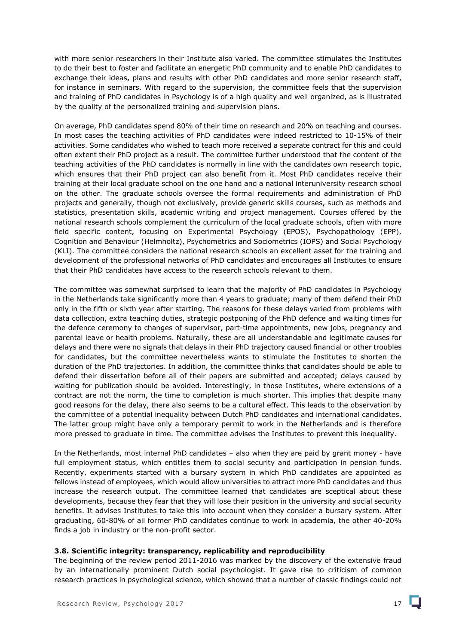with more senior researchers in their Institute also varied. The committee stimulates the Institutes to do their best to foster and facilitate an energetic PhD community and to enable PhD candidates to exchange their ideas, plans and results with other PhD candidates and more senior research staff, for instance in seminars. With regard to the supervision, the committee feels that the supervision and training of PhD candidates in Psychology is of a high quality and well organized, as is illustrated by the quality of the personalized training and supervision plans.

On average, PhD candidates spend 80% of their time on research and 20% on teaching and courses. In most cases the teaching activities of PhD candidates were indeed restricted to 10-15% of their activities. Some candidates who wished to teach more received a separate contract for this and could often extent their PhD project as a result. The committee further understood that the content of the teaching activities of the PhD candidates is normally in line with the candidates own research topic, which ensures that their PhD project can also benefit from it. Most PhD candidates receive their training at their local graduate school on the one hand and a national interuniversity research school on the other. The graduate schools oversee the formal requirements and administration of PhD projects and generally, though not exclusively, provide generic skills courses, such as methods and statistics, presentation skills, academic writing and project management. Courses offered by the national research schools complement the curriculum of the local graduate schools, often with more field specific content, focusing on Experimental Psychology (EPOS), Psychopathology (EPP), Cognition and Behaviour (Helmholtz), Psychometrics and Sociometrics (IOPS) and Social Psychology (KLI). The committee considers the national research schools an excellent asset for the training and development of the professional networks of PhD candidates and encourages all Institutes to ensure that their PhD candidates have access to the research schools relevant to them.

The committee was somewhat surprised to learn that the majority of PhD candidates in Psychology in the Netherlands take significantly more than 4 years to graduate; many of them defend their PhD only in the fifth or sixth year after starting. The reasons for these delays varied from problems with data collection, extra teaching duties, strategic postponing of the PhD defence and waiting times for the defence ceremony to changes of supervisor, part-time appointments, new jobs, pregnancy and parental leave or health problems. Naturally, these are all understandable and legitimate causes for delays and there were no signals that delays in their PhD trajectory caused financial or other troubles for candidates, but the committee nevertheless wants to stimulate the Institutes to shorten the duration of the PhD trajectories. In addition, the committee thinks that candidates should be able to defend their dissertation before all of their papers are submitted and accepted; delays caused by waiting for publication should be avoided. Interestingly, in those Institutes, where extensions of a contract are not the norm, the time to completion is much shorter. This implies that despite many good reasons for the delay, there also seems to be a cultural effect. This leads to the observation by the committee of a potential inequality between Dutch PhD candidates and international candidates. The latter group might have only a temporary permit to work in the Netherlands and is therefore more pressed to graduate in time. The committee advises the Institutes to prevent this inequality.

In the Netherlands, most internal PhD candidates – also when they are paid by grant money - have full employment status, which entitles them to social security and participation in pension funds. Recently, experiments started with a bursary system in which PhD candidates are appointed as fellows instead of employees, which would allow universities to attract more PhD candidates and thus increase the research output. The committee learned that candidates are sceptical about these developments, because they fear that they will lose their position in the university and social security benefits. It advises Institutes to take this into account when they consider a bursary system. After graduating, 60-80% of all former PhD candidates continue to work in academia, the other 40-20% finds a job in industry or the non-profit sector.

# 3.8. Scientific integrity: transparency, replicability and reproducibility

The beginning of the review period 2011-2016 was marked by the discovery of the extensive fraud by an internationally prominent Dutch social psychologist. It gave rise to criticism of common research practices in psychological science, which showed that a number of classic findings could not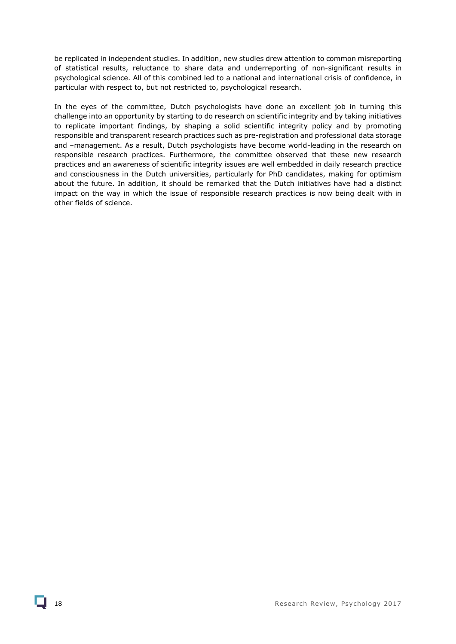be replicated in independent studies. In addition, new studies drew attention to common misreporting of statistical results, reluctance to share data and underreporting of non-significant results in psychological science. All of this combined led to a national and international crisis of confidence, in particular with respect to, but not restricted to, psychological research.

In the eyes of the committee, Dutch psychologists have done an excellent job in turning this challenge into an opportunity by starting to do research on scientific integrity and by taking initiatives to replicate important findings, by shaping a solid scientific integrity policy and by promoting responsible and transparent research practices such as pre-registration and professional data storage and –management. As a result, Dutch psychologists have become world-leading in the research on responsible research practices. Furthermore, the committee observed that these new research practices and an awareness of scientific integrity issues are well embedded in daily research practice and consciousness in the Dutch universities, particularly for PhD candidates, making for optimism about the future. In addition, it should be remarked that the Dutch initiatives have had a distinct impact on the way in which the issue of responsible research practices is now being dealt with in other fields of science.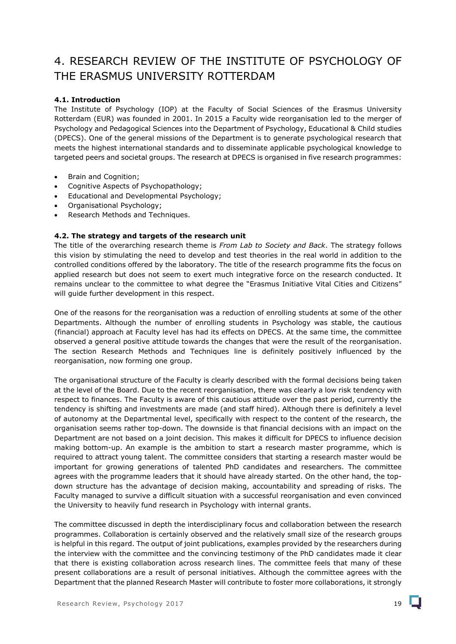# 4. RESEARCH REVIEW OF THE INSTITUTE OF PSYCHOLOGY OF THE ERASMUS UNIVERSITY ROTTERDAM

# 4.1. Introduction

The Institute of Psychology (IOP) at the Faculty of Social Sciences of the Erasmus University Rotterdam (EUR) was founded in 2001. In 2015 a Faculty wide reorganisation led to the merger of Psychology and Pedagogical Sciences into the Department of Psychology, Educational & Child studies (DPECS). One of the general missions of the Department is to generate psychological research that meets the highest international standards and to disseminate applicable psychological knowledge to targeted peers and societal groups. The research at DPECS is organised in five research programmes:

- Brain and Cognition;
- Cognitive Aspects of Psychopathology;
- Educational and Developmental Psychology;
- Organisational Psychology;
- Research Methods and Techniques.

# 4.2. The strategy and targets of the research unit

The title of the overarching research theme is *From Lab to Society and Back*. The strategy follows this vision by stimulating the need to develop and test theories in the real world in addition to the controlled conditions offered by the laboratory. The title of the research programme fits the focus on applied research but does not seem to exert much integrative force on the research conducted. It remains unclear to the committee to what degree the "Erasmus Initiative Vital Cities and Citizens" will guide further development in this respect.

One of the reasons for the reorganisation was a reduction of enrolling students at some of the other Departments. Although the number of enrolling students in Psychology was stable, the cautious (financial) approach at Faculty level has had its effects on DPECS. At the same time, the committee observed a general positive attitude towards the changes that were the result of the reorganisation. The section Research Methods and Techniques line is definitely positively influenced by the reorganisation, now forming one group.

The organisational structure of the Faculty is clearly described with the formal decisions being taken at the level of the Board. Due to the recent reorganisation, there was clearly a low risk tendency with respect to finances. The Faculty is aware of this cautious attitude over the past period, currently the tendency is shifting and investments are made (and staff hired). Although there is definitely a level of autonomy at the Departmental level, specifically with respect to the content of the research, the organisation seems rather top-down. The downside is that financial decisions with an impact on the Department are not based on a joint decision. This makes it difficult for DPECS to influence decision making bottom-up. An example is the ambition to start a research master programme, which is required to attract young talent. The committee considers that starting a research master would be important for growing generations of talented PhD candidates and researchers. The committee agrees with the programme leaders that it should have already started. On the other hand, the topdown structure has the advantage of decision making, accountability and spreading of risks. The Faculty managed to survive a difficult situation with a successful reorganisation and even convinced the University to heavily fund research in Psychology with internal grants.

The committee discussed in depth the interdisciplinary focus and collaboration between the research programmes. Collaboration is certainly observed and the relatively small size of the research groups is helpful in this regard. The output of joint publications, examples provided by the researchers during the interview with the committee and the convincing testimony of the PhD candidates made it clear that there is existing collaboration across research lines. The committee feels that many of these present collaborations are a result of personal initiatives. Although the committee agrees with the Department that the planned Research Master will contribute to foster more collaborations, it strongly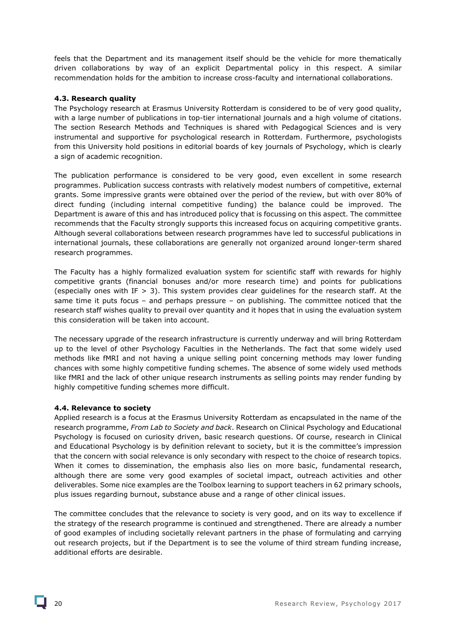feels that the Department and its management itself should be the vehicle for more thematically driven collaborations by way of an explicit Departmental policy in this respect. A similar recommendation holds for the ambition to increase cross-faculty and international collaborations.

# 4.3. Research quality

The Psychology research at Erasmus University Rotterdam is considered to be of very good quality, with a large number of publications in top-tier international journals and a high volume of citations. The section Research Methods and Techniques is shared with Pedagogical Sciences and is very instrumental and supportive for psychological research in Rotterdam. Furthermore, psychologists from this University hold positions in editorial boards of key journals of Psychology, which is clearly a sign of academic recognition.

The publication performance is considered to be very good, even excellent in some research programmes. Publication success contrasts with relatively modest numbers of competitive, external grants. Some impressive grants were obtained over the period of the review, but with over 80% of direct funding (including internal competitive funding) the balance could be improved. The Department is aware of this and has introduced policy that is focussing on this aspect. The committee recommends that the Faculty strongly supports this increased focus on acquiring competitive grants. Although several collaborations between research programmes have led to successful publications in international journals, these collaborations are generally not organized around longer-term shared research programmes.

The Faculty has a highly formalized evaluation system for scientific staff with rewards for highly competitive grants (financial bonuses and/or more research time) and points for publications (especially ones with IF  $> 3$ ). This system provides clear quidelines for the research staff. At the same time it puts focus – and perhaps pressure – on publishing. The committee noticed that the research staff wishes quality to prevail over quantity and it hopes that in using the evaluation system this consideration will be taken into account.

The necessary upgrade of the research infrastructure is currently underway and will bring Rotterdam up to the level of other Psychology Faculties in the Netherlands. The fact that some widely used methods like fMRI and not having a unique selling point concerning methods may lower funding chances with some highly competitive funding schemes. The absence of some widely used methods like fMRI and the lack of other unique research instruments as selling points may render funding by highly competitive funding schemes more difficult.

#### 4.4. Relevance to society

Applied research is a focus at the Erasmus University Rotterdam as encapsulated in the name of the research programme, *From Lab to Society and back*. Research on Clinical Psychology and Educational Psychology is focused on curiosity driven, basic research questions. Of course, research in Clinical and Educational Psychology is by definition relevant to society, but it is the committee's impression that the concern with social relevance is only secondary with respect to the choice of research topics. When it comes to dissemination, the emphasis also lies on more basic, fundamental research, although there are some very good examples of societal impact, outreach activities and other deliverables. Some nice examples are the Toolbox learning to support teachers in 62 primary schools, plus issues regarding burnout, substance abuse and a range of other clinical issues.

The committee concludes that the relevance to society is very good, and on its way to excellence if the strategy of the research programme is continued and strengthened. There are already a number of good examples of including societally relevant partners in the phase of formulating and carrying out research projects, but if the Department is to see the volume of third stream funding increase, additional efforts are desirable.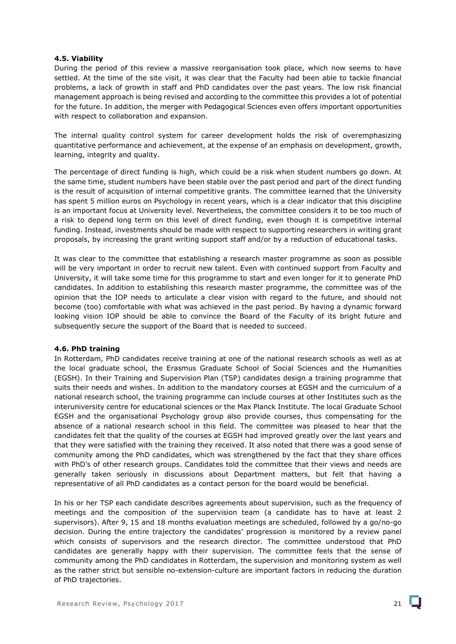### 4.5. Viability

During the period of this review a massive reorganisation took place, which now seems to have settled. At the time of the site visit, it was clear that the Faculty had been able to tackle financial problems, a lack of growth in staff and PhD candidates over the past years. The low risk financial management approach is being revised and according to the committee this provides a lot of potential for the future. In addition, the merger with Pedagogical Sciences even offers important opportunities with respect to collaboration and expansion.

The internal quality control system for career development holds the risk of overemphasizing quantitative performance and achievement, at the expense of an emphasis on development, growth, learning, integrity and quality.

The percentage of direct funding is high, which could be a risk when student numbers go down. At the same time, student numbers have been stable over the past period and part of the direct funding is the result of acquisition of internal competitive grants. The committee learned that the University has spent 5 million euros on Psychology in recent years, which is a clear indicator that this discipline is an important focus at University level. Nevertheless, the committee considers it to be too much of a risk to depend long term on this level of direct funding, even though it is competitive internal funding. Instead, investments should be made with respect to supporting researchers in writing grant proposals, by increasing the grant writing support staff and/or by a reduction of educational tasks.

It was clear to the committee that establishing a research master programme as soon as possible will be very important in order to recruit new talent. Even with continued support from Faculty and University, it will take some time for this programme to start and even longer for it to generate PhD candidates. In addition to establishing this research master programme, the committee was of the opinion that the IOP needs to articulate a clear vision with regard to the future, and should not become (too) comfortable with what was achieved in the past period. By having a dynamic forward looking vision IOP should be able to convince the Board of the Faculty of its bright future and subsequently secure the support of the Board that is needed to succeed.

#### 4.6. PhD training

In Rotterdam, PhD candidates receive training at one of the national research schools as well as at the local graduate school, the Erasmus Graduate School of Social Sciences and the Humanities (EGSH). In their Training and Supervision Plan (TSP) candidates design a training programme that suits their needs and wishes. In addition to the mandatory courses at EGSH and the curriculum of a national research school, the training programme can include courses at other Institutes such as the interuniversity centre for educational sciences or the Max Planck Institute. The local Graduate School EGSH and the organisational Psychology group also provide courses, thus compensating for the absence of a national research school in this field. The committee was pleased to hear that the candidates felt that the quality of the courses at EGSH had improved greatly over the last years and that they were satisfied with the training they received. It also noted that there was a good sense of community among the PhD candidates, which was strengthened by the fact that they share offices with PhD's of other research groups. Candidates told the committee that their views and needs are generally taken seriously in discussions about Department matters, but felt that having a representative of all PhD candidates as a contact person for the board would be beneficial.

In his or her TSP each candidate describes agreements about supervision, such as the frequency of meetings and the composition of the supervision team (a candidate has to have at least 2 supervisors). After 9, 15 and 18 months evaluation meetings are scheduled, followed by a go/no-go decision. During the entire trajectory the candidates' progression is monitored by a review panel which consists of supervisors and the research director. The committee understood that PhD candidates are generally happy with their supervision. The committee feels that the sense of community among the PhD candidates in Rotterdam, the supervision and monitoring system as well as the rather strict but sensible no-extension-culture are important factors in reducing the duration of PhD trajectories.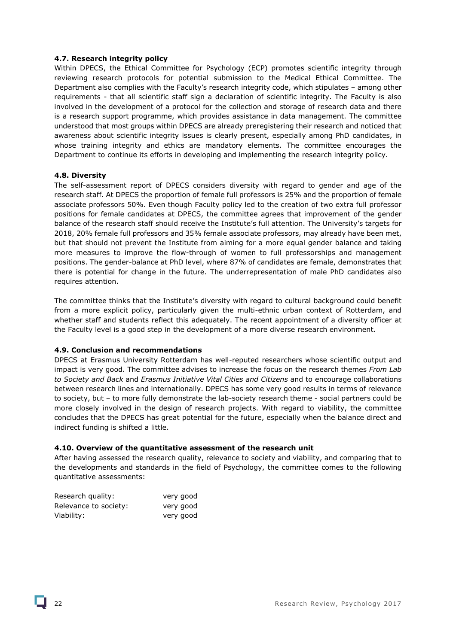# 4.7. Research integrity policy

Within DPECS, the Ethical Committee for Psychology (ECP) promotes scientific integrity through reviewing research protocols for potential submission to the Medical Ethical Committee. The Department also complies with the Faculty's research integrity code, which stipulates – among other requirements - that all scientific staff sign a declaration of scientific integrity. The Faculty is also involved in the development of a protocol for the collection and storage of research data and there is a research support programme, which provides assistance in data management. The committee understood that most groups within DPECS are already preregistering their research and noticed that awareness about scientific integrity issues is clearly present, especially among PhD candidates, in whose training integrity and ethics are mandatory elements. The committee encourages the Department to continue its efforts in developing and implementing the research integrity policy.

#### 4.8. Diversity

The self-assessment report of DPECS considers diversity with regard to gender and age of the research staff. At DPECS the proportion of female full professors is 25% and the proportion of female associate professors 50%. Even though Faculty policy led to the creation of two extra full professor positions for female candidates at DPECS, the committee agrees that improvement of the gender balance of the research staff should receive the Institute's full attention. The University's targets for 2018, 20% female full professors and 35% female associate professors, may already have been met, but that should not prevent the Institute from aiming for a more equal gender balance and taking more measures to improve the flow-through of women to full professorships and management positions. The gender-balance at PhD level, where 87% of candidates are female, demonstrates that there is potential for change in the future. The underrepresentation of male PhD candidates also requires attention.

The committee thinks that the Institute's diversity with regard to cultural background could benefit from a more explicit policy, particularly given the multi-ethnic urban context of Rotterdam, and whether staff and students reflect this adequately. The recent appointment of a diversity officer at the Faculty level is a good step in the development of a more diverse research environment.

### 4.9. Conclusion and recommendations

DPECS at Erasmus University Rotterdam has well-reputed researchers whose scientific output and impact is very good. The committee advises to increase the focus on the research themes *From Lab to Society and Back* and *Erasmus Initiative Vital Cities and Citizens* and to encourage collaborations between research lines and internationally. DPECS has some very good results in terms of relevance to society, but – to more fully demonstrate the lab-society research theme - social partners could be more closely involved in the design of research projects. With regard to viability, the committee concludes that the DPECS has great potential for the future, especially when the balance direct and indirect funding is shifted a little.

### 4.10. Overview of the quantitative assessment of the research unit

After having assessed the research quality, relevance to society and viability, and comparing that to the developments and standards in the field of Psychology, the committee comes to the following quantitative assessments:

| Research quality:     | very good |  |
|-----------------------|-----------|--|
| Relevance to society: | very good |  |
| Viability:            | very good |  |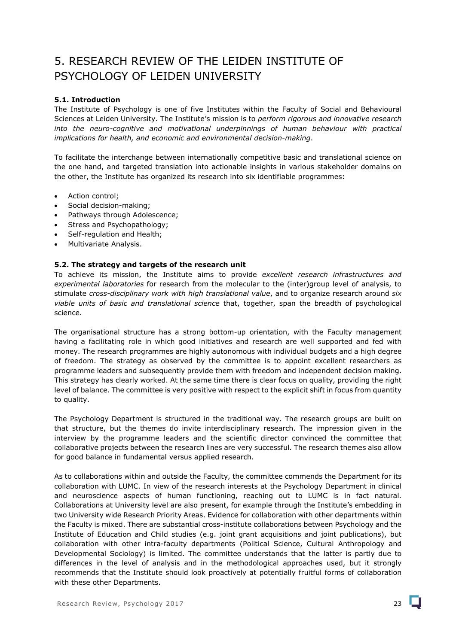# 5. RESEARCH REVIEW OF THE LEIDEN INSTITUTE OF PSYCHOLOGY OF LEIDEN UNIVERSITY

# 5.1. Introduction

The Institute of Psychology is one of five Institutes within the Faculty of Social and Behavioural Sciences at Leiden University. The Institute's mission is to *perform rigorous and innovative research into the neuro-cognitive and motivational underpinnings of human behaviour with practical implications for health, and economic and environmental decision-making*.

To facilitate the interchange between internationally competitive basic and translational science on the one hand, and targeted translation into actionable insights in various stakeholder domains on the other, the Institute has organized its research into six identifiable programmes:

- Action control:
- Social decision-making;
- Pathways through Adolescence;
- Stress and Psychopathology;
- Self-regulation and Health;
- Multivariate Analysis.

# 5.2. The strategy and targets of the research unit

To achieve its mission, the Institute aims to provide *excellent research infrastructures and experimental laboratories* for research from the molecular to the (inter)group level of analysis, to stimulate *cross-disciplinary work with high translational value*, and to organize research around *six viable units of basic and translational science* that, together, span the breadth of psychological science.

The organisational structure has a strong bottom-up orientation, with the Faculty management having a facilitating role in which good initiatives and research are well supported and fed with money. The research programmes are highly autonomous with individual budgets and a high degree of freedom. The strategy as observed by the committee is to appoint excellent researchers as programme leaders and subsequently provide them with freedom and independent decision making. This strategy has clearly worked. At the same time there is clear focus on quality, providing the right level of balance. The committee is very positive with respect to the explicit shift in focus from quantity to quality.

The Psychology Department is structured in the traditional way. The research groups are built on that structure, but the themes do invite interdisciplinary research. The impression given in the interview by the programme leaders and the scientific director convinced the committee that collaborative projects between the research lines are very successful. The research themes also allow for good balance in fundamental versus applied research.

As to collaborations within and outside the Faculty, the committee commends the Department for its collaboration with LUMC. In view of the research interests at the Psychology Department in clinical and neuroscience aspects of human functioning, reaching out to LUMC is in fact natural. Collaborations at University level are also present, for example through the Institute's embedding in two University wide Research Priority Areas. Evidence for collaboration with other departments within the Faculty is mixed. There are substantial cross-institute collaborations between Psychology and the Institute of Education and Child studies (e.g. joint grant acquisitions and joint publications), but collaboration with other intra-faculty departments (Political Science, Cultural Anthropology and Developmental Sociology) is limited. The committee understands that the latter is partly due to differences in the level of analysis and in the methodological approaches used, but it strongly recommends that the Institute should look proactively at potentially fruitful forms of collaboration with these other Departments.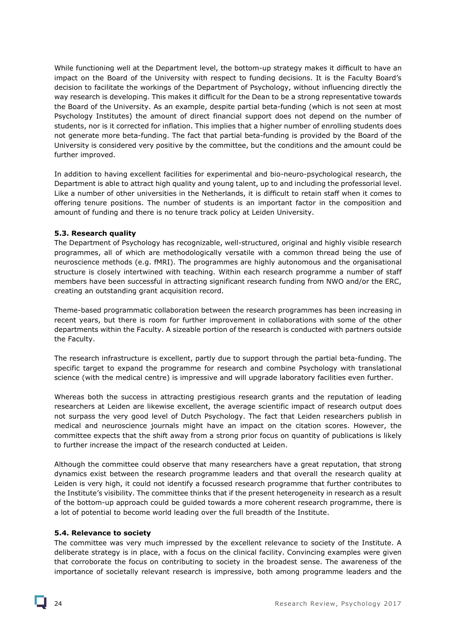While functioning well at the Department level, the bottom-up strategy makes it difficult to have an impact on the Board of the University with respect to funding decisions. It is the Faculty Board's decision to facilitate the workings of the Department of Psychology, without influencing directly the way research is developing. This makes it difficult for the Dean to be a strong representative towards the Board of the University. As an example, despite partial beta-funding (which is not seen at most Psychology Institutes) the amount of direct financial support does not depend on the number of students, nor is it corrected for inflation. This implies that a higher number of enrolling students does not generate more beta-funding. The fact that partial beta-funding is provided by the Board of the University is considered very positive by the committee, but the conditions and the amount could be further improved.

In addition to having excellent facilities for experimental and bio-neuro-psychological research, the Department is able to attract high quality and young talent, up to and including the professorial level. Like a number of other universities in the Netherlands, it is difficult to retain staff when it comes to offering tenure positions. The number of students is an important factor in the composition and amount of funding and there is no tenure track policy at Leiden University.

# 5.3. Research quality

The Department of Psychology has recognizable, well-structured, original and highly visible research programmes, all of which are methodologically versatile with a common thread being the use of neuroscience methods (e.g. fMRI). The programmes are highly autonomous and the organisational structure is closely intertwined with teaching. Within each research programme a number of staff members have been successful in attracting significant research funding from NWO and/or the ERC, creating an outstanding grant acquisition record.

Theme-based programmatic collaboration between the research programmes has been increasing in recent years, but there is room for further improvement in collaborations with some of the other departments within the Faculty. A sizeable portion of the research is conducted with partners outside the Faculty.

The research infrastructure is excellent, partly due to support through the partial beta-funding. The specific target to expand the programme for research and combine Psychology with translational science (with the medical centre) is impressive and will upgrade laboratory facilities even further.

Whereas both the success in attracting prestigious research grants and the reputation of leading researchers at Leiden are likewise excellent, the average scientific impact of research output does not surpass the very good level of Dutch Psychology. The fact that Leiden researchers publish in medical and neuroscience journals might have an impact on the citation scores. However, the committee expects that the shift away from a strong prior focus on quantity of publications is likely to further increase the impact of the research conducted at Leiden.

Although the committee could observe that many researchers have a great reputation, that strong dynamics exist between the research programme leaders and that overall the research quality at Leiden is very high, it could not identify a focussed research programme that further contributes to the Institute's visibility. The committee thinks that if the present heterogeneity in research as a result of the bottom-up approach could be guided towards a more coherent research programme, there is a lot of potential to become world leading over the full breadth of the Institute.

#### 5.4. Relevance to society

The committee was very much impressed by the excellent relevance to society of the Institute. A deliberate strategy is in place, with a focus on the clinical facility. Convincing examples were given that corroborate the focus on contributing to society in the broadest sense. The awareness of the importance of societally relevant research is impressive, both among programme leaders and the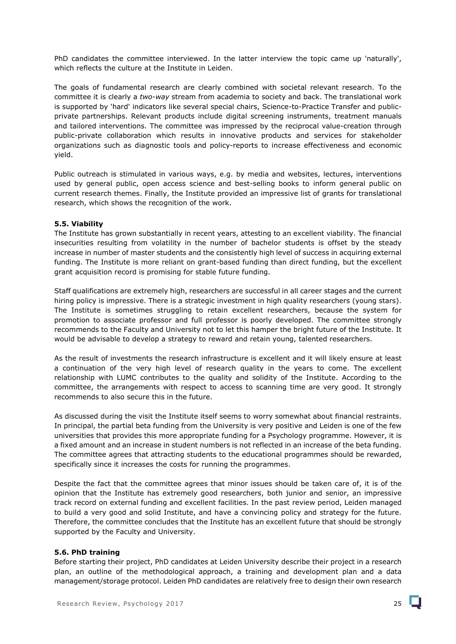PhD candidates the committee interviewed. In the latter interview the topic came up 'naturally', which reflects the culture at the Institute in Leiden.

The goals of fundamental research are clearly combined with societal relevant research. To the committee it is clearly a *two-way* stream from academia to society and back. The translational work is supported by 'hard' indicators like several special chairs, Science-to-Practice Transfer and publicprivate partnerships. Relevant products include digital screening instruments, treatment manuals and tailored interventions. The committee was impressed by the reciprocal value-creation through public-private collaboration which results in innovative products and services for stakeholder organizations such as diagnostic tools and policy-reports to increase effectiveness and economic yield.

Public outreach is stimulated in various ways, e.g. by media and websites, lectures, interventions used by general public, open access science and best-selling books to inform general public on current research themes. Finally, the Institute provided an impressive list of grants for translational research, which shows the recognition of the work.

#### 5.5. Viability

The Institute has grown substantially in recent years, attesting to an excellent viability. The financial insecurities resulting from volatility in the number of bachelor students is offset by the steady increase in number of master students and the consistently high level of success in acquiring external funding. The Institute is more reliant on grant-based funding than direct funding, but the excellent grant acquisition record is promising for stable future funding.

Staff qualifications are extremely high, researchers are successful in all career stages and the current hiring policy is impressive. There is a strategic investment in high quality researchers (young stars). The Institute is sometimes struggling to retain excellent researchers, because the system for promotion to associate professor and full professor is poorly developed. The committee strongly recommends to the Faculty and University not to let this hamper the bright future of the Institute. It would be advisable to develop a strategy to reward and retain young, talented researchers.

As the result of investments the research infrastructure is excellent and it will likely ensure at least a continuation of the very high level of research quality in the years to come. The excellent relationship with LUMC contributes to the quality and solidity of the Institute. According to the committee, the arrangements with respect to access to scanning time are very good. It strongly recommends to also secure this in the future.

As discussed during the visit the Institute itself seems to worry somewhat about financial restraints. In principal, the partial beta funding from the University is very positive and Leiden is one of the few universities that provides this more appropriate funding for a Psychology programme. However, it is a fixed amount and an increase in student numbers is not reflected in an increase of the beta funding. The committee agrees that attracting students to the educational programmes should be rewarded, specifically since it increases the costs for running the programmes.

Despite the fact that the committee agrees that minor issues should be taken care of, it is of the opinion that the Institute has extremely good researchers, both junior and senior, an impressive track record on external funding and excellent facilities. In the past review period, Leiden managed to build a very good and solid Institute, and have a convincing policy and strategy for the future. Therefore, the committee concludes that the Institute has an excellent future that should be strongly supported by the Faculty and University.

#### 5.6. PhD training

Before starting their project, PhD candidates at Leiden University describe their project in a research plan, an outline of the methodological approach, a training and development plan and a data management/storage protocol. Leiden PhD candidates are relatively free to design their own research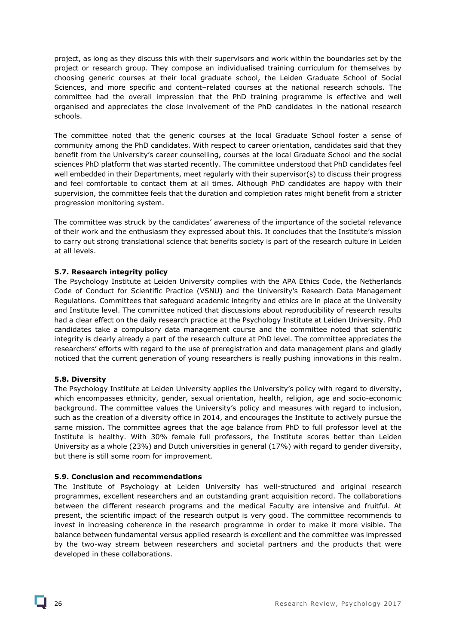project, as long as they discuss this with their supervisors and work within the boundaries set by the project or research group. They compose an individualised training curriculum for themselves by choosing generic courses at their local graduate school, the Leiden Graduate School of Social Sciences, and more specific and content–related courses at the national research schools. The committee had the overall impression that the PhD training programme is effective and well organised and appreciates the close involvement of the PhD candidates in the national research schools.

The committee noted that the generic courses at the local Graduate School foster a sense of community among the PhD candidates. With respect to career orientation, candidates said that they benefit from the University's career counselling, courses at the local Graduate School and the social sciences PhD platform that was started recently. The committee understood that PhD candidates feel well embedded in their Departments, meet regularly with their supervisor(s) to discuss their progress and feel comfortable to contact them at all times. Although PhD candidates are happy with their supervision, the committee feels that the duration and completion rates might benefit from a stricter progression monitoring system.

The committee was struck by the candidates' awareness of the importance of the societal relevance of their work and the enthusiasm they expressed about this. It concludes that the Institute's mission to carry out strong translational science that benefits society is part of the research culture in Leiden at all levels.

# 5.7. Research integrity policy

The Psychology Institute at Leiden University complies with the APA Ethics Code, the Netherlands Code of Conduct for Scientific Practice (VSNU) and the University's Research Data Management Regulations. Committees that safeguard academic integrity and ethics are in place at the University and Institute level. The committee noticed that discussions about reproducibility of research results had a clear effect on the daily research practice at the Psychology Institute at Leiden University. PhD candidates take a compulsory data management course and the committee noted that scientific integrity is clearly already a part of the research culture at PhD level. The committee appreciates the researchers' efforts with regard to the use of preregistration and data management plans and gladly noticed that the current generation of young researchers is really pushing innovations in this realm.

#### 5.8. Diversity

The Psychology Institute at Leiden University applies the University's policy with regard to diversity, which encompasses ethnicity, gender, sexual orientation, health, religion, age and socio-economic background. The committee values the University's policy and measures with regard to inclusion, such as the creation of a diversity office in 2014, and encourages the Institute to actively pursue the same mission. The committee agrees that the age balance from PhD to full professor level at the Institute is healthy. With 30% female full professors, the Institute scores better than Leiden University as a whole (23%) and Dutch universities in general (17%) with regard to gender diversity, but there is still some room for improvement.

#### 5.9. Conclusion and recommendations

The Institute of Psychology at Leiden University has well-structured and original research programmes, excellent researchers and an outstanding grant acquisition record. The collaborations between the different research programs and the medical Faculty are intensive and fruitful. At present, the scientific impact of the research output is very good. The committee recommends to invest in increasing coherence in the research programme in order to make it more visible. The balance between fundamental versus applied research is excellent and the committee was impressed by the two-way stream between researchers and societal partners and the products that were developed in these collaborations.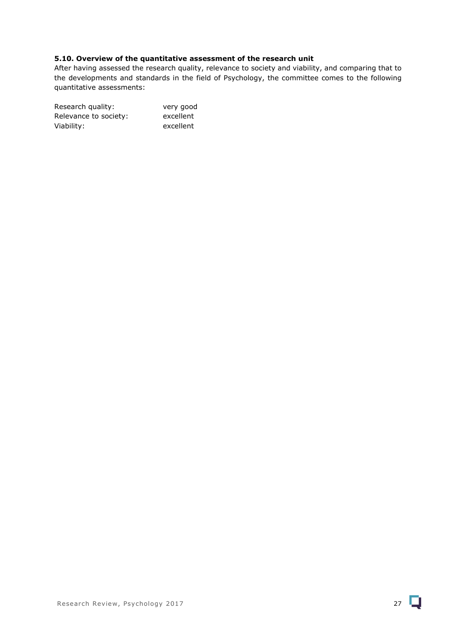# 5.10. Overview of the quantitative assessment of the research unit

After having assessed the research quality, relevance to society and viability, and comparing that to the developments and standards in the field of Psychology, the committee comes to the following quantitative assessments:

| Research quality:     | very good |
|-----------------------|-----------|
| Relevance to society: | excellent |
| Viability:            | excellent |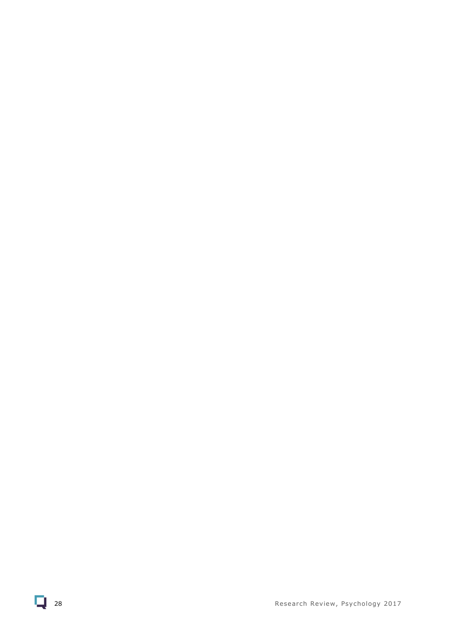Research Review, Psychology 2017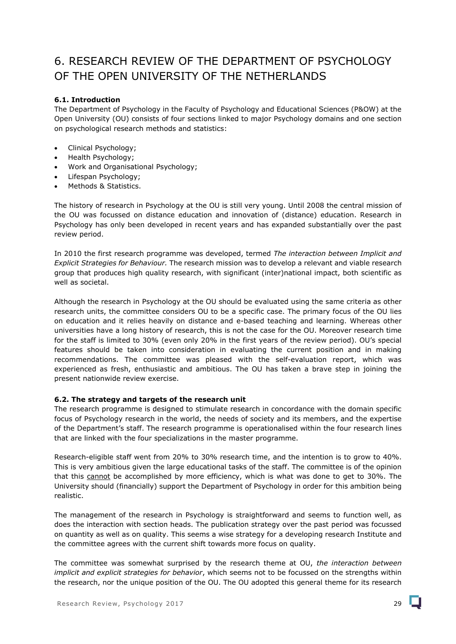# 6. RESEARCH REVIEW OF THE DEPARTMENT OF PSYCHOLOGY OF THE OPEN UNIVERSITY OF THE NETHERLANDS

# 6.1. Introduction

The Department of Psychology in the Faculty of Psychology and Educational Sciences (P&OW) at the Open University (OU) consists of four sections linked to major Psychology domains and one section on psychological research methods and statistics:

- Clinical Psychology;
- Health Psychology;
- Work and Organisational Psychology;
- Lifespan Psychology;
- Methods & Statistics.

The history of research in Psychology at the OU is still very young. Until 2008 the central mission of the OU was focussed on distance education and innovation of (distance) education. Research in Psychology has only been developed in recent years and has expanded substantially over the past review period.

In 2010 the first research programme was developed, termed *The interaction between Implicit and Explicit Strategies for Behaviour.* The research mission was to develop a relevant and viable research group that produces high quality research, with significant (inter)national impact, both scientific as well as societal.

Although the research in Psychology at the OU should be evaluated using the same criteria as other research units, the committee considers OU to be a specific case. The primary focus of the OU lies on education and it relies heavily on distance and e-based teaching and learning. Whereas other universities have a long history of research, this is not the case for the OU. Moreover research time for the staff is limited to 30% (even only 20% in the first years of the review period). OU's special features should be taken into consideration in evaluating the current position and in making recommendations. The committee was pleased with the self-evaluation report, which was experienced as fresh, enthusiastic and ambitious. The OU has taken a brave step in joining the present nationwide review exercise.

# 6.2. The strategy and targets of the research unit

The research programme is designed to stimulate research in concordance with the domain specific focus of Psychology research in the world, the needs of society and its members, and the expertise of the Department's staff. The research programme is operationalised within the four research lines that are linked with the four specializations in the master programme.

Research-eligible staff went from 20% to 30% research time, and the intention is to grow to 40%. This is very ambitious given the large educational tasks of the staff. The committee is of the opinion that this cannot be accomplished by more efficiency, which is what was done to get to 30%. The University should (financially) support the Department of Psychology in order for this ambition being realistic.

The management of the research in Psychology is straightforward and seems to function well, as does the interaction with section heads. The publication strategy over the past period was focussed on quantity as well as on quality. This seems a wise strategy for a developing research Institute and the committee agrees with the current shift towards more focus on quality.

The committee was somewhat surprised by the research theme at OU, *the interaction between implicit and explicit strategies for behavior*, which seems not to be focussed on the strengths within the research, nor the unique position of the OU. The OU adopted this general theme for its research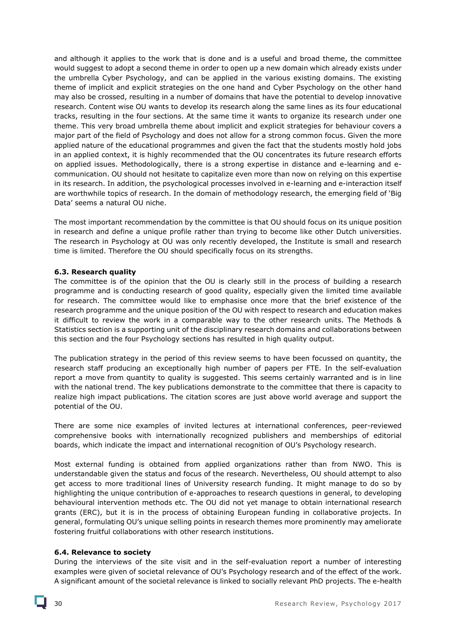and although it applies to the work that is done and is a useful and broad theme, the committee would suggest to adopt a second theme in order to open up a new domain which already exists under the umbrella Cyber Psychology, and can be applied in the various existing domains. The existing theme of implicit and explicit strategies on the one hand and Cyber Psychology on the other hand may also be crossed, resulting in a number of domains that have the potential to develop innovative research. Content wise OU wants to develop its research along the same lines as its four educational tracks, resulting in the four sections. At the same time it wants to organize its research under one theme. This very broad umbrella theme about implicit and explicit strategies for behaviour covers a major part of the field of Psychology and does not allow for a strong common focus. Given the more applied nature of the educational programmes and given the fact that the students mostly hold jobs in an applied context, it is highly recommended that the OU concentrates its future research efforts on applied issues. Methodologically, there is a strong expertise in distance and e-learning and ecommunication. OU should not hesitate to capitalize even more than now on relying on this expertise in its research. In addition, the psychological processes involved in e-learning and e-interaction itself are worthwhile topics of research. In the domain of methodology research, the emerging field of 'Big Data' seems a natural OU niche.

The most important recommendation by the committee is that OU should focus on its unique position in research and define a unique profile rather than trying to become like other Dutch universities. The research in Psychology at OU was only recently developed, the Institute is small and research time is limited. Therefore the OU should specifically focus on its strengths.

# 6.3. Research quality

The committee is of the opinion that the OU is clearly still in the process of building a research programme and is conducting research of good quality, especially given the limited time available for research. The committee would like to emphasise once more that the brief existence of the research programme and the unique position of the OU with respect to research and education makes it difficult to review the work in a comparable way to the other research units. The Methods & Statistics section is a supporting unit of the disciplinary research domains and collaborations between this section and the four Psychology sections has resulted in high quality output.

The publication strategy in the period of this review seems to have been focussed on quantity, the research staff producing an exceptionally high number of papers per FTE. In the self-evaluation report a move from quantity to quality is suggested. This seems certainly warranted and is in line with the national trend. The key publications demonstrate to the committee that there is capacity to realize high impact publications. The citation scores are just above world average and support the potential of the OU.

There are some nice examples of invited lectures at international conferences, peer-reviewed comprehensive books with internationally recognized publishers and memberships of editorial boards, which indicate the impact and international recognition of OU's Psychology research.

Most external funding is obtained from applied organizations rather than from NWO. This is understandable given the status and focus of the research. Nevertheless, OU should attempt to also get access to more traditional lines of University research funding. It might manage to do so by highlighting the unique contribution of e-approaches to research questions in general, to developing behavioural intervention methods etc. The OU did not yet manage to obtain international research grants (ERC), but it is in the process of obtaining European funding in collaborative projects. In general, formulating OU's unique selling points in research themes more prominently may ameliorate fostering fruitful collaborations with other research institutions.

#### 6.4. Relevance to society

During the interviews of the site visit and in the self-evaluation report a number of interesting examples were given of societal relevance of OU's Psychology research and of the effect of the work. A significant amount of the societal relevance is linked to socially relevant PhD projects. The e-health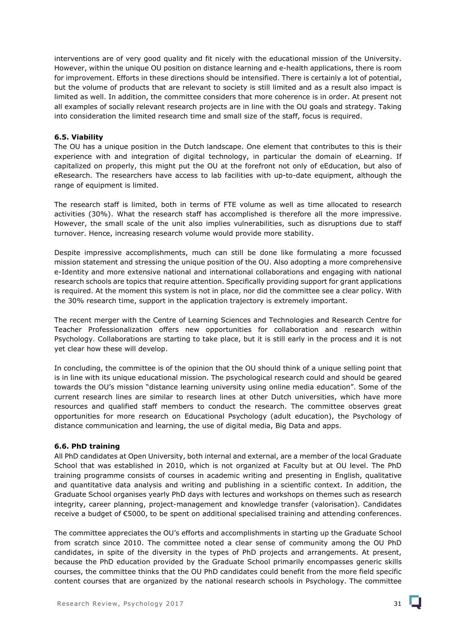interventions are of very good quality and fit nicely with the educational mission of the University. However, within the unique OU position on distance learning and e-health applications, there is room for improvement. Efforts in these directions should be intensified. There is certainly a lot of potential, but the volume of products that are relevant to society is still limited and as a result also impact is limited as well. In addition, the committee considers that more coherence is in order. At present not all examples of socially relevant research projects are in line with the OU goals and strategy. Taking into consideration the limited research time and small size of the staff, focus is required.

#### 6.5. Viability

The OU has a unique position in the Dutch landscape. One element that contributes to this is their experience with and integration of digital technology, in particular the domain of eLearning. If capitalized on properly, this might put the OU at the forefront not only of eEducation, but also of eResearch. The researchers have access to lab facilities with up-to-date equipment, although the range of equipment is limited.

The research staff is limited, both in terms of FTE volume as well as time allocated to research activities (30%). What the research staff has accomplished is therefore all the more impressive. However, the small scale of the unit also implies vulnerabilities, such as disruptions due to staff turnover. Hence, increasing research volume would provide more stability.

Despite impressive accomplishments, much can still be done like formulating a more focussed mission statement and stressing the unique position of the OU. Also adopting a more comprehensive e-Identity and more extensive national and international collaborations and engaging with national research schools are topics that require attention. Specifically providing support for grant applications is required. At the moment this system is not in place, nor did the committee see a clear policy. With the 30% research time, support in the application trajectory is extremely important.

The recent merger with the Centre of Learning Sciences and Technologies and Research Centre for Teacher Professionalization offers new opportunities for collaboration and research within Psychology. Collaborations are starting to take place, but it is still early in the process and it is not yet clear how these will develop.

In concluding, the committee is of the opinion that the OU should think of a unique selling point that is in line with its unique educational mission. The psychological research could and should be geared towards the OU's mission "distance learning university using online media education". Some of the current research lines are similar to research lines at other Dutch universities, which have more resources and qualified staff members to conduct the research. The committee observes great opportunities for more research on Educational Psychology (adult education), the Psychology of distance communication and learning, the use of digital media, Big Data and apps.

#### 6.6. PhD training

All PhD candidates at Open University, both internal and external, are a member of the local Graduate School that was established in 2010, which is not organized at Faculty but at OU level. The PhD training programme consists of courses in academic writing and presenting in English, qualitative and quantitative data analysis and writing and publishing in a scientific context. In addition, the Graduate School organises yearly PhD days with lectures and workshops on themes such as research integrity, career planning, project-management and knowledge transfer (valorisation). Candidates receive a budget of €5000, to be spent on additional specialised training and attending conferences.

The committee appreciates the OU's efforts and accomplishments in starting up the Graduate School from scratch since 2010. The committee noted a clear sense of community among the OU PhD candidates, in spite of the diversity in the types of PhD projects and arrangements. At present, because the PhD education provided by the Graduate School primarily encompasses generic skills courses, the committee thinks that the OU PhD candidates could benefit from the more field specific content courses that are organized by the national research schools in Psychology. The committee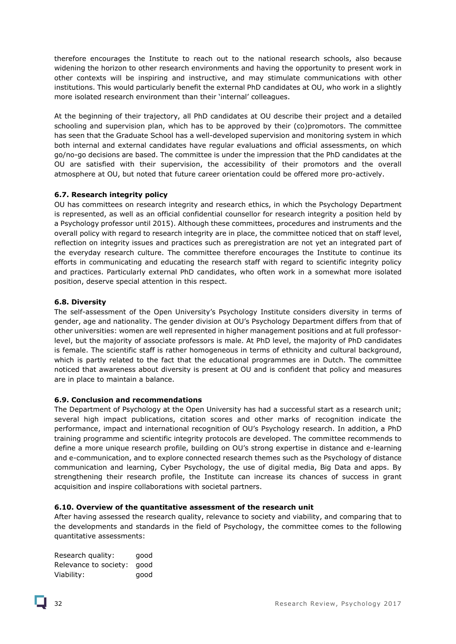therefore encourages the Institute to reach out to the national research schools, also because widening the horizon to other research environments and having the opportunity to present work in other contexts will be inspiring and instructive, and may stimulate communications with other institutions. This would particularly benefit the external PhD candidates at OU, who work in a slightly more isolated research environment than their 'internal' colleagues.

At the beginning of their trajectory, all PhD candidates at OU describe their project and a detailed schooling and supervision plan, which has to be approved by their (co)promotors. The committee has seen that the Graduate School has a well-developed supervision and monitoring system in which both internal and external candidates have regular evaluations and official assessments, on which go/no-go decisions are based. The committee is under the impression that the PhD candidates at the OU are satisfied with their supervision, the accessibility of their promotors and the overall atmosphere at OU, but noted that future career orientation could be offered more pro-actively.

# 6.7. Research integrity policy

OU has committees on research integrity and research ethics, in which the Psychology Department is represented, as well as an official confidential counsellor for research integrity a position held by a Psychology professor until 2015). Although these committees, procedures and instruments and the overall policy with regard to research integrity are in place, the committee noticed that on staff level, reflection on integrity issues and practices such as preregistration are not yet an integrated part of the everyday research culture. The committee therefore encourages the Institute to continue its efforts in communicating and educating the research staff with regard to scientific integrity policy and practices. Particularly external PhD candidates, who often work in a somewhat more isolated position, deserve special attention in this respect.

# 6.8. Diversity

The self-assessment of the Open University's Psychology Institute considers diversity in terms of gender, age and nationality. The gender division at OU's Psychology Department differs from that of other universities: women are well represented in higher management positions and at full professorlevel, but the majority of associate professors is male. At PhD level, the majority of PhD candidates is female. The scientific staff is rather homogeneous in terms of ethnicity and cultural background, which is partly related to the fact that the educational programmes are in Dutch. The committee noticed that awareness about diversity is present at OU and is confident that policy and measures are in place to maintain a balance.

# 6.9. Conclusion and recommendations

The Department of Psychology at the Open University has had a successful start as a research unit; several high impact publications, citation scores and other marks of recognition indicate the performance, impact and international recognition of OU's Psychology research. In addition, a PhD training programme and scientific integrity protocols are developed. The committee recommends to define a more unique research profile, building on OU's strong expertise in distance and e-learning and e-communication, and to explore connected research themes such as the Psychology of distance communication and learning, Cyber Psychology, the use of digital media, Big Data and apps. By strengthening their research profile, the Institute can increase its chances of success in grant acquisition and inspire collaborations with societal partners.

# 6.10. Overview of the quantitative assessment of the research unit

After having assessed the research quality, relevance to society and viability, and comparing that to the developments and standards in the field of Psychology, the committee comes to the following quantitative assessments:

Research quality: good Relevance to society: good Viability: good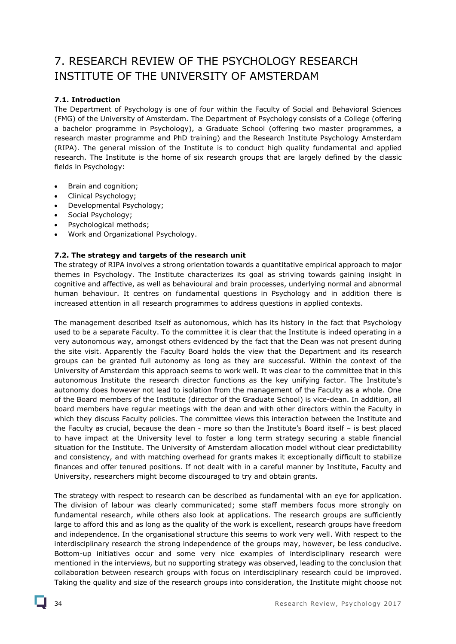# 7. RESEARCH REVIEW OF THE PSYCHOLOGY RESEARCH INSTITUTE OF THE UNIVERSITY OF AMSTERDAM

# 7.1. Introduction

The Department of Psychology is one of four within the Faculty of Social and Behavioral Sciences (FMG) of the University of Amsterdam. The Department of Psychology consists of a College (offering a bachelor programme in Psychology), a Graduate School (offering two master programmes, a research master programme and PhD training) and the Research Institute Psychology Amsterdam (RIPA). The general mission of the Institute is to conduct high quality fundamental and applied research. The Institute is the home of six research groups that are largely defined by the classic fields in Psychology:

- Brain and cognition;
- Clinical Psychology;
- Developmental Psychology;
- Social Psychology;
- Psychological methods;
- Work and Organizational Psychology.

# 7.2. The strategy and targets of the research unit

The strategy of RIPA involves a strong orientation towards a quantitative empirical approach to major themes in Psychology. The Institute characterizes its goal as striving towards gaining insight in cognitive and affective, as well as behavioural and brain processes, underlying normal and abnormal human behaviour. It centres on fundamental questions in Psychology and in addition there is increased attention in all research programmes to address questions in applied contexts.

The management described itself as autonomous, which has its history in the fact that Psychology used to be a separate Faculty. To the committee it is clear that the Institute is indeed operating in a very autonomous way, amongst others evidenced by the fact that the Dean was not present during the site visit. Apparently the Faculty Board holds the view that the Department and its research groups can be granted full autonomy as long as they are successful. Within the context of the University of Amsterdam this approach seems to work well. It was clear to the committee that in this autonomous Institute the research director functions as the key unifying factor. The Institute's autonomy does however not lead to isolation from the management of the Faculty as a whole. One of the Board members of the Institute (director of the Graduate School) is vice-dean. In addition, all board members have regular meetings with the dean and with other directors within the Faculty in which they discuss Faculty policies. The committee views this interaction between the Institute and the Faculty as crucial, because the dean - more so than the Institute's Board itself – is best placed to have impact at the University level to foster a long term strategy securing a stable financial situation for the Institute. The University of Amsterdam allocation model without clear predictability and consistency, and with matching overhead for grants makes it exceptionally difficult to stabilize finances and offer tenured positions. If not dealt with in a careful manner by Institute, Faculty and University, researchers might become discouraged to try and obtain grants.

The strategy with respect to research can be described as fundamental with an eye for application. The division of labour was clearly communicated; some staff members focus more strongly on fundamental research, while others also look at applications. The research groups are sufficiently large to afford this and as long as the quality of the work is excellent, research groups have freedom and independence. In the organisational structure this seems to work very well. With respect to the interdisciplinary research the strong independence of the groups may, however, be less conducive. Bottom-up initiatives occur and some very nice examples of interdisciplinary research were mentioned in the interviews, but no supporting strategy was observed, leading to the conclusion that collaboration between research groups with focus on interdisciplinary research could be improved. Taking the quality and size of the research groups into consideration, the Institute might choose not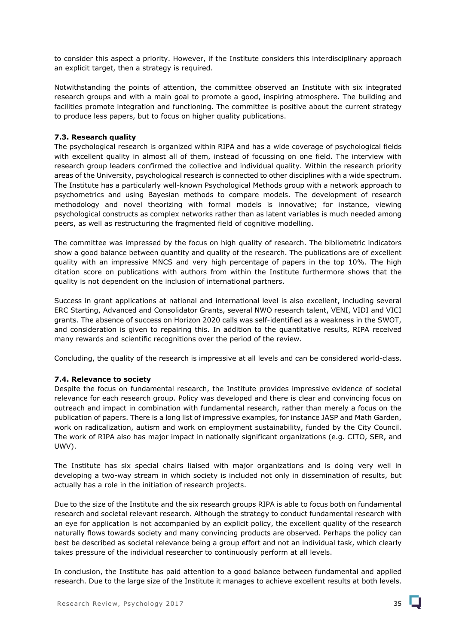to consider this aspect a priority. However, if the Institute considers this interdisciplinary approach an explicit target, then a strategy is required.

Notwithstanding the points of attention, the committee observed an Institute with six integrated research groups and with a main goal to promote a good, inspiring atmosphere. The building and facilities promote integration and functioning. The committee is positive about the current strategy to produce less papers, but to focus on higher quality publications.

# 7.3. Research quality

The psychological research is organized within RIPA and has a wide coverage of psychological fields with excellent quality in almost all of them, instead of focussing on one field. The interview with research group leaders confirmed the collective and individual quality. Within the research priority areas of the University, psychological research is connected to other disciplines with a wide spectrum. The Institute has a particularly well-known Psychological Methods group with a network approach to psychometrics and using Bayesian methods to compare models. The development of research methodology and novel theorizing with formal models is innovative; for instance, viewing psychological constructs as complex networks rather than as latent variables is much needed among peers, as well as restructuring the fragmented field of cognitive modelling.

The committee was impressed by the focus on high quality of research. The bibliometric indicators show a good balance between quantity and quality of the research. The publications are of excellent quality with an impressive MNCS and very high percentage of papers in the top 10%. The high citation score on publications with authors from within the Institute furthermore shows that the quality is not dependent on the inclusion of international partners.

Success in grant applications at national and international level is also excellent, including several ERC Starting, Advanced and Consolidator Grants, several NWO research talent, VENI, VIDI and VICI grants. The absence of success on Horizon 2020 calls was self-identified as a weakness in the SWOT, and consideration is given to repairing this. In addition to the quantitative results, RIPA received many rewards and scientific recognitions over the period of the review.

Concluding, the quality of the research is impressive at all levels and can be considered world-class.

# 7.4. Relevance to society

Despite the focus on fundamental research, the Institute provides impressive evidence of societal relevance for each research group. Policy was developed and there is clear and convincing focus on outreach and impact in combination with fundamental research, rather than merely a focus on the publication of papers. There is a long list of impressive examples, for instance JASP and Math Garden, work on radicalization, autism and work on employment sustainability, funded by the City Council. The work of RIPA also has major impact in nationally significant organizations (e.g. CITO, SER, and UWV).

The Institute has six special chairs liaised with major organizations and is doing very well in developing a two-way stream in which society is included not only in dissemination of results, but actually has a role in the initiation of research projects.

Due to the size of the Institute and the six research groups RIPA is able to focus both on fundamental research and societal relevant research. Although the strategy to conduct fundamental research with an eye for application is not accompanied by an explicit policy, the excellent quality of the research naturally flows towards society and many convincing products are observed. Perhaps the policy can best be described as societal relevance being a group effort and not an individual task, which clearly takes pressure of the individual researcher to continuously perform at all levels.

In conclusion, the Institute has paid attention to a good balance between fundamental and applied research. Due to the large size of the Institute it manages to achieve excellent results at both levels.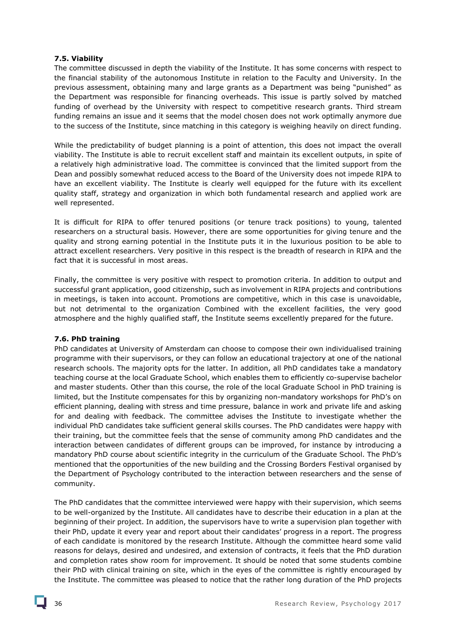# 7.5. Viability

The committee discussed in depth the viability of the Institute. It has some concerns with respect to the financial stability of the autonomous Institute in relation to the Faculty and University. In the previous assessment, obtaining many and large grants as a Department was being "punished" as the Department was responsible for financing overheads. This issue is partly solved by matched funding of overhead by the University with respect to competitive research grants. Third stream funding remains an issue and it seems that the model chosen does not work optimally anymore due to the success of the Institute, since matching in this category is weighing heavily on direct funding.

While the predictability of budget planning is a point of attention, this does not impact the overall viability. The Institute is able to recruit excellent staff and maintain its excellent outputs, in spite of a relatively high administrative load. The committee is convinced that the limited support from the Dean and possibly somewhat reduced access to the Board of the University does not impede RIPA to have an excellent viability. The Institute is clearly well equipped for the future with its excellent quality staff, strategy and organization in which both fundamental research and applied work are well represented.

It is difficult for RIPA to offer tenured positions (or tenure track positions) to young, talented researchers on a structural basis. However, there are some opportunities for giving tenure and the quality and strong earning potential in the Institute puts it in the luxurious position to be able to attract excellent researchers. Very positive in this respect is the breadth of research in RIPA and the fact that it is successful in most areas.

Finally, the committee is very positive with respect to promotion criteria. In addition to output and successful grant application, good citizenship, such as involvement in RIPA projects and contributions in meetings, is taken into account. Promotions are competitive, which in this case is unavoidable, but not detrimental to the organization Combined with the excellent facilities, the very good atmosphere and the highly qualified staff, the Institute seems excellently prepared for the future.

#### 7.6. PhD training

PhD candidates at University of Amsterdam can choose to compose their own individualised training programme with their supervisors, or they can follow an educational trajectory at one of the national research schools. The majority opts for the latter. In addition, all PhD candidates take a mandatory teaching course at the local Graduate School, which enables them to efficiently co-supervise bachelor and master students. Other than this course, the role of the local Graduate School in PhD training is limited, but the Institute compensates for this by organizing non-mandatory workshops for PhD's on efficient planning, dealing with stress and time pressure, balance in work and private life and asking for and dealing with feedback. The committee advises the Institute to investigate whether the individual PhD candidates take sufficient general skills courses. The PhD candidates were happy with their training, but the committee feels that the sense of community among PhD candidates and the interaction between candidates of different groups can be improved, for instance by introducing a mandatory PhD course about scientific integrity in the curriculum of the Graduate School. The PhD's mentioned that the opportunities of the new building and the Crossing Borders Festival organised by the Department of Psychology contributed to the interaction between researchers and the sense of community.

The PhD candidates that the committee interviewed were happy with their supervision, which seems to be well-organized by the Institute. All candidates have to describe their education in a plan at the beginning of their project. In addition, the supervisors have to write a supervision plan together with their PhD, update it every year and report about their candidates' progress in a report. The progress of each candidate is monitored by the research Institute. Although the committee heard some valid reasons for delays, desired and undesired, and extension of contracts, it feels that the PhD duration and completion rates show room for improvement. It should be noted that some students combine their PhD with clinical training on site, which in the eyes of the committee is rightly encouraged by the Institute. The committee was pleased to notice that the rather long duration of the PhD projects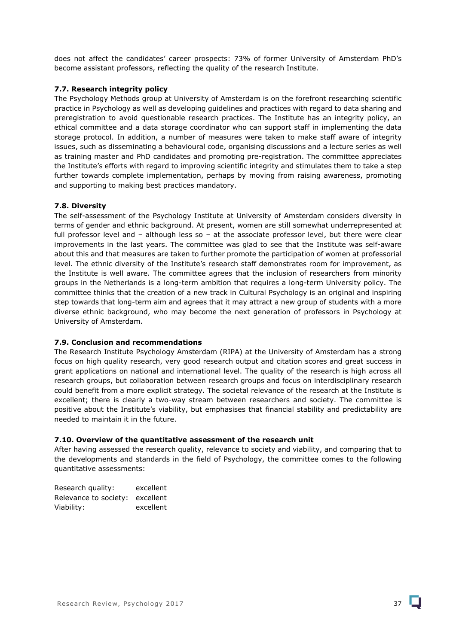does not affect the candidates' career prospects: 73% of former University of Amsterdam PhD's become assistant professors, reflecting the quality of the research Institute.

## 7.7. Research integrity policy

The Psychology Methods group at University of Amsterdam is on the forefront researching scientific practice in Psychology as well as developing guidelines and practices with regard to data sharing and preregistration to avoid questionable research practices. The Institute has an integrity policy, an ethical committee and a data storage coordinator who can support staff in implementing the data storage protocol. In addition, a number of measures were taken to make staff aware of integrity issues, such as disseminating a behavioural code, organising discussions and a lecture series as well as training master and PhD candidates and promoting pre-registration. The committee appreciates the Institute's efforts with regard to improving scientific integrity and stimulates them to take a step further towards complete implementation, perhaps by moving from raising awareness, promoting and supporting to making best practices mandatory.

## 7.8. Diversity

The self-assessment of the Psychology Institute at University of Amsterdam considers diversity in terms of gender and ethnic background. At present, women are still somewhat underrepresented at full professor level and – although less so – at the associate professor level, but there were clear improvements in the last years. The committee was glad to see that the Institute was self-aware about this and that measures are taken to further promote the participation of women at professorial level. The ethnic diversity of the Institute's research staff demonstrates room for improvement, as the Institute is well aware. The committee agrees that the inclusion of researchers from minority groups in the Netherlands is a long-term ambition that requires a long-term University policy. The committee thinks that the creation of a new track in Cultural Psychology is an original and inspiring step towards that long-term aim and agrees that it may attract a new group of students with a more diverse ethnic background, who may become the next generation of professors in Psychology at University of Amsterdam.

## 7.9. Conclusion and recommendations

The Research Institute Psychology Amsterdam (RIPA) at the University of Amsterdam has a strong focus on high quality research, very good research output and citation scores and great success in grant applications on national and international level. The quality of the research is high across all research groups, but collaboration between research groups and focus on interdisciplinary research could benefit from a more explicit strategy. The societal relevance of the research at the Institute is excellent; there is clearly a two-way stream between researchers and society. The committee is positive about the Institute's viability, but emphasises that financial stability and predictability are needed to maintain it in the future.

## 7.10. Overview of the quantitative assessment of the research unit

After having assessed the research quality, relevance to society and viability, and comparing that to the developments and standards in the field of Psychology, the committee comes to the following quantitative assessments:

| Research quality:     | excellent |
|-----------------------|-----------|
| Relevance to society: | excellent |
| Viability:            | excellent |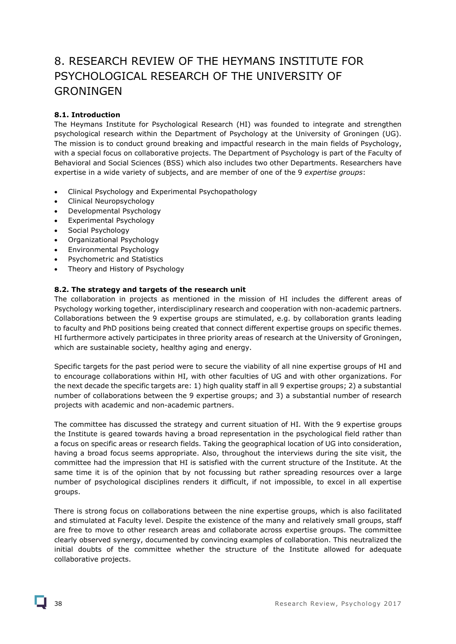# 8. RESEARCH REVIEW OF THE HEYMANS INSTITUTE FOR PSYCHOLOGICAL RESEARCH OF THE UNIVERSITY OF GRONINGEN

# 8.1. Introduction

The Heymans Institute for Psychological Research (HI) was founded to integrate and strengthen psychological research within the Department of Psychology at the University of Groningen (UG). The mission is to conduct ground breaking and impactful research in the main fields of Psychology, with a special focus on collaborative projects. The Department of Psychology is part of the Faculty of Behavioral and Social Sciences (BSS) which also includes two other Departments. Researchers have expertise in a wide variety of subjects, and are member of one of the 9 *expertise groups*:

- Clinical Psychology and Experimental Psychopathology
- Clinical Neuropsychology
- Developmental Psychology
- Experimental Psychology
- Social Psychology
- Organizational Psychology
- Environmental Psychology
- Psychometric and Statistics
- Theory and History of Psychology

# 8.2. The strategy and targets of the research unit

The collaboration in projects as mentioned in the mission of HI includes the different areas of Psychology working together, interdisciplinary research and cooperation with non-academic partners. Collaborations between the 9 expertise groups are stimulated, e.g. by collaboration grants leading to faculty and PhD positions being created that connect different expertise groups on specific themes. HI furthermore actively participates in three priority areas of research at the University of Groningen, which are sustainable society, healthy aging and energy.

Specific targets for the past period were to secure the viability of all nine expertise groups of HI and to encourage collaborations within HI, with other faculties of UG and with other organizations. For the next decade the specific targets are: 1) high quality staff in all 9 expertise groups; 2) a substantial number of collaborations between the 9 expertise groups; and 3) a substantial number of research projects with academic and non-academic partners.

The committee has discussed the strategy and current situation of HI. With the 9 expertise groups the Institute is geared towards having a broad representation in the psychological field rather than a focus on specific areas or research fields. Taking the geographical location of UG into consideration, having a broad focus seems appropriate. Also, throughout the interviews during the site visit, the committee had the impression that HI is satisfied with the current structure of the Institute. At the same time it is of the opinion that by not focussing but rather spreading resources over a large number of psychological disciplines renders it difficult, if not impossible, to excel in all expertise groups.

There is strong focus on collaborations between the nine expertise groups, which is also facilitated and stimulated at Faculty level. Despite the existence of the many and relatively small groups, staff are free to move to other research areas and collaborate across expertise groups. The committee clearly observed synergy, documented by convincing examples of collaboration. This neutralized the initial doubts of the committee whether the structure of the Institute allowed for adequate collaborative projects.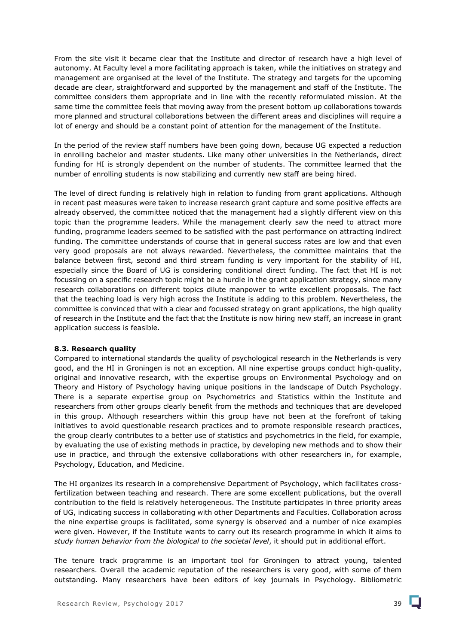From the site visit it became clear that the Institute and director of research have a high level of autonomy. At Faculty level a more facilitating approach is taken, while the initiatives on strategy and management are organised at the level of the Institute. The strategy and targets for the upcoming decade are clear, straightforward and supported by the management and staff of the Institute. The committee considers them appropriate and in line with the recently reformulated mission. At the same time the committee feels that moving away from the present bottom up collaborations towards more planned and structural collaborations between the different areas and disciplines will require a lot of energy and should be a constant point of attention for the management of the Institute.

In the period of the review staff numbers have been going down, because UG expected a reduction in enrolling bachelor and master students. Like many other universities in the Netherlands, direct funding for HI is strongly dependent on the number of students. The committee learned that the number of enrolling students is now stabilizing and currently new staff are being hired.

The level of direct funding is relatively high in relation to funding from grant applications. Although in recent past measures were taken to increase research grant capture and some positive effects are already observed, the committee noticed that the management had a slightly different view on this topic than the programme leaders. While the management clearly saw the need to attract more funding, programme leaders seemed to be satisfied with the past performance on attracting indirect funding. The committee understands of course that in general success rates are low and that even very good proposals are not always rewarded. Nevertheless, the committee maintains that the balance between first, second and third stream funding is very important for the stability of HI, especially since the Board of UG is considering conditional direct funding. The fact that HI is not focussing on a specific research topic might be a hurdle in the grant application strategy, since many research collaborations on different topics dilute manpower to write excellent proposals. The fact that the teaching load is very high across the Institute is adding to this problem. Nevertheless, the committee is convinced that with a clear and focussed strategy on grant applications, the high quality of research in the Institute and the fact that the Institute is now hiring new staff, an increase in grant application success is feasible.

## 8.3. Research quality

Compared to international standards the quality of psychological research in the Netherlands is very good, and the HI in Groningen is not an exception. All nine expertise groups conduct high-quality, original and innovative research, with the expertise groups on Environmental Psychology and on Theory and History of Psychology having unique positions in the landscape of Dutch Psychology. There is a separate expertise group on Psychometrics and Statistics within the Institute and researchers from other groups clearly benefit from the methods and techniques that are developed in this group. Although researchers within this group have not been at the forefront of taking initiatives to avoid questionable research practices and to promote responsible research practices, the group clearly contributes to a better use of statistics and psychometrics in the field, for example, by evaluating the use of existing methods in practice, by developing new methods and to show their use in practice, and through the extensive collaborations with other researchers in, for example, Psychology, Education, and Medicine.

The HI organizes its research in a comprehensive Department of Psychology, which facilitates crossfertilization between teaching and research. There are some excellent publications, but the overall contribution to the field is relatively heterogeneous. The Institute participates in three priority areas of UG, indicating success in collaborating with other Departments and Faculties. Collaboration across the nine expertise groups is facilitated, some synergy is observed and a number of nice examples were given. However, if the Institute wants to carry out its research programme in which it aims to *study human behavior from the biological to the societal level*, it should put in additional effort.

The tenure track programme is an important tool for Groningen to attract young, talented researchers. Overall the academic reputation of the researchers is very good, with some of them outstanding. Many researchers have been editors of key journals in Psychology. Bibliometric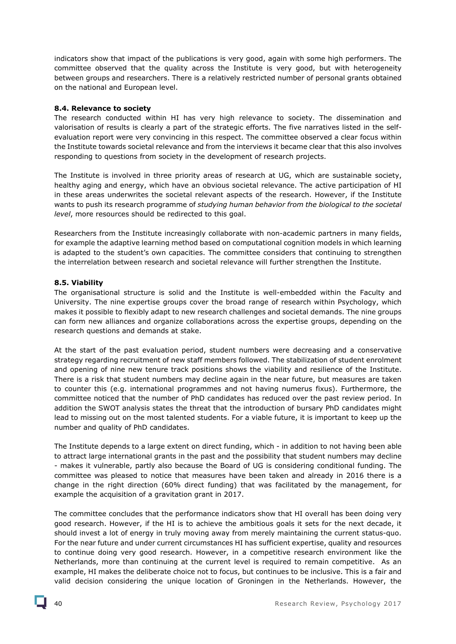indicators show that impact of the publications is very good, again with some high performers. The committee observed that the quality across the Institute is very good, but with heterogeneity between groups and researchers. There is a relatively restricted number of personal grants obtained on the national and European level.

## 8.4. Relevance to society

The research conducted within HI has very high relevance to society. The dissemination and valorisation of results is clearly a part of the strategic efforts. The five narratives listed in the selfevaluation report were very convincing in this respect. The committee observed a clear focus within the Institute towards societal relevance and from the interviews it became clear that this also involves responding to questions from society in the development of research projects.

The Institute is involved in three priority areas of research at UG, which are sustainable society, healthy aging and energy, which have an obvious societal relevance. The active participation of HI in these areas underwrites the societal relevant aspects of the research. However, if the Institute wants to push its research programme of *studying human behavior from the biological to the societal level*, more resources should be redirected to this goal.

Researchers from the Institute increasingly collaborate with non-academic partners in many fields, for example the adaptive learning method based on computational cognition models in which learning is adapted to the student's own capacities. The committee considers that continuing to strengthen the interrelation between research and societal relevance will further strengthen the Institute.

# 8.5. Viability

The organisational structure is solid and the Institute is well-embedded within the Faculty and University. The nine expertise groups cover the broad range of research within Psychology, which makes it possible to flexibly adapt to new research challenges and societal demands. The nine groups can form new alliances and organize collaborations across the expertise groups, depending on the research questions and demands at stake.

At the start of the past evaluation period, student numbers were decreasing and a conservative strategy regarding recruitment of new staff members followed. The stabilization of student enrolment and opening of nine new tenure track positions shows the viability and resilience of the Institute. There is a risk that student numbers may decline again in the near future, but measures are taken to counter this (e.g. international programmes and not having numerus fixus). Furthermore, the committee noticed that the number of PhD candidates has reduced over the past review period. In addition the SWOT analysis states the threat that the introduction of bursary PhD candidates might lead to missing out on the most talented students. For a viable future, it is important to keep up the number and quality of PhD candidates.

The Institute depends to a large extent on direct funding, which - in addition to not having been able to attract large international grants in the past and the possibility that student numbers may decline - makes it vulnerable, partly also because the Board of UG is considering conditional funding. The committee was pleased to notice that measures have been taken and already in 2016 there is a change in the right direction (60% direct funding) that was facilitated by the management, for example the acquisition of a gravitation grant in 2017.

The committee concludes that the performance indicators show that HI overall has been doing very good research. However, if the HI is to achieve the ambitious goals it sets for the next decade, it should invest a lot of energy in truly moving away from merely maintaining the current status-quo. For the near future and under current circumstances HI has sufficient expertise, quality and resources to continue doing very good research. However, in a competitive research environment like the Netherlands, more than continuing at the current level is required to remain competitive. As an example, HI makes the deliberate choice not to focus, but continues to be inclusive. This is a fair and valid decision considering the unique location of Groningen in the Netherlands. However, the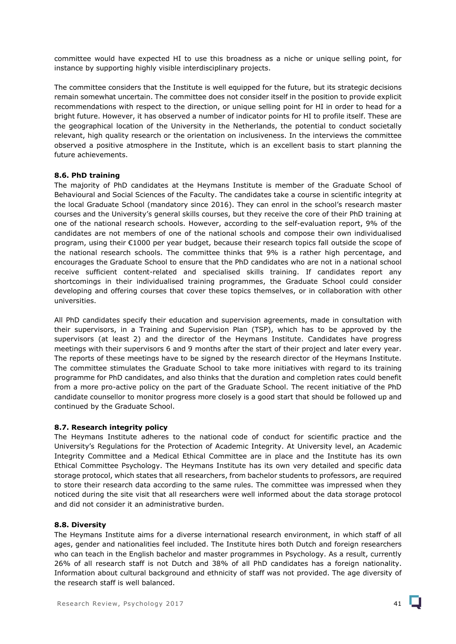committee would have expected HI to use this broadness as a niche or unique selling point, for instance by supporting highly visible interdisciplinary projects.

The committee considers that the Institute is well equipped for the future, but its strategic decisions remain somewhat uncertain. The committee does not consider itself in the position to provide explicit recommendations with respect to the direction, or unique selling point for HI in order to head for a bright future. However, it has observed a number of indicator points for HI to profile itself. These are the geographical location of the University in the Netherlands, the potential to conduct societally relevant, high quality research or the orientation on inclusiveness. In the interviews the committee observed a positive atmosphere in the Institute, which is an excellent basis to start planning the future achievements.

## 8.6. PhD training

The majority of PhD candidates at the Heymans Institute is member of the Graduate School of Behavioural and Social Sciences of the Faculty. The candidates take a course in scientific integrity at the local Graduate School (mandatory since 2016). They can enrol in the school's research master courses and the University's general skills courses, but they receive the core of their PhD training at one of the national research schools. However, according to the self-evaluation report, 9% of the candidates are not members of one of the national schools and compose their own individualised program, using their €1000 per year budget, because their research topics fall outside the scope of the national research schools. The committee thinks that 9% is a rather high percentage, and encourages the Graduate School to ensure that the PhD candidates who are not in a national school receive sufficient content-related and specialised skills training. If candidates report any shortcomings in their individualised training programmes, the Graduate School could consider developing and offering courses that cover these topics themselves, or in collaboration with other universities.

All PhD candidates specify their education and supervision agreements, made in consultation with their supervisors, in a Training and Supervision Plan (TSP), which has to be approved by the supervisors (at least 2) and the director of the Heymans Institute. Candidates have progress meetings with their supervisors 6 and 9 months after the start of their project and later every year. The reports of these meetings have to be signed by the research director of the Heymans Institute. The committee stimulates the Graduate School to take more initiatives with regard to its training programme for PhD candidates, and also thinks that the duration and completion rates could benefit from a more pro-active policy on the part of the Graduate School. The recent initiative of the PhD candidate counsellor to monitor progress more closely is a good start that should be followed up and continued by the Graduate School.

# 8.7. Research integrity policy

The Heymans Institute adheres to the national code of conduct for scientific practice and the University's Regulations for the Protection of Academic Integrity. At University level, an Academic Integrity Committee and a Medical Ethical Committee are in place and the Institute has its own Ethical Committee Psychology. The Heymans Institute has its own very detailed and specific data storage protocol, which states that all researchers, from bachelor students to professors, are required to store their research data according to the same rules. The committee was impressed when they noticed during the site visit that all researchers were well informed about the data storage protocol and did not consider it an administrative burden.

## 8.8. Diversity

The Heymans Institute aims for a diverse international research environment, in which staff of all ages, gender and nationalities feel included. The Institute hires both Dutch and foreign researchers who can teach in the English bachelor and master programmes in Psychology. As a result, currently 26% of all research staff is not Dutch and 38% of all PhD candidates has a foreign nationality. Information about cultural background and ethnicity of staff was not provided. The age diversity of the research staff is well balanced.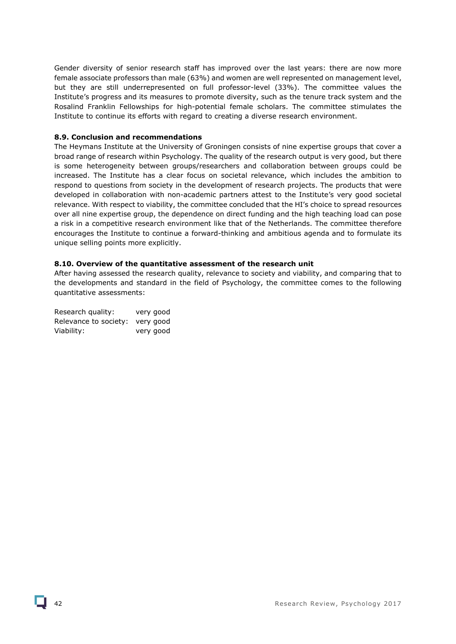Gender diversity of senior research staff has improved over the last years: there are now more female associate professors than male (63%) and women are well represented on management level, but they are still underrepresented on full professor-level (33%). The committee values the Institute's progress and its measures to promote diversity, such as the tenure track system and the Rosalind Franklin Fellowships for high-potential female scholars. The committee stimulates the Institute to continue its efforts with regard to creating a diverse research environment.

## 8.9. Conclusion and recommendations

The Heymans Institute at the University of Groningen consists of nine expertise groups that cover a broad range of research within Psychology. The quality of the research output is very good, but there is some heterogeneity between groups/researchers and collaboration between groups could be increased. The Institute has a clear focus on societal relevance, which includes the ambition to respond to questions from society in the development of research projects. The products that were developed in collaboration with non-academic partners attest to the Institute's very good societal relevance. With respect to viability, the committee concluded that the HI's choice to spread resources over all nine expertise group, the dependence on direct funding and the high teaching load can pose a risk in a competitive research environment like that of the Netherlands. The committee therefore encourages the Institute to continue a forward-thinking and ambitious agenda and to formulate its unique selling points more explicitly.

## 8.10. Overview of the quantitative assessment of the research unit

After having assessed the research quality, relevance to society and viability, and comparing that to the developments and standard in the field of Psychology, the committee comes to the following quantitative assessments:

| Research quality:     | very good |
|-----------------------|-----------|
| Relevance to society: | very good |
| Viability:            | very good |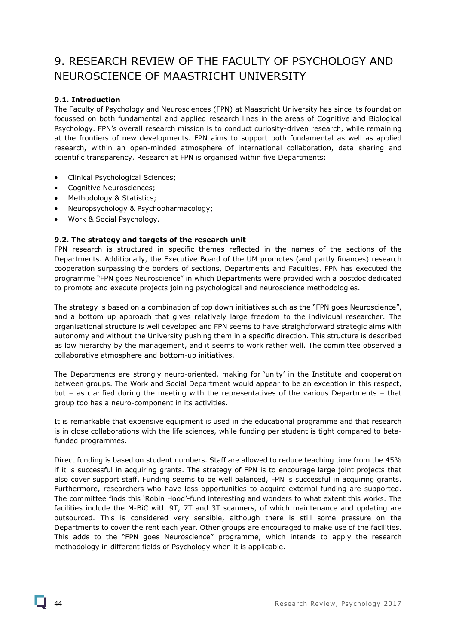# 9. RESEARCH REVIEW OF THE FACULTY OF PSYCHOLOGY AND NEUROSCIENCE OF MAASTRICHT UNIVERSITY

# 9.1. Introduction

The Faculty of Psychology and Neurosciences (FPN) at Maastricht University has since its foundation focussed on both fundamental and applied research lines in the areas of Cognitive and Biological Psychology. FPN's overall research mission is to conduct curiosity-driven research, while remaining at the frontiers of new developments. FPN aims to support both fundamental as well as applied research, within an open-minded atmosphere of international collaboration, data sharing and scientific transparency. Research at FPN is organised within five Departments:

- Clinical Psychological Sciences;
- Cognitive Neurosciences;
- Methodology & Statistics;
- Neuropsychology & Psychopharmacology;
- Work & Social Psychology.

# 9.2. The strategy and targets of the research unit

FPN research is structured in specific themes reflected in the names of the sections of the Departments. Additionally, the Executive Board of the UM promotes (and partly finances) research cooperation surpassing the borders of sections, Departments and Faculties. FPN has executed the programme "FPN goes Neuroscience" in which Departments were provided with a postdoc dedicated to promote and execute projects joining psychological and neuroscience methodologies.

The strategy is based on a combination of top down initiatives such as the "FPN goes Neuroscience", and a bottom up approach that gives relatively large freedom to the individual researcher. The organisational structure is well developed and FPN seems to have straightforward strategic aims with autonomy and without the University pushing them in a specific direction. This structure is described as low hierarchy by the management, and it seems to work rather well. The committee observed a collaborative atmosphere and bottom-up initiatives.

The Departments are strongly neuro-oriented, making for 'unity' in the Institute and cooperation between groups. The Work and Social Department would appear to be an exception in this respect, but – as clarified during the meeting with the representatives of the various Departments – that group too has a neuro-component in its activities.

It is remarkable that expensive equipment is used in the educational programme and that research is in close collaborations with the life sciences, while funding per student is tight compared to betafunded programmes.

Direct funding is based on student numbers. Staff are allowed to reduce teaching time from the 45% if it is successful in acquiring grants. The strategy of FPN is to encourage large joint projects that also cover support staff. Funding seems to be well balanced, FPN is successful in acquiring grants. Furthermore, researchers who have less opportunities to acquire external funding are supported. The committee finds this 'Robin Hood'-fund interesting and wonders to what extent this works. The facilities include the M-BiC with 9T, 7T and 3T scanners, of which maintenance and updating are outsourced. This is considered very sensible, although there is still some pressure on the Departments to cover the rent each year. Other groups are encouraged to make use of the facilities. This adds to the "FPN goes Neuroscience" programme, which intends to apply the research methodology in different fields of Psychology when it is applicable.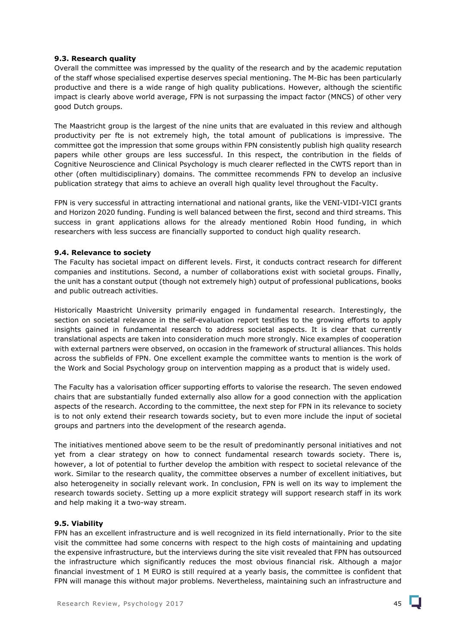## 9.3. Research quality

Overall the committee was impressed by the quality of the research and by the academic reputation of the staff whose specialised expertise deserves special mentioning. The M-Bic has been particularly productive and there is a wide range of high quality publications. However, although the scientific impact is clearly above world average, FPN is not surpassing the impact factor (MNCS) of other very good Dutch groups.

The Maastricht group is the largest of the nine units that are evaluated in this review and although productivity per fte is not extremely high, the total amount of publications is impressive. The committee got the impression that some groups within FPN consistently publish high quality research papers while other groups are less successful. In this respect, the contribution in the fields of Cognitive Neuroscience and Clinical Psychology is much clearer reflected in the CWTS report than in other (often multidisciplinary) domains. The committee recommends FPN to develop an inclusive publication strategy that aims to achieve an overall high quality level throughout the Faculty.

FPN is very successful in attracting international and national grants, like the VENI-VIDI-VICI grants and Horizon 2020 funding. Funding is well balanced between the first, second and third streams. This success in grant applications allows for the already mentioned Robin Hood funding, in which researchers with less success are financially supported to conduct high quality research.

## 9.4. Relevance to society

The Faculty has societal impact on different levels. First, it conducts contract research for different companies and institutions. Second, a number of collaborations exist with societal groups. Finally, the unit has a constant output (though not extremely high) output of professional publications, books and public outreach activities.

Historically Maastricht University primarily engaged in fundamental research. Interestingly, the section on societal relevance in the self-evaluation report testifies to the growing efforts to apply insights gained in fundamental research to address societal aspects. It is clear that currently translational aspects are taken into consideration much more strongly. Nice examples of cooperation with external partners were observed, on occasion in the framework of structural alliances. This holds across the subfields of FPN. One excellent example the committee wants to mention is the work of the Work and Social Psychology group on intervention mapping as a product that is widely used.

The Faculty has a valorisation officer supporting efforts to valorise the research. The seven endowed chairs that are substantially funded externally also allow for a good connection with the application aspects of the research. According to the committee, the next step for FPN in its relevance to society is to not only extend their research towards society, but to even more include the input of societal groups and partners into the development of the research agenda.

The initiatives mentioned above seem to be the result of predominantly personal initiatives and not yet from a clear strategy on how to connect fundamental research towards society. There is, however, a lot of potential to further develop the ambition with respect to societal relevance of the work. Similar to the research quality, the committee observes a number of excellent initiatives, but also heterogeneity in socially relevant work. In conclusion, FPN is well on its way to implement the research towards society. Setting up a more explicit strategy will support research staff in its work and help making it a two-way stream.

## 9.5. Viability

FPN has an excellent infrastructure and is well recognized in its field internationally. Prior to the site visit the committee had some concerns with respect to the high costs of maintaining and updating the expensive infrastructure, but the interviews during the site visit revealed that FPN has outsourced the infrastructure which significantly reduces the most obvious financial risk. Although a major financial investment of 1 M EURO is still required at a yearly basis, the committee is confident that FPN will manage this without major problems. Nevertheless, maintaining such an infrastructure and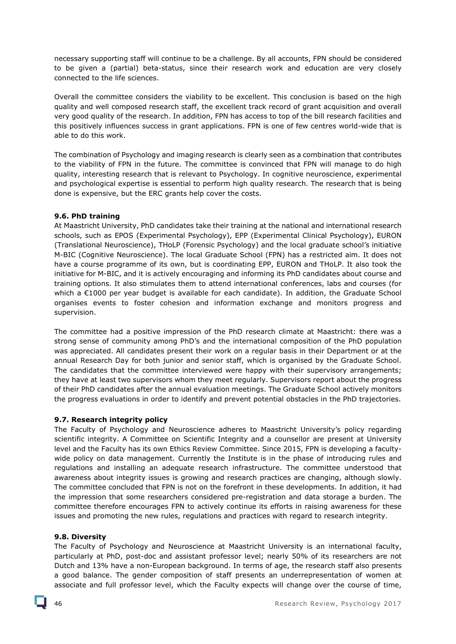necessary supporting staff will continue to be a challenge. By all accounts, FPN should be considered to be given a (partial) beta-status, since their research work and education are very closely connected to the life sciences.

Overall the committee considers the viability to be excellent. This conclusion is based on the high quality and well composed research staff, the excellent track record of grant acquisition and overall very good quality of the research. In addition, FPN has access to top of the bill research facilities and this positively influences success in grant applications. FPN is one of few centres world-wide that is able to do this work.

The combination of Psychology and imaging research is clearly seen as a combination that contributes to the viability of FPN in the future. The committee is convinced that FPN will manage to do high quality, interesting research that is relevant to Psychology. In cognitive neuroscience, experimental and psychological expertise is essential to perform high quality research. The research that is being done is expensive, but the ERC grants help cover the costs.

## 9.6. PhD training

At Maastricht University, PhD candidates take their training at the national and international research schools, such as EPOS (Experimental Psychology), EPP (Experimental Clinical Psychology), EURON (Translational Neuroscience), THoLP (Forensic Psychology) and the local graduate school's initiative M-BIC (Cognitive Neuroscience). The local Graduate School (FPN) has a restricted aim. It does not have a course programme of its own, but is coordinating EPP, EURON and THoLP. It also took the initiative for M-BIC, and it is actively encouraging and informing its PhD candidates about course and training options. It also stimulates them to attend international conferences, labs and courses (for which a €1000 per year budget is available for each candidate). In addition, the Graduate School organises events to foster cohesion and information exchange and monitors progress and supervision.

The committee had a positive impression of the PhD research climate at Maastricht: there was a strong sense of community among PhD's and the international composition of the PhD population was appreciated. All candidates present their work on a regular basis in their Department or at the annual Research Day for both junior and senior staff, which is organised by the Graduate School. The candidates that the committee interviewed were happy with their supervisory arrangements; they have at least two supervisors whom they meet regularly. Supervisors report about the progress of their PhD candidates after the annual evaluation meetings. The Graduate School actively monitors the progress evaluations in order to identify and prevent potential obstacles in the PhD trajectories.

## 9.7. Research integrity policy

The Faculty of Psychology and Neuroscience adheres to Maastricht University's policy regarding scientific integrity. A Committee on Scientific Integrity and a counsellor are present at University level and the Faculty has its own Ethics Review Committee. Since 2015, FPN is developing a facultywide policy on data management. Currently the Institute is in the phase of introducing rules and regulations and installing an adequate research infrastructure. The committee understood that awareness about integrity issues is growing and research practices are changing, although slowly. The committee concluded that FPN is not on the forefront in these developments. In addition, it had the impression that some researchers considered pre-registration and data storage a burden. The committee therefore encourages FPN to actively continue its efforts in raising awareness for these issues and promoting the new rules, regulations and practices with regard to research integrity.

## 9.8. Diversity

The Faculty of Psychology and Neuroscience at Maastricht University is an international faculty, particularly at PhD, post-doc and assistant professor level; nearly 50% of its researchers are not Dutch and 13% have a non-European background. In terms of age, the research staff also presents a good balance. The gender composition of staff presents an underrepresentation of women at associate and full professor level, which the Faculty expects will change over the course of time,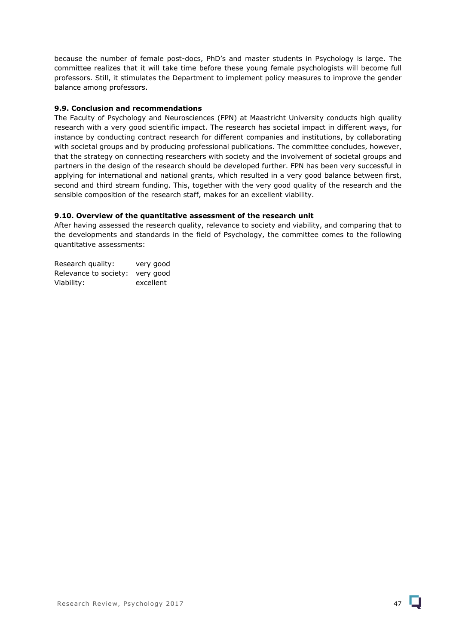because the number of female post-docs, PhD's and master students in Psychology is large. The committee realizes that it will take time before these young female psychologists will become full professors. Still, it stimulates the Department to implement policy measures to improve the gender balance among professors.

## 9.9. Conclusion and recommendations

The Faculty of Psychology and Neurosciences (FPN) at Maastricht University conducts high quality research with a very good scientific impact. The research has societal impact in different ways, for instance by conducting contract research for different companies and institutions, by collaborating with societal groups and by producing professional publications. The committee concludes, however, that the strategy on connecting researchers with society and the involvement of societal groups and partners in the design of the research should be developed further. FPN has been very successful in applying for international and national grants, which resulted in a very good balance between first, second and third stream funding. This, together with the very good quality of the research and the sensible composition of the research staff, makes for an excellent viability.

## 9.10. Overview of the quantitative assessment of the research unit

After having assessed the research quality, relevance to society and viability, and comparing that to the developments and standards in the field of Psychology, the committee comes to the following quantitative assessments:

Research quality: very good Relevance to society: very good Viability: excellent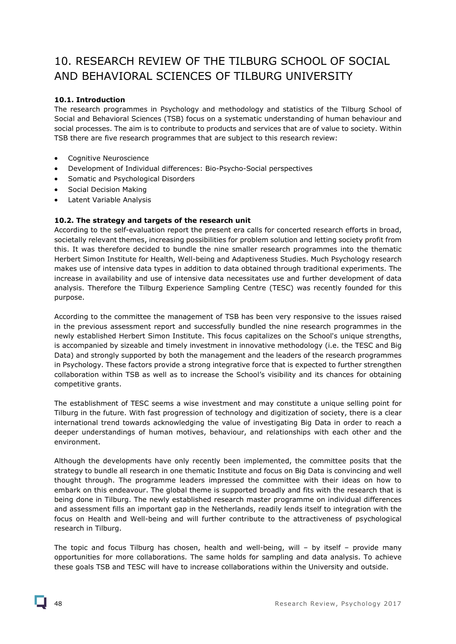# 10. RESEARCH REVIEW OF THE TILBURG SCHOOL OF SOCIAL AND BEHAVIORAL SCIENCES OF TILBURG UNIVERSITY

# 10.1. Introduction

The research programmes in Psychology and methodology and statistics of the Tilburg School of Social and Behavioral Sciences (TSB) focus on a systematic understanding of human behaviour and social processes. The aim is to contribute to products and services that are of value to society. Within TSB there are five research programmes that are subject to this research review:

- Cognitive Neuroscience
- Development of Individual differences: Bio-Psycho-Social perspectives
- Somatic and Psychological Disorders
- Social Decision Making
- Latent Variable Analysis

# 10.2. The strategy and targets of the research unit

According to the self-evaluation report the present era calls for concerted research efforts in broad, societally relevant themes, increasing possibilities for problem solution and letting society profit from this. It was therefore decided to bundle the nine smaller research programmes into the thematic Herbert Simon Institute for Health, Well-being and Adaptiveness Studies. Much Psychology research makes use of intensive data types in addition to data obtained through traditional experiments. The increase in availability and use of intensive data necessitates use and further development of data analysis. Therefore the Tilburg Experience Sampling Centre (TESC) was recently founded for this purpose.

According to the committee the management of TSB has been very responsive to the issues raised in the previous assessment report and successfully bundled the nine research programmes in the newly established Herbert Simon Institute. This focus capitalizes on the School's unique strengths, is accompanied by sizeable and timely investment in innovative methodology (i.e. the TESC and Big Data) and strongly supported by both the management and the leaders of the research programmes in Psychology. These factors provide a strong integrative force that is expected to further strengthen collaboration within TSB as well as to increase the School's visibility and its chances for obtaining competitive grants.

The establishment of TESC seems a wise investment and may constitute a unique selling point for Tilburg in the future. With fast progression of technology and digitization of society, there is a clear international trend towards acknowledging the value of investigating Big Data in order to reach a deeper understandings of human motives, behaviour, and relationships with each other and the environment.

Although the developments have only recently been implemented, the committee posits that the strategy to bundle all research in one thematic Institute and focus on Big Data is convincing and well thought through. The programme leaders impressed the committee with their ideas on how to embark on this endeavour. The global theme is supported broadly and fits with the research that is being done in Tilburg. The newly established research master programme on individual differences and assessment fills an important gap in the Netherlands, readily lends itself to integration with the focus on Health and Well-being and will further contribute to the attractiveness of psychological research in Tilburg.

The topic and focus Tilburg has chosen, health and well-being, will – by itself – provide many opportunities for more collaborations. The same holds for sampling and data analysis. To achieve these goals TSB and TESC will have to increase collaborations within the University and outside.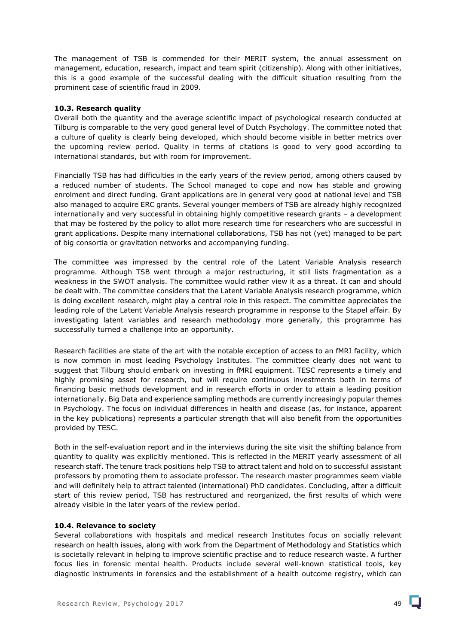The management of TSB is commended for their MERIT system, the annual assessment on management, education, research, impact and team spirit (citizenship). Along with other initiatives, this is a good example of the successful dealing with the difficult situation resulting from the prominent case of scientific fraud in 2009.

## 10.3. Research quality

Overall both the quantity and the average scientific impact of psychological research conducted at Tilburg is comparable to the very good general level of Dutch Psychology. The committee noted that a culture of quality is clearly being developed, which should become visible in better metrics over the upcoming review period. Quality in terms of citations is good to very good according to international standards, but with room for improvement.

Financially TSB has had difficulties in the early years of the review period, among others caused by a reduced number of students. The School managed to cope and now has stable and growing enrolment and direct funding. Grant applications are in general very good at national level and TSB also managed to acquire ERC grants. Several younger members of TSB are already highly recognized internationally and very successful in obtaining highly competitive research grants – a development that may be fostered by the policy to allot more research time for researchers who are successful in grant applications. Despite many international collaborations, TSB has not (yet) managed to be part of big consortia or gravitation networks and accompanying funding.

The committee was impressed by the central role of the Latent Variable Analysis research programme. Although TSB went through a major restructuring, it still lists fragmentation as a weakness in the SWOT analysis. The committee would rather view it as a threat. It can and should be dealt with. The committee considers that the Latent Variable Analysis research programme, which is doing excellent research, might play a central role in this respect. The committee appreciates the leading role of the Latent Variable Analysis research programme in response to the Stapel affair. By investigating latent variables and research methodology more generally, this programme has successfully turned a challenge into an opportunity.

Research facilities are state of the art with the notable exception of access to an fMRI facility, which is now common in most leading Psychology Institutes. The committee clearly does not want to suggest that Tilburg should embark on investing in fMRI equipment. TESC represents a timely and highly promising asset for research, but will require continuous investments both in terms of financing basic methods development and in research efforts in order to attain a leading position internationally. Big Data and experience sampling methods are currently increasingly popular themes in Psychology. The focus on individual differences in health and disease (as, for instance, apparent in the key publications) represents a particular strength that will also benefit from the opportunities provided by TESC.

Both in the self-evaluation report and in the interviews during the site visit the shifting balance from quantity to quality was explicitly mentioned. This is reflected in the MERIT yearly assessment of all research staff. The tenure track positions help TSB to attract talent and hold on to successful assistant professors by promoting them to associate professor. The research master programmes seem viable and will definitely help to attract talented (international) PhD candidates. Concluding, after a difficult start of this review period, TSB has restructured and reorganized, the first results of which were already visible in the later years of the review period.

# 10.4. Relevance to society

Several collaborations with hospitals and medical research Institutes focus on socially relevant research on health issues, along with work from the Department of Methodology and Statistics which is societally relevant in helping to improve scientific practise and to reduce research waste. A further focus lies in forensic mental health. Products include several well-known statistical tools, key diagnostic instruments in forensics and the establishment of a health outcome registry, which can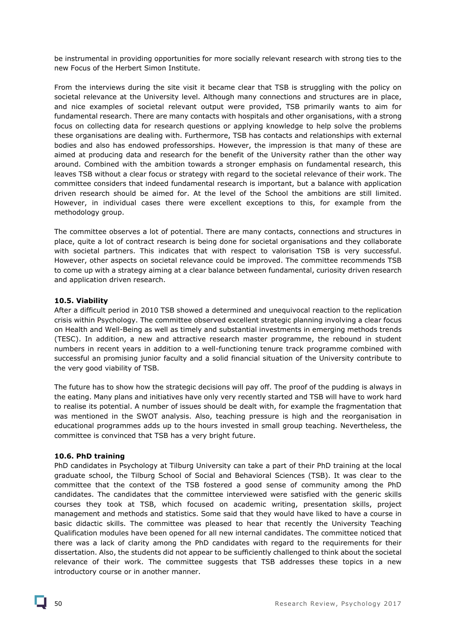be instrumental in providing opportunities for more socially relevant research with strong ties to the new Focus of the Herbert Simon Institute.

From the interviews during the site visit it became clear that TSB is struggling with the policy on societal relevance at the University level. Although many connections and structures are in place, and nice examples of societal relevant output were provided, TSB primarily wants to aim for fundamental research. There are many contacts with hospitals and other organisations, with a strong focus on collecting data for research questions or applying knowledge to help solve the problems these organisations are dealing with. Furthermore, TSB has contacts and relationships with external bodies and also has endowed professorships. However, the impression is that many of these are aimed at producing data and research for the benefit of the University rather than the other way around. Combined with the ambition towards a stronger emphasis on fundamental research, this leaves TSB without a clear focus or strategy with regard to the societal relevance of their work. The committee considers that indeed fundamental research is important, but a balance with application driven research should be aimed for. At the level of the School the ambitions are still limited. However, in individual cases there were excellent exceptions to this, for example from the methodology group.

The committee observes a lot of potential. There are many contacts, connections and structures in place, quite a lot of contract research is being done for societal organisations and they collaborate with societal partners. This indicates that with respect to valorisation TSB is very successful. However, other aspects on societal relevance could be improved. The committee recommends TSB to come up with a strategy aiming at a clear balance between fundamental, curiosity driven research and application driven research.

## 10.5. Viability

After a difficult period in 2010 TSB showed a determined and unequivocal reaction to the replication crisis within Psychology. The committee observed excellent strategic planning involving a clear focus on Health and Well-Being as well as timely and substantial investments in emerging methods trends (TESC). In addition, a new and attractive research master programme, the rebound in student numbers in recent years in addition to a well-functioning tenure track programme combined with successful an promising junior faculty and a solid financial situation of the University contribute to the very good viability of TSB.

The future has to show how the strategic decisions will pay off. The proof of the pudding is always in the eating. Many plans and initiatives have only very recently started and TSB will have to work hard to realise its potential. A number of issues should be dealt with, for example the fragmentation that was mentioned in the SWOT analysis. Also, teaching pressure is high and the reorganisation in educational programmes adds up to the hours invested in small group teaching. Nevertheless, the committee is convinced that TSB has a very bright future.

## 10.6. PhD training

PhD candidates in Psychology at Tilburg University can take a part of their PhD training at the local graduate school, the Tilburg School of Social and Behavioral Sciences (TSB). It was clear to the committee that the context of the TSB fostered a good sense of community among the PhD candidates. The candidates that the committee interviewed were satisfied with the generic skills courses they took at TSB, which focused on academic writing, presentation skills, project management and methods and statistics. Some said that they would have liked to have a course in basic didactic skills. The committee was pleased to hear that recently the University Teaching Qualification modules have been opened for all new internal candidates. The committee noticed that there was a lack of clarity among the PhD candidates with regard to the requirements for their dissertation. Also, the students did not appear to be sufficiently challenged to think about the societal relevance of their work. The committee suggests that TSB addresses these topics in a new introductory course or in another manner.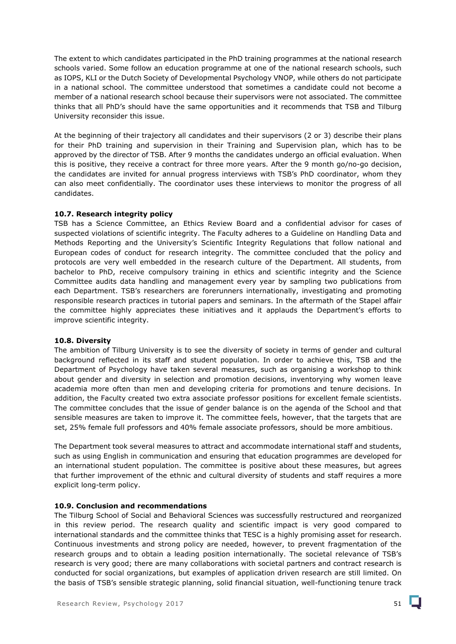The extent to which candidates participated in the PhD training programmes at the national research schools varied. Some follow an education programme at one of the national research schools, such as IOPS, KLI or the Dutch Society of Developmental Psychology VNOP, while others do not participate in a national school. The committee understood that sometimes a candidate could not become a member of a national research school because their supervisors were not associated. The committee thinks that all PhD's should have the same opportunities and it recommends that TSB and Tilburg University reconsider this issue.

At the beginning of their trajectory all candidates and their supervisors (2 or 3) describe their plans for their PhD training and supervision in their Training and Supervision plan, which has to be approved by the director of TSB. After 9 months the candidates undergo an official evaluation. When this is positive, they receive a contract for three more years. After the 9 month go/no-go decision, the candidates are invited for annual progress interviews with TSB's PhD coordinator, whom they can also meet confidentially. The coordinator uses these interviews to monitor the progress of all candidates.

## 10.7. Research integrity policy

TSB has a Science Committee, an Ethics Review Board and a confidential advisor for cases of suspected violations of scientific integrity. The Faculty adheres to a Guideline on Handling Data and Methods Reporting and the University's Scientific Integrity Regulations that follow national and European codes of conduct for research integrity. The committee concluded that the policy and protocols are very well embedded in the research culture of the Department. All students, from bachelor to PhD, receive compulsory training in ethics and scientific integrity and the Science Committee audits data handling and management every year by sampling two publications from each Department. TSB's researchers are forerunners internationally, investigating and promoting responsible research practices in tutorial papers and seminars. In the aftermath of the Stapel affair the committee highly appreciates these initiatives and it applauds the Department's efforts to improve scientific integrity.

## 10.8. Diversity

The ambition of Tilburg University is to see the diversity of society in terms of gender and cultural background reflected in its staff and student population. In order to achieve this, TSB and the Department of Psychology have taken several measures, such as organising a workshop to think about gender and diversity in selection and promotion decisions, inventorying why women leave academia more often than men and developing criteria for promotions and tenure decisions. In addition, the Faculty created two extra associate professor positions for excellent female scientists. The committee concludes that the issue of gender balance is on the agenda of the School and that sensible measures are taken to improve it. The committee feels, however, that the targets that are set, 25% female full professors and 40% female associate professors, should be more ambitious.

The Department took several measures to attract and accommodate international staff and students, such as using English in communication and ensuring that education programmes are developed for an international student population. The committee is positive about these measures, but agrees that further improvement of the ethnic and cultural diversity of students and staff requires a more explicit long-term policy.

# 10.9. Conclusion and recommendations

The Tilburg School of Social and Behavioral Sciences was successfully restructured and reorganized in this review period. The research quality and scientific impact is very good compared to international standards and the committee thinks that TESC is a highly promising asset for research. Continuous investments and strong policy are needed, however, to prevent fragmentation of the research groups and to obtain a leading position internationally. The societal relevance of TSB's research is very good; there are many collaborations with societal partners and contract research is conducted for social organizations, but examples of application driven research are still limited. On the basis of TSB's sensible strategic planning, solid financial situation, well-functioning tenure track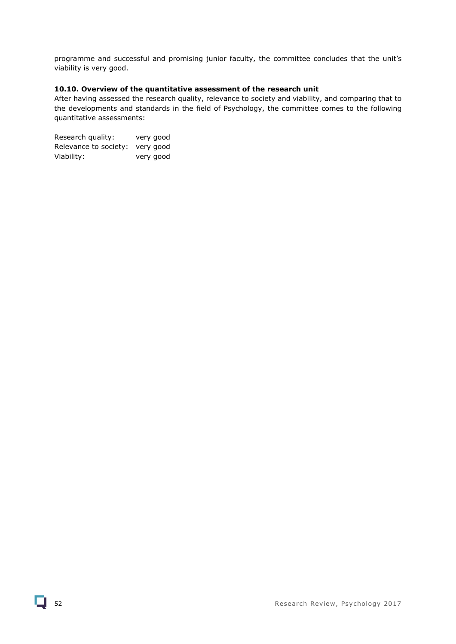programme and successful and promising junior faculty, the committee concludes that the unit's viability is very good.

# 10.10. Overview of the quantitative assessment of the research unit

After having assessed the research quality, relevance to society and viability, and comparing that to the developments and standards in the field of Psychology, the committee comes to the following quantitative assessments:

Research quality: very good Relevance to society: very good Viability: very good

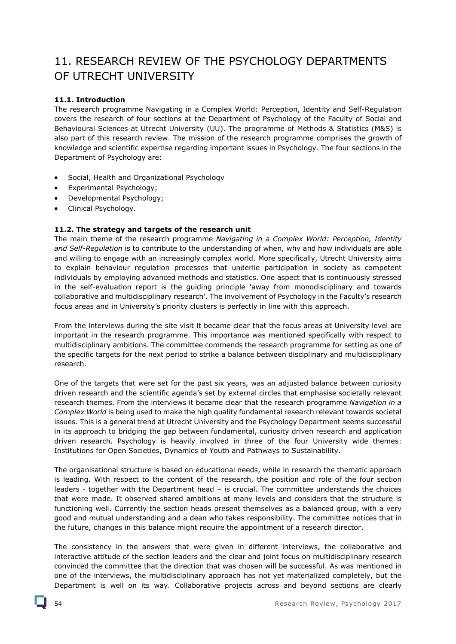# 11. RESEARCH REVIEW OF THE PSYCHOLOGY DEPARTMENTS OF UTRECHT UNIVERSITY

# 11.1. Introduction

The research programme Navigating in a Complex World: Perception, Identity and Self-Regulation covers the research of four sections at the Department of Psychology of the Faculty of Social and Behavioural Sciences at Utrecht University (UU). The programme of Methods & Statistics (M&S) is also part of this research review. The mission of the research programme comprises the growth of knowledge and scientific expertise regarding important issues in Psychology. The four sections in the Department of Psychology are:

- Social, Health and Organizational Psychology
- Experimental Psychology;
- Developmental Psychology;
- Clinical Psychology.

# 11.2. The strategy and targets of the research unit

The main theme of the research programme *Navigating in a Complex World: Perception, Identity and Self-Regulation* is to contribute to the understanding of when, why and how individuals are able and willing to engage with an increasingly complex world. More specifically, Utrecht University aims to explain behaviour regulation processes that underlie participation in society as competent individuals by employing advanced methods and statistics. One aspect that is continuously stressed in the self-evaluation report is the guiding principle 'away from monodisciplinary and towards collaborative and multidisciplinary research'. The involvement of Psychology in the Faculty's research focus areas and in University's priority clusters is perfectly in line with this approach.

From the interviews during the site visit it became clear that the focus areas at University level are important in the research programme. This importance was mentioned specifically with respect to multidisciplinary ambitions. The committee commends the research programme for setting as one of the specific targets for the next period to strike a balance between disciplinary and multidisciplinary research.

One of the targets that were set for the past six years, was an adjusted balance between curiosity driven research and the scientific agenda's set by external circles that emphasise societally relevant research themes. From the interviews it became clear that the research programme *Navigation in a Complex World* is being used to make the high quality fundamental research relevant towards societal issues. This is a general trend at Utrecht University and the Psychology Department seems successful in its approach to bridging the gap between fundamental, curiosity driven research and application driven research. Psychology is heavily involved in three of the four University wide themes: Institutions for Open Societies, Dynamics of Youth and Pathways to Sustainability.

The organisational structure is based on educational needs, while in research the thematic approach is leading. With respect to the content of the research, the position and role of the four section leaders - together with the Department head – is crucial. The committee understands the choices that were made. It observed shared ambitions at many levels and considers that the structure is functioning well. Currently the section heads present themselves as a balanced group, with a very good and mutual understanding and a dean who takes responsibility. The committee notices that in the future, changes in this balance might require the appointment of a research director.

The consistency in the answers that were given in different interviews, the collaborative and interactive attitude of the section leaders and the clear and joint focus on multidisciplinary research convinced the committee that the direction that was chosen will be successful. As was mentioned in one of the interviews, the multidisciplinary approach has not yet materialized completely, but the Department is well on its way. Collaborative projects across and beyond sections are clearly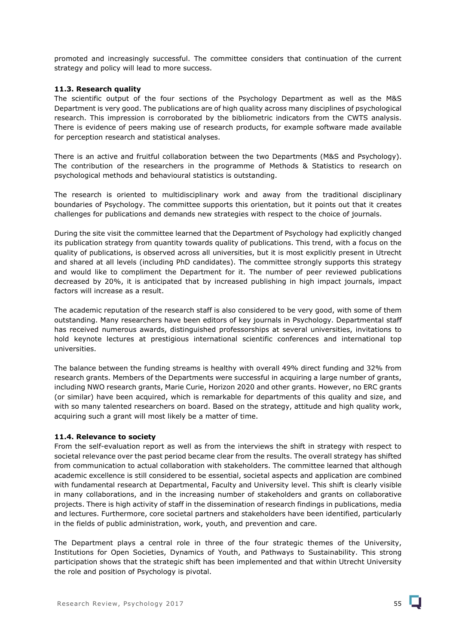promoted and increasingly successful. The committee considers that continuation of the current strategy and policy will lead to more success.

## 11.3. Research quality

The scientific output of the four sections of the Psychology Department as well as the M&S Department is very good. The publications are of high quality across many disciplines of psychological research. This impression is corroborated by the bibliometric indicators from the CWTS analysis. There is evidence of peers making use of research products, for example software made available for perception research and statistical analyses.

There is an active and fruitful collaboration between the two Departments (M&S and Psychology). The contribution of the researchers in the programme of Methods & Statistics to research on psychological methods and behavioural statistics is outstanding.

The research is oriented to multidisciplinary work and away from the traditional disciplinary boundaries of Psychology. The committee supports this orientation, but it points out that it creates challenges for publications and demands new strategies with respect to the choice of journals.

During the site visit the committee learned that the Department of Psychology had explicitly changed its publication strategy from quantity towards quality of publications. This trend, with a focus on the quality of publications, is observed across all universities, but it is most explicitly present in Utrecht and shared at all levels (including PhD candidates). The committee strongly supports this strategy and would like to compliment the Department for it. The number of peer reviewed publications decreased by 20%, it is anticipated that by increased publishing in high impact journals, impact factors will increase as a result.

The academic reputation of the research staff is also considered to be very good, with some of them outstanding. Many researchers have been editors of key journals in Psychology. Departmental staff has received numerous awards, distinguished professorships at several universities, invitations to hold keynote lectures at prestigious international scientific conferences and international top universities.

The balance between the funding streams is healthy with overall 49% direct funding and 32% from research grants. Members of the Departments were successful in acquiring a large number of grants, including NWO research grants, Marie Curie, Horizon 2020 and other grants. However, no ERC grants (or similar) have been acquired, which is remarkable for departments of this quality and size, and with so many talented researchers on board. Based on the strategy, attitude and high quality work, acquiring such a grant will most likely be a matter of time.

## 11.4. Relevance to society

From the self-evaluation report as well as from the interviews the shift in strategy with respect to societal relevance over the past period became clear from the results. The overall strategy has shifted from communication to actual collaboration with stakeholders. The committee learned that although academic excellence is still considered to be essential, societal aspects and application are combined with fundamental research at Departmental, Faculty and University level. This shift is clearly visible in many collaborations, and in the increasing number of stakeholders and grants on collaborative projects. There is high activity of staff in the dissemination of research findings in publications, media and lectures. Furthermore, core societal partners and stakeholders have been identified, particularly in the fields of public administration, work, youth, and prevention and care.

The Department plays a central role in three of the four strategic themes of the University, Institutions for Open Societies, Dynamics of Youth, and Pathways to Sustainability. This strong participation shows that the strategic shift has been implemented and that within Utrecht University the role and position of Psychology is pivotal.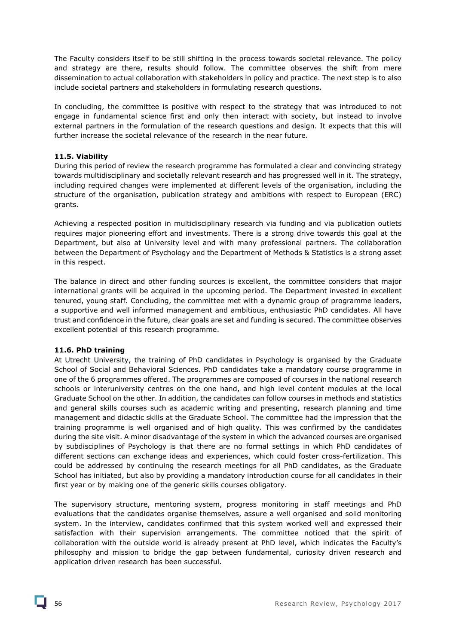The Faculty considers itself to be still shifting in the process towards societal relevance. The policy and strategy are there, results should follow. The committee observes the shift from mere dissemination to actual collaboration with stakeholders in policy and practice. The next step is to also include societal partners and stakeholders in formulating research questions.

In concluding, the committee is positive with respect to the strategy that was introduced to not engage in fundamental science first and only then interact with society, but instead to involve external partners in the formulation of the research questions and design. It expects that this will further increase the societal relevance of the research in the near future.

# 11.5. Viability

During this period of review the research programme has formulated a clear and convincing strategy towards multidisciplinary and societally relevant research and has progressed well in it. The strategy, including required changes were implemented at different levels of the organisation, including the structure of the organisation, publication strategy and ambitions with respect to European (ERC) grants.

Achieving a respected position in multidisciplinary research via funding and via publication outlets requires major pioneering effort and investments. There is a strong drive towards this goal at the Department, but also at University level and with many professional partners. The collaboration between the Department of Psychology and the Department of Methods & Statistics is a strong asset in this respect.

The balance in direct and other funding sources is excellent, the committee considers that major international grants will be acquired in the upcoming period. The Department invested in excellent tenured, young staff. Concluding, the committee met with a dynamic group of programme leaders, a supportive and well informed management and ambitious, enthusiastic PhD candidates. All have trust and confidence in the future, clear goals are set and funding is secured. The committee observes excellent potential of this research programme.

# 11.6. PhD training

At Utrecht University, the training of PhD candidates in Psychology is organised by the Graduate School of Social and Behavioral Sciences. PhD candidates take a mandatory course programme in one of the 6 programmes offered. The programmes are composed of courses in the national research schools or interuniversity centres on the one hand, and high level content modules at the local Graduate School on the other. In addition, the candidates can follow courses in methods and statistics and general skills courses such as academic writing and presenting, research planning and time management and didactic skills at the Graduate School. The committee had the impression that the training programme is well organised and of high quality. This was confirmed by the candidates during the site visit. A minor disadvantage of the system in which the advanced courses are organised by subdisciplines of Psychology is that there are no formal settings in which PhD candidates of different sections can exchange ideas and experiences, which could foster cross-fertilization. This could be addressed by continuing the research meetings for all PhD candidates, as the Graduate School has initiated, but also by providing a mandatory introduction course for all candidates in their first year or by making one of the generic skills courses obligatory.

The supervisory structure, mentoring system, progress monitoring in staff meetings and PhD evaluations that the candidates organise themselves, assure a well organised and solid monitoring system. In the interview, candidates confirmed that this system worked well and expressed their satisfaction with their supervision arrangements. The committee noticed that the spirit of collaboration with the outside world is already present at PhD level, which indicates the Faculty's philosophy and mission to bridge the gap between fundamental, curiosity driven research and application driven research has been successful.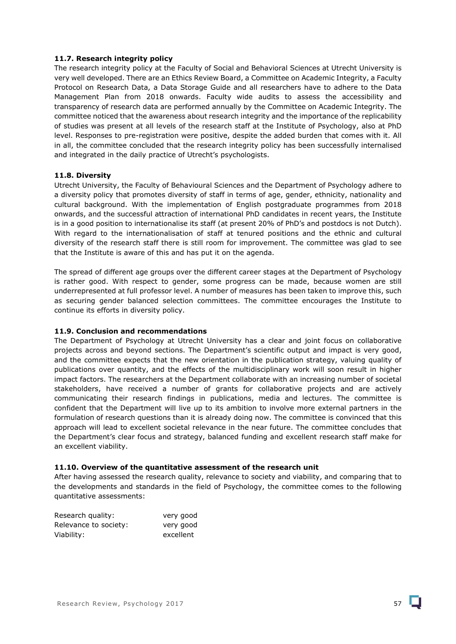## 11.7. Research integrity policy

The research integrity policy at the Faculty of Social and Behavioral Sciences at Utrecht University is very well developed. There are an Ethics Review Board, a Committee on Academic Integrity, a Faculty Protocol on Research Data, a Data Storage Guide and all researchers have to adhere to the Data Management Plan from 2018 onwards. Faculty wide audits to assess the accessibility and transparency of research data are performed annually by the Committee on Academic Integrity. The committee noticed that the awareness about research integrity and the importance of the replicability of studies was present at all levels of the research staff at the Institute of Psychology, also at PhD level. Responses to pre-registration were positive, despite the added burden that comes with it. All in all, the committee concluded that the research integrity policy has been successfully internalised and integrated in the daily practice of Utrecht's psychologists.

## 11.8. Diversity

Utrecht University, the Faculty of Behavioural Sciences and the Department of Psychology adhere to a diversity policy that promotes diversity of staff in terms of age, gender, ethnicity, nationality and cultural background. With the implementation of English postgraduate programmes from 2018 onwards, and the successful attraction of international PhD candidates in recent years, the Institute is in a good position to internationalise its staff (at present 20% of PhD's and postdocs is not Dutch). With regard to the internationalisation of staff at tenured positions and the ethnic and cultural diversity of the research staff there is still room for improvement. The committee was glad to see that the Institute is aware of this and has put it on the agenda.

The spread of different age groups over the different career stages at the Department of Psychology is rather good. With respect to gender, some progress can be made, because women are still underrepresented at full professor level. A number of measures has been taken to improve this, such as securing gender balanced selection committees. The committee encourages the Institute to continue its efforts in diversity policy.

## 11.9. Conclusion and recommendations

The Department of Psychology at Utrecht University has a clear and joint focus on collaborative projects across and beyond sections. The Department's scientific output and impact is very good, and the committee expects that the new orientation in the publication strategy, valuing quality of publications over quantity, and the effects of the multidisciplinary work will soon result in higher impact factors. The researchers at the Department collaborate with an increasing number of societal stakeholders, have received a number of grants for collaborative projects and are actively communicating their research findings in publications, media and lectures. The committee is confident that the Department will live up to its ambition to involve more external partners in the formulation of research questions than it is already doing now. The committee is convinced that this approach will lead to excellent societal relevance in the near future. The committee concludes that the Department's clear focus and strategy, balanced funding and excellent research staff make for an excellent viability.

## 11.10. Overview of the quantitative assessment of the research unit

After having assessed the research quality, relevance to society and viability, and comparing that to the developments and standards in the field of Psychology, the committee comes to the following quantitative assessments:

| Research quality:     | very good |
|-----------------------|-----------|
| Relevance to society: | very good |
| Viability:            | excellent |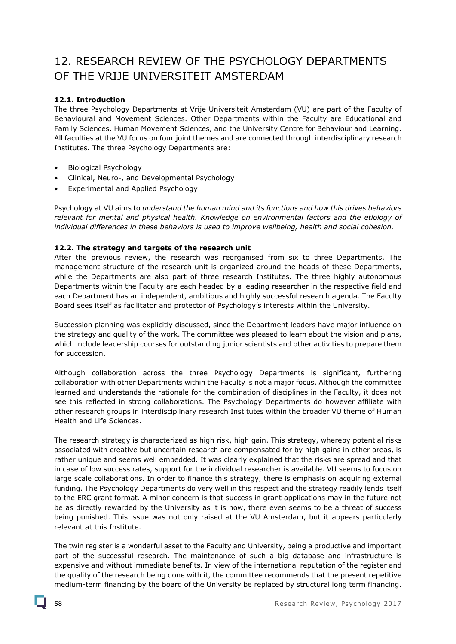# 12. RESEARCH REVIEW OF THE PSYCHOLOGY DEPARTMENTS OF THE VRIJE UNIVERSITEIT AMSTERDAM

# 12.1. Introduction

The three Psychology Departments at Vrije Universiteit Amsterdam (VU) are part of the Faculty of Behavioural and Movement Sciences. Other Departments within the Faculty are Educational and Family Sciences, Human Movement Sciences, and the University Centre for Behaviour and Learning. All faculties at the VU focus on four joint themes and are connected through interdisciplinary research Institutes. The three Psychology Departments are:

- Biological Psychology
- Clinical, Neuro-, and Developmental Psychology
- Experimental and Applied Psychology

Psychology at VU aims to *understand the human mind and its functions and how this drives behaviors relevant for mental and physical health. Knowledge on environmental factors and the etiology of individual differences in these behaviors is used to improve wellbeing, health and social cohesion.*

# 12.2. The strategy and targets of the research unit

After the previous review, the research was reorganised from six to three Departments. The management structure of the research unit is organized around the heads of these Departments, while the Departments are also part of three research Institutes. The three highly autonomous Departments within the Faculty are each headed by a leading researcher in the respective field and each Department has an independent, ambitious and highly successful research agenda. The Faculty Board sees itself as facilitator and protector of Psychology's interests within the University.

Succession planning was explicitly discussed, since the Department leaders have major influence on the strategy and quality of the work. The committee was pleased to learn about the vision and plans, which include leadership courses for outstanding junior scientists and other activities to prepare them for succession.

Although collaboration across the three Psychology Departments is significant, furthering collaboration with other Departments within the Faculty is not a major focus. Although the committee learned and understands the rationale for the combination of disciplines in the Faculty, it does not see this reflected in strong collaborations. The Psychology Departments do however affiliate with other research groups in interdisciplinary research Institutes within the broader VU theme of Human Health and Life Sciences.

The research strategy is characterized as high risk, high gain. This strategy, whereby potential risks associated with creative but uncertain research are compensated for by high gains in other areas, is rather unique and seems well embedded. It was clearly explained that the risks are spread and that in case of low success rates, support for the individual researcher is available. VU seems to focus on large scale collaborations. In order to finance this strategy, there is emphasis on acquiring external funding. The Psychology Departments do very well in this respect and the strategy readily lends itself to the ERC grant format. A minor concern is that success in grant applications may in the future not be as directly rewarded by the University as it is now, there even seems to be a threat of success being punished. This issue was not only raised at the VU Amsterdam, but it appears particularly relevant at this Institute.

The twin register is a wonderful asset to the Faculty and University, being a productive and important part of the successful research. The maintenance of such a big database and infrastructure is expensive and without immediate benefits. In view of the international reputation of the register and the quality of the research being done with it, the committee recommends that the present repetitive medium-term financing by the board of the University be replaced by structural long term financing.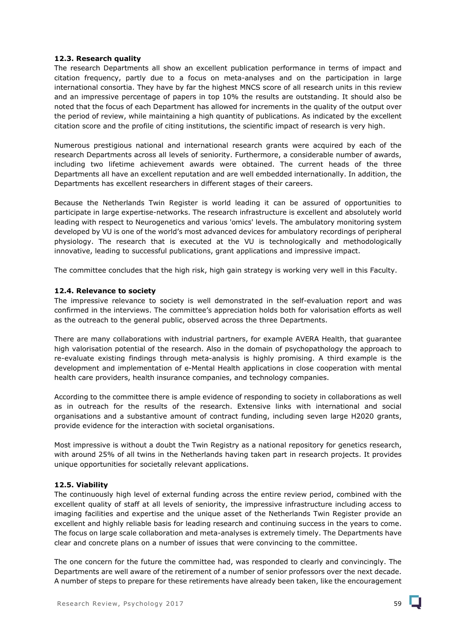## 12.3. Research quality

The research Departments all show an excellent publication performance in terms of impact and citation frequency, partly due to a focus on meta-analyses and on the participation in large international consortia. They have by far the highest MNCS score of all research units in this review and an impressive percentage of papers in top 10% the results are outstanding. It should also be noted that the focus of each Department has allowed for increments in the quality of the output over the period of review, while maintaining a high quantity of publications. As indicated by the excellent citation score and the profile of citing institutions, the scientific impact of research is very high.

Numerous prestigious national and international research grants were acquired by each of the research Departments across all levels of seniority. Furthermore, a considerable number of awards, including two lifetime achievement awards were obtained. The current heads of the three Departments all have an excellent reputation and are well embedded internationally. In addition, the Departments has excellent researchers in different stages of their careers.

Because the Netherlands Twin Register is world leading it can be assured of opportunities to participate in large expertise-networks. The research infrastructure is excellent and absolutely world leading with respect to Neurogenetics and various 'omics' levels. The ambulatory monitoring system developed by VU is one of the world's most advanced devices for ambulatory recordings of peripheral physiology. The research that is executed at the VU is technologically and methodologically innovative, leading to successful publications, grant applications and impressive impact.

The committee concludes that the high risk, high gain strategy is working very well in this Faculty.

## 12.4. Relevance to society

The impressive relevance to society is well demonstrated in the self-evaluation report and was confirmed in the interviews. The committee's appreciation holds both for valorisation efforts as well as the outreach to the general public, observed across the three Departments.

There are many collaborations with industrial partners, for example AVERA Health, that guarantee high valorisation potential of the research. Also in the domain of psychopathology the approach to re-evaluate existing findings through meta-analysis is highly promising. A third example is the development and implementation of e-Mental Health applications in close cooperation with mental health care providers, health insurance companies, and technology companies.

According to the committee there is ample evidence of responding to society in collaborations as well as in outreach for the results of the research. Extensive links with international and social organisations and a substantive amount of contract funding, including seven large H2020 grants, provide evidence for the interaction with societal organisations.

Most impressive is without a doubt the Twin Registry as a national repository for genetics research, with around 25% of all twins in the Netherlands having taken part in research projects. It provides unique opportunities for societally relevant applications.

# 12.5. Viability

The continuously high level of external funding across the entire review period, combined with the excellent quality of staff at all levels of seniority, the impressive infrastructure including access to imaging facilities and expertise and the unique asset of the Netherlands Twin Register provide an excellent and highly reliable basis for leading research and continuing success in the years to come. The focus on large scale collaboration and meta-analyses is extremely timely. The Departments have clear and concrete plans on a number of issues that were convincing to the committee.

The one concern for the future the committee had, was responded to clearly and convincingly. The Departments are well aware of the retirement of a number of senior professors over the next decade. A number of steps to prepare for these retirements have already been taken, like the encouragement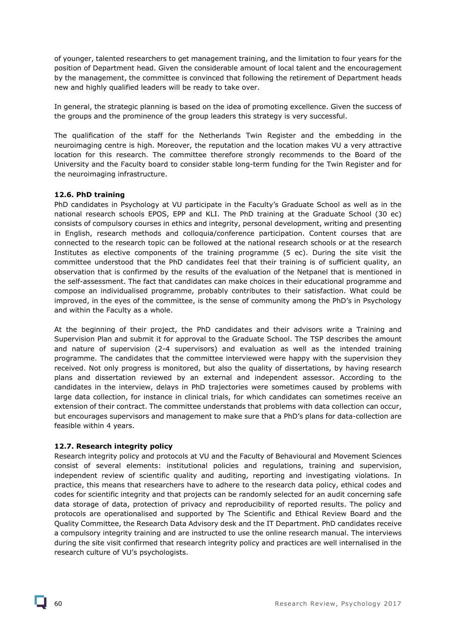of younger, talented researchers to get management training, and the limitation to four years for the position of Department head. Given the considerable amount of local talent and the encouragement by the management, the committee is convinced that following the retirement of Department heads new and highly qualified leaders will be ready to take over.

In general, the strategic planning is based on the idea of promoting excellence. Given the success of the groups and the prominence of the group leaders this strategy is very successful.

The qualification of the staff for the Netherlands Twin Register and the embedding in the neuroimaging centre is high. Moreover, the reputation and the location makes VU a very attractive location for this research. The committee therefore strongly recommends to the Board of the University and the Faculty board to consider stable long-term funding for the Twin Register and for the neuroimaging infrastructure.

# 12.6. PhD training

PhD candidates in Psychology at VU participate in the Faculty's Graduate School as well as in the national research schools EPOS, EPP and KLI. The PhD training at the Graduate School (30 ec) consists of compulsory courses in ethics and integrity, personal development, writing and presenting in English, research methods and colloquia/conference participation. Content courses that are connected to the research topic can be followed at the national research schools or at the research Institutes as elective components of the training programme (5 ec). During the site visit the committee understood that the PhD candidates feel that their training is of sufficient quality, an observation that is confirmed by the results of the evaluation of the Netpanel that is mentioned in the self-assessment. The fact that candidates can make choices in their educational programme and compose an individualised programme, probably contributes to their satisfaction. What could be improved, in the eyes of the committee, is the sense of community among the PhD's in Psychology and within the Faculty as a whole.

At the beginning of their project, the PhD candidates and their advisors write a Training and Supervision Plan and submit it for approval to the Graduate School. The TSP describes the amount and nature of supervision (2-4 supervisors) and evaluation as well as the intended training programme. The candidates that the committee interviewed were happy with the supervision they received. Not only progress is monitored, but also the quality of dissertations, by having research plans and dissertation reviewed by an external and independent assessor. According to the candidates in the interview, delays in PhD trajectories were sometimes caused by problems with large data collection, for instance in clinical trials, for which candidates can sometimes receive an extension of their contract. The committee understands that problems with data collection can occur, but encourages supervisors and management to make sure that a PhD's plans for data-collection are feasible within 4 years.

## 12.7. Research integrity policy

Research integrity policy and protocols at VU and the Faculty of Behavioural and Movement Sciences consist of several elements: institutional policies and regulations, training and supervision, independent review of scientific quality and auditing, reporting and investigating violations. In practice, this means that researchers have to adhere to the research data policy, ethical codes and codes for scientific integrity and that projects can be randomly selected for an audit concerning safe data storage of data, protection of privacy and reproducibility of reported results. The policy and protocols are operationalised and supported by The Scientific and Ethical Review Board and the Quality Committee, the Research Data Advisory desk and the IT Department. PhD candidates receive a compulsory integrity training and are instructed to use the online research manual. The interviews during the site visit confirmed that research integrity policy and practices are well internalised in the research culture of VU's psychologists.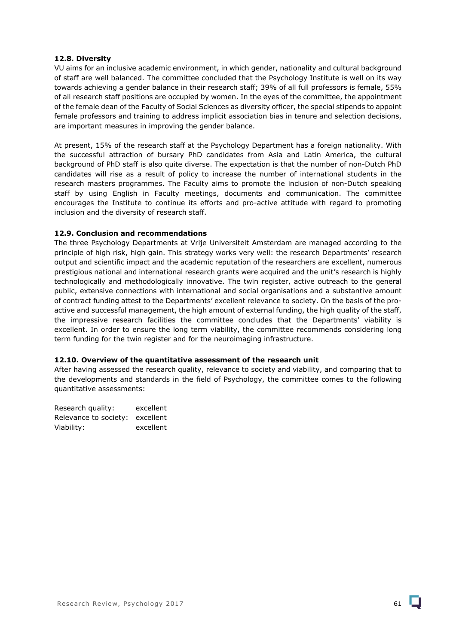## 12.8. Diversity

VU aims for an inclusive academic environment, in which gender, nationality and cultural background of staff are well balanced. The committee concluded that the Psychology Institute is well on its way towards achieving a gender balance in their research staff; 39% of all full professors is female, 55% of all research staff positions are occupied by women. In the eyes of the committee, the appointment of the female dean of the Faculty of Social Sciences as diversity officer, the special stipends to appoint female professors and training to address implicit association bias in tenure and selection decisions, are important measures in improving the gender balance.

At present, 15% of the research staff at the Psychology Department has a foreign nationality. With the successful attraction of bursary PhD candidates from Asia and Latin America, the cultural background of PhD staff is also quite diverse. The expectation is that the number of non-Dutch PhD candidates will rise as a result of policy to increase the number of international students in the research masters programmes. The Faculty aims to promote the inclusion of non-Dutch speaking staff by using English in Faculty meetings, documents and communication. The committee encourages the Institute to continue its efforts and pro-active attitude with regard to promoting inclusion and the diversity of research staff.

## 12.9. Conclusion and recommendations

The three Psychology Departments at Vrije Universiteit Amsterdam are managed according to the principle of high risk, high gain. This strategy works very well: the research Departments' research output and scientific impact and the academic reputation of the researchers are excellent, numerous prestigious national and international research grants were acquired and the unit's research is highly technologically and methodologically innovative. The twin register, active outreach to the general public, extensive connections with international and social organisations and a substantive amount of contract funding attest to the Departments' excellent relevance to society. On the basis of the proactive and successful management, the high amount of external funding, the high quality of the staff, the impressive research facilities the committee concludes that the Departments' viability is excellent. In order to ensure the long term viability, the committee recommends considering long term funding for the twin register and for the neuroimaging infrastructure.

# 12.10. Overview of the quantitative assessment of the research unit

After having assessed the research quality, relevance to society and viability, and comparing that to the developments and standards in the field of Psychology, the committee comes to the following quantitative assessments:

| Research quality:     | excellent |
|-----------------------|-----------|
| Relevance to society: | excellent |
| Viability:            | excellent |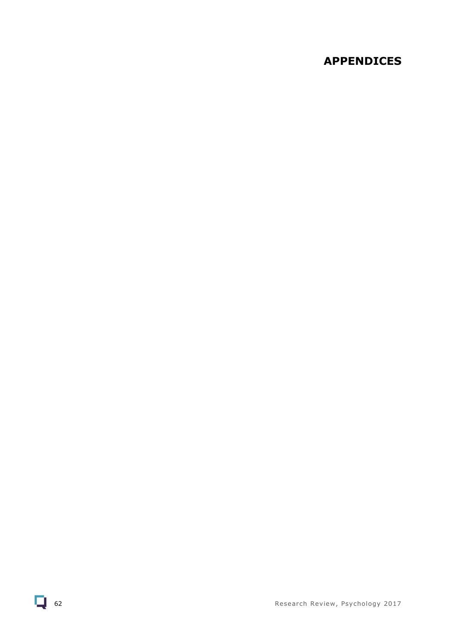# APPENDICES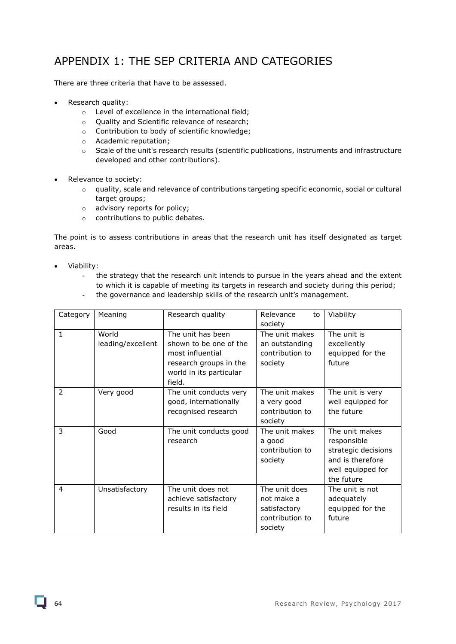# APPENDIX 1: THE SEP CRITERIA AND CATEGORIES

There are three criteria that have to be assessed.

- Research quality:
	- o Level of excellence in the international field;
	- o Quality and Scientific relevance of research;
	- o Contribution to body of scientific knowledge;
	- o Academic reputation;
	- o Scale of the unit's research results (scientific publications, instruments and infrastructure developed and other contributions).
- Relevance to society:
	- $\circ$  quality, scale and relevance of contributions targeting specific economic, social or cultural target groups;
	- o advisory reports for policy;
	- o contributions to public debates.

The point is to assess contributions in areas that the research unit has itself designated as target areas.

- Viability:
	- the strategy that the research unit intends to pursue in the years ahead and the extent to which it is capable of meeting its targets in research and society during this period;
	- the governance and leadership skills of the research unit's management.

| Category | Meaning                    | Research quality                                                                                                               | Relevance<br>to<br>society                                                | Viability                                                                                                   |
|----------|----------------------------|--------------------------------------------------------------------------------------------------------------------------------|---------------------------------------------------------------------------|-------------------------------------------------------------------------------------------------------------|
| 1        | World<br>leading/excellent | The unit has been<br>shown to be one of the<br>most influential<br>research groups in the<br>world in its particular<br>field. | The unit makes<br>an outstanding<br>contribution to<br>society            | The unit is<br>excellently<br>equipped for the<br>future                                                    |
| 2        | Very good                  | The unit conducts very<br>good, internationally<br>recognised research                                                         | The unit makes<br>a very good<br>contribution to<br>society               | The unit is very<br>well equipped for<br>the future                                                         |
| 3        | Good                       | The unit conducts good<br>research                                                                                             | The unit makes<br>a good<br>contribution to<br>society                    | The unit makes<br>responsible<br>strategic decisions<br>and is therefore<br>well equipped for<br>the future |
| 4        | Unsatisfactory             | The unit does not<br>achieve satisfactory<br>results in its field                                                              | The unit does<br>not make a<br>satisfactory<br>contribution to<br>society | The unit is not<br>adequately<br>equipped for the<br>future                                                 |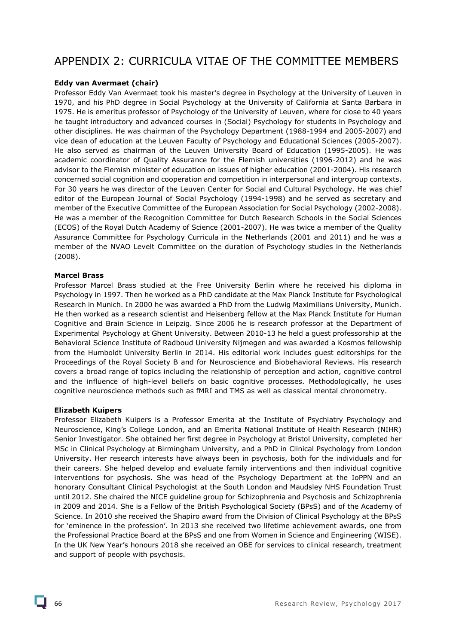# APPENDIX 2: CURRICULA VITAE OF THE COMMITTEE MEMBERS

## Eddy van Avermaet (chair)

Professor Eddy Van Avermaet took his master's degree in Psychology at the University of Leuven in 1970, and his PhD degree in Social Psychology at the University of California at Santa Barbara in 1975. He is emeritus professor of Psychology of the University of Leuven, where for close to 40 years he taught introductory and advanced courses in (Social) Psychology for students in Psychology and other disciplines. He was chairman of the Psychology Department (1988-1994 and 2005-2007) and vice dean of education at the Leuven Faculty of Psychology and Educational Sciences (2005-2007). He also served as chairman of the Leuven University Board of Education (1995-2005). He was academic coordinator of Quality Assurance for the Flemish universities (1996-2012) and he was advisor to the Flemish minister of education on issues of higher education (2001-2004). His research concerned social cognition and cooperation and competition in interpersonal and intergroup contexts. For 30 years he was director of the Leuven Center for Social and Cultural Psychology. He was chief editor of the European Journal of Social Psychology (1994-1998) and he served as secretary and member of the Executive Committee of the European Association for Social Psychology (2002-2008). He was a member of the Recognition Committee for Dutch Research Schools in the Social Sciences (ECOS) of the Royal Dutch Academy of Science (2001-2007). He was twice a member of the Quality Assurance Committee for Psychology Curricula in the Netherlands (2001 and 2011) and he was a member of the NVAO Levelt Committee on the duration of Psychology studies in the Netherlands (2008).

## Marcel Brass

Professor Marcel Brass studied at the Free University Berlin where he received his diploma in Psychology in 1997. Then he worked as a PhD candidate at the Max Planck Institute for Psychological Research in Munich. In 2000 he was awarded a PhD from the Ludwig Maximilians University, Munich. He then worked as a research scientist and Heisenberg fellow at the Max Planck Institute for Human Cognitive and Brain Science in Leipzig. Since 2006 he is research professor at the Department of Experimental Psychology at Ghent University. Between 2010-13 he held a guest professorship at the Behavioral Science Institute of Radboud University Nijmegen and was awarded a Kosmos fellowship from the Humboldt University Berlin in 2014. His editorial work includes guest editorships for the Proceedings of the Royal Society B and for Neuroscience and Biobehavioral Reviews. His research covers a broad range of topics including the relationship of perception and action, cognitive control and the influence of high-level beliefs on basic cognitive processes. Methodologically, he uses cognitive neuroscience methods such as fMRI and TMS as well as classical mental chronometry.

## Elizabeth Kuipers

Professor Elizabeth Kuipers is a Professor Emerita at the Institute of Psychiatry Psychology and Neuroscience, King's College London, and an Emerita National Institute of Health Research (NIHR) Senior Investigator. She obtained her first degree in Psychology at Bristol University, completed her MSc in Clinical Psychology at Birmingham University, and a PhD in Clinical Psychology from London University. Her research interests have always been in psychosis, both for the individuals and for their careers. She helped develop and evaluate family interventions and then individual cognitive interventions for psychosis. She was head of the Psychology Department at the IoPPN and an honorary Consultant Clinical Psychologist at the South London and Maudsley NHS Foundation Trust until 2012. She chaired the NICE guideline group for Schizophrenia and Psychosis and Schizophrenia in 2009 and 2014. She is a Fellow of the British Psychological Society (BPsS) and of the Academy of Science. In 2010 she received the Shapiro award from the Division of Clinical Psychology at the BPsS for 'eminence in the profession'. In 2013 she received two lifetime achievement awards, one from the Professional Practice Board at the BPsS and one from Women in Science and Engineering (WISE). In the UK New Year's honours 2018 she received an OBE for services to clinical research, treatment and support of people with psychosis.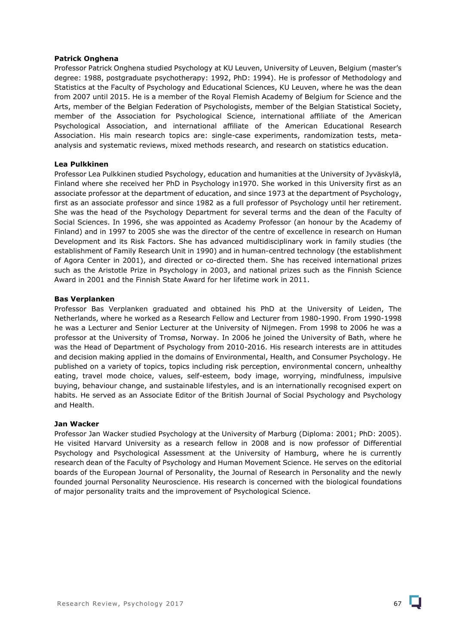#### Patrick Onghena

Professor Patrick Onghena studied Psychology at KU Leuven, University of Leuven, Belgium (master's degree: 1988, postgraduate psychotherapy: 1992, PhD: 1994). He is professor of Methodology and Statistics at the Faculty of Psychology and Educational Sciences, KU Leuven, where he was the dean from 2007 until 2015. He is a member of the Royal Flemish Academy of Belgium for Science and the Arts, member of the Belgian Federation of Psychologists, member of the Belgian Statistical Society, member of the Association for Psychological Science, international affiliate of the American Psychological Association, and international affiliate of the American Educational Research Association. His main research topics are: single-case experiments, randomization tests, metaanalysis and systematic reviews, mixed methods research, and research on statistics education.

#### Lea Pulkkinen

Professor Lea Pulkkinen studied Psychology, education and humanities at the University of Jyväskylä, Finland where she received her PhD in Psychology in1970. She worked in this University first as an associate professor at the department of education, and since 1973 at the department of Psychology, first as an associate professor and since 1982 as a full professor of Psychology until her retirement. She was the head of the Psychology Department for several terms and the dean of the Faculty of Social Sciences. In 1996, she was appointed as Academy Professor (an honour by the Academy of Finland) and in 1997 to 2005 she was the director of the centre of excellence in research on Human Development and its Risk Factors. She has advanced multidisciplinary work in family studies (the establishment of Family Research Unit in 1990) and in human-centred technology (the establishment of Agora Center in 2001), and directed or co-directed them. She has received international prizes such as the Aristotle Prize in Psychology in 2003, and national prizes such as the Finnish Science Award in 2001 and the Finnish State Award for her lifetime work in 2011.

#### Bas Verplanken

Professor Bas Verplanken graduated and obtained his PhD at the University of Leiden, The Netherlands, where he worked as a Research Fellow and Lecturer from 1980-1990. From 1990-1998 he was a Lecturer and Senior Lecturer at the University of Nijmegen. From 1998 to 2006 he was a professor at the University of Tromsø, Norway. In 2006 he joined the University of Bath, where he was the Head of Department of Psychology from 2010-2016. His research interests are in attitudes and decision making applied in the domains of Environmental, Health, and Consumer Psychology. He published on a variety of topics, topics including risk perception, environmental concern, unhealthy eating, travel mode choice, values, self-esteem, body image, worrying, mindfulness, impulsive buying, behaviour change, and sustainable lifestyles, and is an internationally recognised expert on habits. He served as an Associate Editor of the British Journal of Social Psychology and Psychology and Health.

## Jan Wacker

Professor Jan Wacker studied Psychology at the University of Marburg (Diploma: 2001; PhD: 2005). He visited Harvard University as a research fellow in 2008 and is now professor of Differential Psychology and Psychological Assessment at the University of Hamburg, where he is currently research dean of the Faculty of Psychology and Human Movement Science. He serves on the editorial boards of the European Journal of Personality, the Journal of Research in Personality and the newly founded journal Personality Neuroscience. His research is concerned with the biological foundations of major personality traits and the improvement of Psychological Science.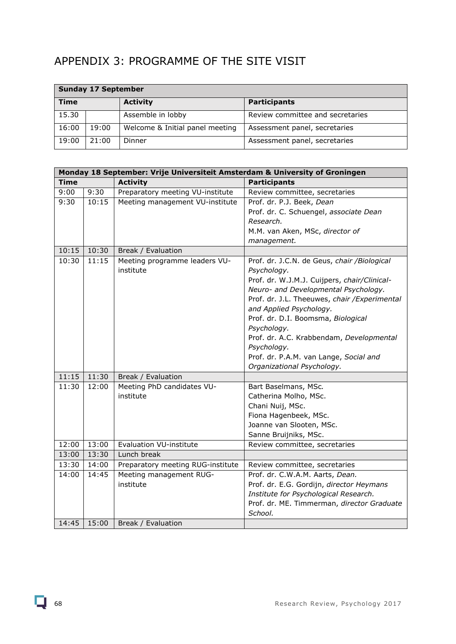# APPENDIX 3: PROGRAMME OF THE SITE VISIT

| <b>Sunday 17 September</b> |       |                                 |                                  |
|----------------------------|-------|---------------------------------|----------------------------------|
| <b>Time</b>                |       | <b>Activity</b>                 | <b>Participants</b>              |
| 15.30                      |       | Assemble in lobby               | Review committee and secretaries |
| 16:00                      | 19:00 | Welcome & Initial panel meeting | Assessment panel, secretaries    |
| 19:00                      | 21:00 | Dinner                          | Assessment panel, secretaries    |

| Monday 18 September: Vrije Universiteit Amsterdam & University of Groningen |       |                                   |                                               |
|-----------------------------------------------------------------------------|-------|-----------------------------------|-----------------------------------------------|
| <b>Time</b>                                                                 |       | <b>Activity</b>                   | <b>Participants</b>                           |
| 9:00                                                                        | 9:30  | Preparatory meeting VU-institute  | Review committee, secretaries                 |
| 9:30                                                                        | 10:15 | Meeting management VU-institute   | Prof. dr. P.J. Beek, Dean                     |
|                                                                             |       |                                   | Prof. dr. C. Schuengel, associate Dean        |
|                                                                             |       |                                   | Research.                                     |
|                                                                             |       |                                   | M.M. van Aken, MSc, director of               |
|                                                                             |       |                                   | management.                                   |
| 10:15                                                                       | 10:30 | Break / Evaluation                |                                               |
| 10:30                                                                       | 11:15 | Meeting programme leaders VU-     | Prof. dr. J.C.N. de Geus, chair /Biological   |
|                                                                             |       | institute                         | Psychology.                                   |
|                                                                             |       |                                   | Prof. dr. W.J.M.J. Cuijpers, chair/Clinical-  |
|                                                                             |       |                                   | Neuro- and Developmental Psychology.          |
|                                                                             |       |                                   | Prof. dr. J.L. Theeuwes, chair / Experimental |
|                                                                             |       |                                   | and Applied Psychology.                       |
|                                                                             |       |                                   | Prof. dr. D.I. Boomsma, Biological            |
|                                                                             |       |                                   | Psychology.                                   |
|                                                                             |       |                                   | Prof. dr. A.C. Krabbendam, Developmental      |
|                                                                             |       |                                   | Psychology.                                   |
|                                                                             |       |                                   | Prof. dr. P.A.M. van Lange, Social and        |
|                                                                             |       |                                   | Organizational Psychology.                    |
| 11:15                                                                       | 11:30 | Break / Evaluation                |                                               |
| 11:30                                                                       | 12:00 | Meeting PhD candidates VU-        | Bart Baselmans, MSc.                          |
|                                                                             |       | institute                         | Catherina Molho, MSc.                         |
|                                                                             |       |                                   | Chani Nuij, MSc.                              |
|                                                                             |       |                                   | Fiona Hagenbeek, MSc.                         |
|                                                                             |       |                                   | Joanne van Slooten, MSc.                      |
|                                                                             |       |                                   | Sanne Bruijniks, MSc.                         |
| 12:00                                                                       | 13:00 | <b>Evaluation VU-institute</b>    | Review committee, secretaries                 |
| 13:00                                                                       | 13:30 | Lunch break                       |                                               |
| 13:30                                                                       | 14:00 | Preparatory meeting RUG-institute | Review committee, secretaries                 |
| 14:00                                                                       | 14:45 | Meeting management RUG-           | Prof. dr. C.W.A.M. Aarts, Dean.               |
|                                                                             |       | institute                         | Prof. dr. E.G. Gordijn, director Heymans      |
|                                                                             |       |                                   | Institute for Psychological Research.         |
|                                                                             |       |                                   | Prof. dr. ME. Timmerman, director Graduate    |
|                                                                             |       |                                   | School.                                       |
| 14:45                                                                       | 15:00 | Break / Evaluation                |                                               |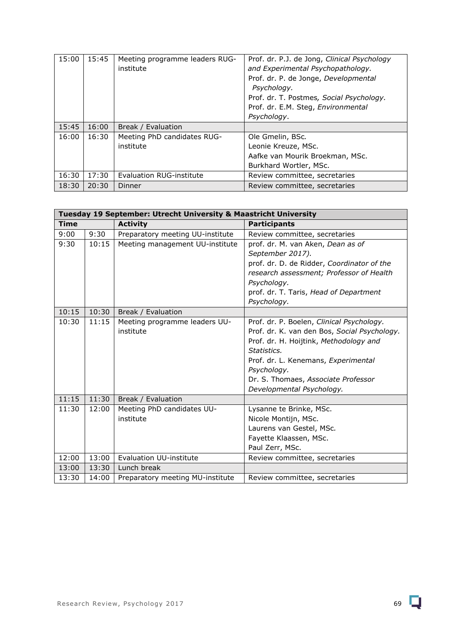| 15:00 | 15:45 | Meeting programme leaders RUG-<br>institute | Prof. dr. P.J. de Jong, Clinical Psychology<br>and Experimental Psychopathology.<br>Prof. dr. P. de Jonge, Developmental<br>Psychology.<br>Prof. dr. T. Postmes, Social Psychology.<br>Prof. dr. E.M. Steg, Environmental<br>Psychology. |
|-------|-------|---------------------------------------------|------------------------------------------------------------------------------------------------------------------------------------------------------------------------------------------------------------------------------------------|
| 15:45 | 16:00 | Break / Evaluation                          |                                                                                                                                                                                                                                          |
| 16:00 | 16:30 | Meeting PhD candidates RUG-<br>institute    | Ole Gmelin, BSc.<br>Leonie Kreuze, MSc.<br>Aafke van Mourik Broekman, MSc.<br>Burkhard Wortler, MSc.                                                                                                                                     |
| 16:30 | 17:30 | <b>Evaluation RUG-institute</b>             | Review committee, secretaries                                                                                                                                                                                                            |
| 18:30 | 20:30 | Dinner                                      | Review committee, secretaries                                                                                                                                                                                                            |

|             | Tuesday 19 September: Utrecht University & Maastricht University |                                  |                                              |
|-------------|------------------------------------------------------------------|----------------------------------|----------------------------------------------|
| <b>Time</b> |                                                                  | <b>Activity</b>                  | <b>Participants</b>                          |
| 9:00        | 9:30                                                             | Preparatory meeting UU-institute | Review committee, secretaries                |
| 9:30        | 10:15                                                            | Meeting management UU-institute  | prof. dr. M. van Aken, Dean as of            |
|             |                                                                  |                                  | September 2017).                             |
|             |                                                                  |                                  | prof. dr. D. de Ridder, Coordinator of the   |
|             |                                                                  |                                  | research assessment; Professor of Health     |
|             |                                                                  |                                  | Psychology.                                  |
|             |                                                                  |                                  | prof. dr. T. Taris, Head of Department       |
|             |                                                                  |                                  | Psychology.                                  |
| 10:15       | 10:30                                                            | Break / Evaluation               |                                              |
| 10:30       | 11:15                                                            | Meeting programme leaders UU-    | Prof. dr. P. Boelen, Clinical Psychology.    |
|             |                                                                  | institute                        | Prof. dr. K. van den Bos, Social Psychology. |
|             |                                                                  |                                  | Prof. dr. H. Hoijtink, Methodology and       |
|             |                                                                  |                                  | Statistics.                                  |
|             |                                                                  |                                  | Prof. dr. L. Kenemans, Experimental          |
|             |                                                                  |                                  | Psychology.                                  |
|             |                                                                  |                                  | Dr. S. Thomaes, Associate Professor          |
|             |                                                                  |                                  | Developmental Psychology.                    |
| 11:15       | 11:30                                                            | Break / Evaluation               |                                              |
| 11:30       | 12:00                                                            | Meeting PhD candidates UU-       | Lysanne te Brinke, MSc.                      |
|             |                                                                  | institute                        | Nicole Montijn, MSc.                         |
|             |                                                                  |                                  | Laurens van Gestel, MSc.                     |
|             |                                                                  |                                  | Fayette Klaassen, MSc.                       |
|             |                                                                  |                                  | Paul Zerr, MSc.                              |
| 12:00       | 13:00                                                            | <b>Evaluation UU-institute</b>   | Review committee, secretaries                |
| 13:00       | 13:30                                                            | Lunch break                      |                                              |
| 13:30       | 14:00                                                            | Preparatory meeting MU-institute | Review committee, secretaries                |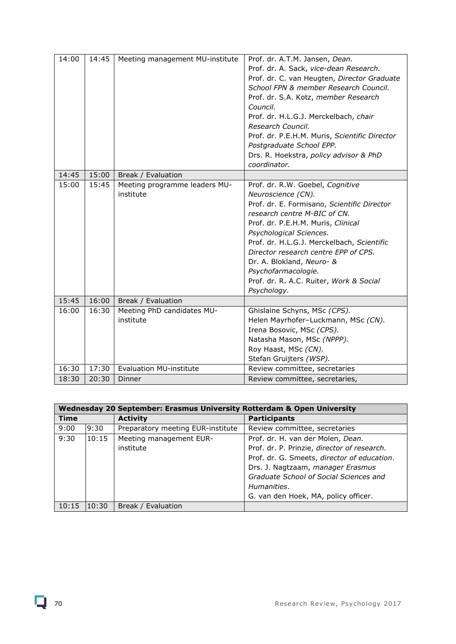| 14:00 | 14:45 | Meeting management MU-institute            | Prof. dr. A.T.M. Jansen, Dean.<br>Prof. dr. A. Sack, vice-dean Research.<br>Prof. dr. C. van Heugten, Director Graduate<br>School FPN & member Research Council.<br>Prof. dr. S.A. Kotz, member Research<br>Council.<br>Prof. dr. H.L.G.J. Merckelbach, chair<br>Research Council.<br>Prof. dr. P.E.H.M. Muris, Scientific Director<br>Postgraduate School EPP.<br>Drs. R. Hoekstra, policy advisor & PhD<br>coordinator. |
|-------|-------|--------------------------------------------|---------------------------------------------------------------------------------------------------------------------------------------------------------------------------------------------------------------------------------------------------------------------------------------------------------------------------------------------------------------------------------------------------------------------------|
| 14:45 | 15:00 | Break / Evaluation                         |                                                                                                                                                                                                                                                                                                                                                                                                                           |
| 15:00 | 15:45 | Meeting programme leaders MU-<br>institute | Prof. dr. R.W. Goebel, Cognitive<br>Neuroscience (CN).<br>Prof. dr. E. Formisano, Scientific Director<br>research centre M-BIC of CN.<br>Prof. dr. P.E.H.M. Muris, Clinical<br>Psychological Sciences.<br>Prof. dr. H.L.G.J. Merckelbach, Scientific<br>Director research centre EPP of CPS.<br>Dr. A. Blokland, Neuro- &<br>Psychofarmacologie.<br>Prof. dr. R. A.C. Ruiter, Work & Social<br>Psychology.                |
| 15:45 | 16:00 | <b>Break / Evaluation</b>                  |                                                                                                                                                                                                                                                                                                                                                                                                                           |
| 16:00 | 16:30 | Meeting PhD candidates MU-<br>institute    | Ghislaine Schyns, MSc (CPS).<br>Helen Mayrhofer-Luckmann, MSc (CN).<br>Irena Bosovic, MSc (CPS).<br>Natasha Mason, MSc (NPPP).<br>Roy Haast, MSc (CN).<br>Stefan Gruijters (WSP).                                                                                                                                                                                                                                         |
| 16:30 | 17:30 | <b>Evaluation MU-institute</b>             | Review committee, secretaries                                                                                                                                                                                                                                                                                                                                                                                             |
| 18:30 | 20:30 | Dinner                                     | Review committee, secretaries,                                                                                                                                                                                                                                                                                                                                                                                            |

|             | Wednesday 20 September: Erasmus University Rotterdam & Open University |                                   |                                             |  |
|-------------|------------------------------------------------------------------------|-----------------------------------|---------------------------------------------|--|
| <b>Time</b> |                                                                        | <b>Activity</b>                   | <b>Participants</b>                         |  |
| 9:00        | 9:30                                                                   | Preparatory meeting EUR-institute | Review committee, secretaries               |  |
| 9:30        | 10:15                                                                  | Meeting management EUR-           | Prof. dr. H. van der Molen, Dean.           |  |
|             |                                                                        | institute                         | Prof. dr. P. Prinzie, director of research. |  |
|             |                                                                        |                                   | Prof. dr. G. Smeets, director of education. |  |
|             |                                                                        |                                   | Drs. J. Nagtzaam, manager Erasmus           |  |
|             |                                                                        |                                   | Graduate School of Social Sciences and      |  |
|             |                                                                        |                                   | Humanities.                                 |  |
|             |                                                                        |                                   | G. van den Hoek, MA, policy officer.        |  |
| 10:15       | 10:30                                                                  | Break / Evaluation                |                                             |  |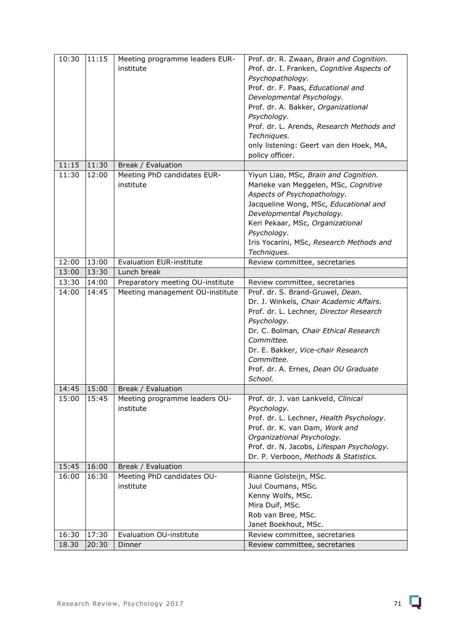| 10:30<br>11:15 | 11:15<br>11:30 | Meeting programme leaders EUR-<br>institute<br>Break / Evaluation         | Prof. dr. R. Zwaan, Brain and Cognition.<br>Prof. dr. I. Franken, Cognitive Aspects of<br>Psychopathology.<br>Prof. dr. F. Paas, Educational and<br>Developmental Psychology.<br>Prof. dr. A. Bakker, Organizational<br>Psychology.<br>Prof. dr. L. Arends, Research Methods and<br>Techniques.<br>only listening: Geert van den Hoek, MA,<br>policy officer. |
|----------------|----------------|---------------------------------------------------------------------------|---------------------------------------------------------------------------------------------------------------------------------------------------------------------------------------------------------------------------------------------------------------------------------------------------------------------------------------------------------------|
| 11:30          | 12:00          | Meeting PhD candidates EUR-                                               | Yiyun Liao, MSc, Brain and Cognition.                                                                                                                                                                                                                                                                                                                         |
|                |                | institute                                                                 | Marieke van Meggelen, MSc, Cognitive<br>Aspects of Psychopathology.<br>Jacqueline Wong, MSc, Educational and<br>Developmental Psychology.<br>Keri Pekaar, MSc, Organizational<br>Psychology.<br>Iris Yocarini, MSc, Research Methods and<br>Techniques.                                                                                                       |
| 12:00          | 13:00          | <b>Evaluation EUR-institute</b>                                           | Review committee, secretaries                                                                                                                                                                                                                                                                                                                                 |
| 13:00          | 13:30          | Lunch break                                                               |                                                                                                                                                                                                                                                                                                                                                               |
| 13:30          | 14:00          | Preparatory meeting OU-institute                                          | Review committee, secretaries                                                                                                                                                                                                                                                                                                                                 |
| 14:00          | 14:45          | Meeting management OU-institute                                           | Prof. dr. S. Brand-Gruwel, Dean.<br>Dr. J. Winkels, Chair Academic Affairs.<br>Prof. dr. L. Lechner, Director Research<br>Psychology.<br>Dr. C. Bolman, Chair Ethical Research<br>Committee.<br>Dr. E. Bakker, Vice-chair Research<br>Committee.<br>Prof. dr. A. Ernes, Dean OU Graduate<br>School.                                                           |
| 14:45          | 15:00          | Break / Evaluation                                                        |                                                                                                                                                                                                                                                                                                                                                               |
| 15:00          | 15:45          | Meeting programme leaders OU-<br>institute                                | Prof. dr. J. van Lankveld, Clinical<br>Psychology.<br>Prof. dr. L. Lechner, Health Psychology.<br>Prof. dr. K. van Dam, Work and<br>Organizational Psychology.<br>Prof. dr. N. Jacobs, Lifespan Psychology.<br>Dr. P. Verboon, Methods & Statistics.                                                                                                          |
| 15:45          | 16:00          | Break / Evaluation                                                        |                                                                                                                                                                                                                                                                                                                                                               |
| 16:00<br>16:30 | 16:30<br>17:30 | Meeting PhD candidates OU-<br>institute<br><b>Evaluation OU-institute</b> | Rianne Golsteijn, MSc.<br>Juul Coumans, MSc.<br>Kenny Wolfs, MSc.<br>Mira Duif, MSc.<br>Rob van Bree, MSc.<br>Janet Boekhout, MSc.<br>Review committee, secretaries                                                                                                                                                                                           |
| 18.30          | 20:30          | Dinner                                                                    | Review committee, secretaries                                                                                                                                                                                                                                                                                                                                 |
|                |                |                                                                           |                                                                                                                                                                                                                                                                                                                                                               |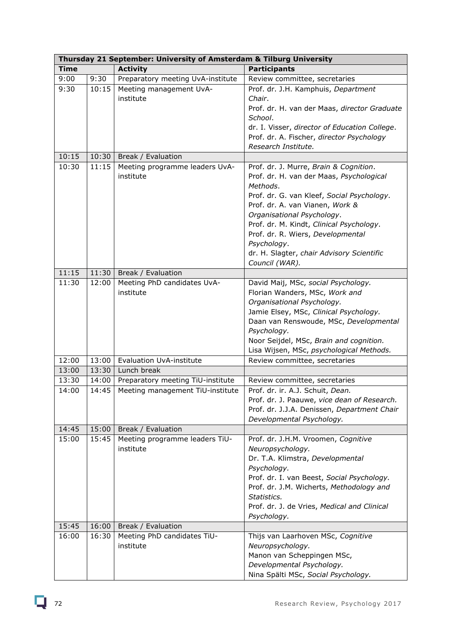| Thursday 21 September: University of Amsterdam & Tilburg University |       |                                             |                                                                                                                                                                                                                                                                                                                                                                              |
|---------------------------------------------------------------------|-------|---------------------------------------------|------------------------------------------------------------------------------------------------------------------------------------------------------------------------------------------------------------------------------------------------------------------------------------------------------------------------------------------------------------------------------|
| <b>Time</b>                                                         |       | <b>Activity</b>                             | <b>Participants</b>                                                                                                                                                                                                                                                                                                                                                          |
| 9:00                                                                | 9:30  | Preparatory meeting UvA-institute           | Review committee, secretaries                                                                                                                                                                                                                                                                                                                                                |
| 9:30                                                                | 10:15 | Meeting management UvA-<br>institute        | Prof. dr. J.H. Kamphuis, Department<br>Chair.<br>Prof. dr. H. van der Maas, director Graduate<br>School.                                                                                                                                                                                                                                                                     |
|                                                                     |       |                                             | dr. I. Visser, director of Education College.<br>Prof. dr. A. Fischer, director Psychology<br>Research Institute.                                                                                                                                                                                                                                                            |
| 10:15                                                               | 10:30 | Break / Evaluation                          |                                                                                                                                                                                                                                                                                                                                                                              |
| 10:30                                                               | 11:15 | Meeting programme leaders UvA-<br>institute | Prof. dr. J. Murre, Brain & Cognition.<br>Prof. dr. H. van der Maas, Psychological<br>Methods.<br>Prof. dr. G. van Kleef, Social Psychology.<br>Prof. dr. A. van Vianen, Work &<br>Organisational Psychology.<br>Prof. dr. M. Kindt, Clinical Psychology.<br>Prof. dr. R. Wiers, Developmental<br>Psychology.<br>dr. H. Slagter, chair Advisory Scientific<br>Council (WAR). |
| 11:15                                                               | 11:30 | Break / Evaluation                          |                                                                                                                                                                                                                                                                                                                                                                              |
| 11:30                                                               | 12:00 | Meeting PhD candidates UvA-<br>institute    | David Maij, MSc, social Psychology.<br>Florian Wanders, MSc, Work and<br>Organisational Psychology.<br>Jamie Elsey, MSc, Clinical Psychology.<br>Daan van Renswoude, MSc, Developmental<br>Psychology.<br>Noor Seijdel, MSc, Brain and cognition.<br>Lisa Wijsen, MSc, psychological Methods.                                                                                |
| 12:00                                                               | 13:00 | <b>Evaluation UvA-institute</b>             | Review committee, secretaries                                                                                                                                                                                                                                                                                                                                                |
| 13:00                                                               | 13:30 | Lunch break                                 |                                                                                                                                                                                                                                                                                                                                                                              |
| 13:30                                                               | 14:00 | Preparatory meeting TiU-institute           | Review committee, secretaries                                                                                                                                                                                                                                                                                                                                                |
| 14:00                                                               | 14:45 | Meeting management TiU-institute            | Prof. dr. ir. A.J. Schuit, Dean.<br>Prof. dr. J. Paauwe, vice dean of Research.<br>Prof. dr. J.J.A. Denissen, Department Chair<br>Developmental Psychology.                                                                                                                                                                                                                  |
| 14:45                                                               | 15:00 | Break / Evaluation                          |                                                                                                                                                                                                                                                                                                                                                                              |
| 15:00                                                               | 15:45 | Meeting programme leaders TiU-<br>institute | Prof. dr. J.H.M. Vroomen, Cognitive<br>Neuropsychology.<br>Dr. T.A. Klimstra, Developmental<br>Psychology.<br>Prof. dr. I. van Beest, Social Psychology.<br>Prof. dr. J.M. Wicherts, Methodology and<br>Statistics.<br>Prof. dr. J. de Vries, Medical and Clinical<br>Psychology.                                                                                            |
| 15:45                                                               | 16:00 | Break / Evaluation                          |                                                                                                                                                                                                                                                                                                                                                                              |
| 16:00                                                               | 16:30 | Meeting PhD candidates TiU-<br>institute    | Thijs van Laarhoven MSc, Cognitive<br>Neuropsychology.<br>Manon van Scheppingen MSc,<br>Developmental Psychology.<br>Nina Spälti MSc, Social Psychology.                                                                                                                                                                                                                     |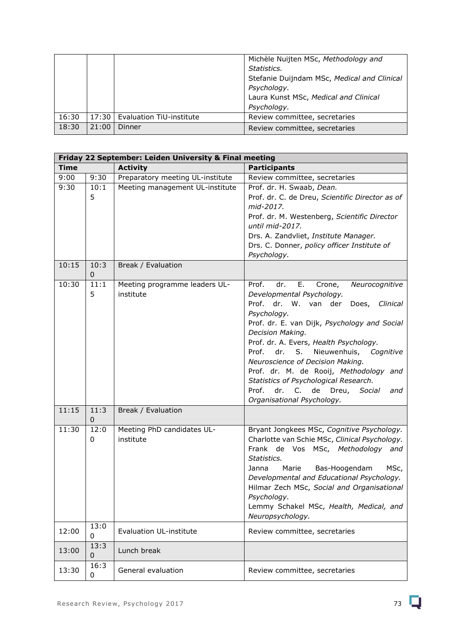|       |       |                                  | Michèle Nuijten MSc, Methodology and        |
|-------|-------|----------------------------------|---------------------------------------------|
|       |       |                                  | Statistics.                                 |
|       |       |                                  | Stefanie Duijndam MSc, Medical and Clinical |
|       |       |                                  | Psychology.                                 |
|       |       |                                  | Laura Kunst MSc, Medical and Clinical       |
|       |       |                                  | Psychology.                                 |
| 16:30 |       | 17:30   Evaluation TiU-institute | Review committee, secretaries               |
| 18:30 | 21:00 | Dinner                           | Review committee, secretaries               |

|             |                      | Friday 22 September: Leiden University & Final meeting |                                                                                                                                                                                                                                                                                                                                                                                                                                                                                                            |
|-------------|----------------------|--------------------------------------------------------|------------------------------------------------------------------------------------------------------------------------------------------------------------------------------------------------------------------------------------------------------------------------------------------------------------------------------------------------------------------------------------------------------------------------------------------------------------------------------------------------------------|
| <b>Time</b> |                      | <b>Activity</b>                                        | <b>Participants</b>                                                                                                                                                                                                                                                                                                                                                                                                                                                                                        |
| 9:00        | 9:30                 | Preparatory meeting UL-institute                       | Review committee, secretaries                                                                                                                                                                                                                                                                                                                                                                                                                                                                              |
| 9:30        | 10:1<br>5            | Meeting management UL-institute                        | Prof. dr. H. Swaab, Dean.<br>Prof. dr. C. de Dreu, Scientific Director as of<br>mid-2017.<br>Prof. dr. M. Westenberg, Scientific Director<br>until mid-2017.<br>Drs. A. Zandvliet, Institute Manager.<br>Drs. C. Donner, policy officer Institute of<br>Psychology.                                                                                                                                                                                                                                        |
| 10:15       | 10:3<br>$\mathbf{0}$ | Break / Evaluation                                     |                                                                                                                                                                                                                                                                                                                                                                                                                                                                                                            |
| 10:30       | 11:1<br>5            | Meeting programme leaders UL-<br>institute             | Prof.<br>Ε.<br>dr.<br>Neurocognitive<br>Crone,<br>Developmental Psychology.<br>Prof.<br>dr. W. van der<br>Does,<br>Clinical<br>Psychology.<br>Prof. dr. E. van Dijk, Psychology and Social<br>Decision Making.<br>Prof. dr. A. Evers, Health Psychology.<br>Nieuwenhuis, Cognitive<br>Prof.<br>dr.<br>S.<br>Neuroscience of Decision Making.<br>Prof. dr. M. de Rooij, Methodology and<br>Statistics of Psychological Research.<br>Prof.<br>dr. C. de Dreu,<br>Social<br>and<br>Organisational Psychology. |
| 11:15       | 11:3<br>0            | Break / Evaluation                                     |                                                                                                                                                                                                                                                                                                                                                                                                                                                                                                            |
| 11:30       | 12:0<br>0            | Meeting PhD candidates UL-<br>institute                | Bryant Jongkees MSc, Cognitive Psychology.<br>Charlotte van Schie MSc, Clinical Psychology.<br>Frank de Vos MSc, Methodology and<br>Statistics.<br>Marie<br>Bas-Hoogendam<br>MSc,<br>Janna<br>Developmental and Educational Psychology.<br>Hilmar Zech MSc, Social and Organisational<br>Psychology.<br>Lemmy Schakel MSc, Health, Medical, and<br>Neuropsychology.                                                                                                                                        |
| 12:00       | 13:0<br>0            | <b>Evaluation UL-institute</b>                         | Review committee, secretaries                                                                                                                                                                                                                                                                                                                                                                                                                                                                              |
| 13:00       | 13:3<br>$\mathbf{0}$ | Lunch break                                            |                                                                                                                                                                                                                                                                                                                                                                                                                                                                                                            |
| 13:30       | 16:3<br>0            | General evaluation                                     | Review committee, secretaries                                                                                                                                                                                                                                                                                                                                                                                                                                                                              |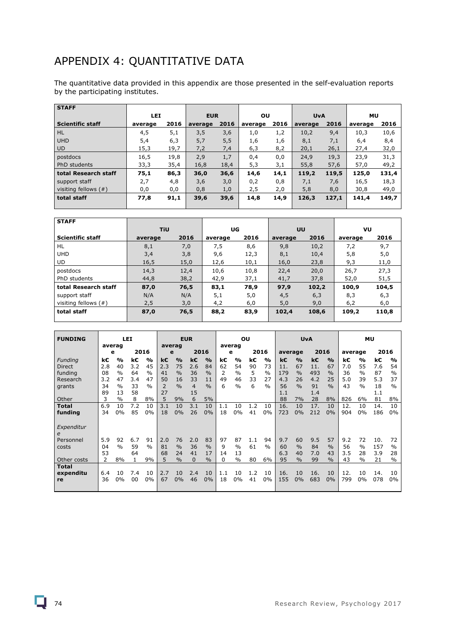## APPENDIX 4: QUANTITATIVE DATA

The quantitative data provided in this appendix are those presented in the self-evaluation reports by the participating institutes.

| <b>STAFF</b>               |              |      |            |      |           |      |            |       |           |       |  |
|----------------------------|--------------|------|------------|------|-----------|------|------------|-------|-----------|-------|--|
|                            | <b>LET</b>   |      | <b>EUR</b> |      | <b>OU</b> |      | <b>UvA</b> |       | <b>MU</b> |       |  |
| <b>Scientific staff</b>    | average      | 2016 | average    | 2016 | average   | 2016 | average    | 2016  | average   | 2016  |  |
| HL.                        | 4,5          | 5,1  | 3,5        | 3,6  | 1,0       | 1,2  | 10,2       | 9,4   | 10,3      | 10,6  |  |
| <b>UHD</b>                 | 5,4          | 6,3  | 5,7        | 5,5  | 1,6       | 1,6  | 8,1        | 7,1   | 6,4       | 8,4   |  |
| <b>UD</b>                  | 15,3         | 19,7 | 7,2        | 7,4  | 6,3       | 8,2  | 20,1       | 26,1  | 27,4      | 32,0  |  |
| postdocs                   | 16,5         | 19,8 | 2,9        | 1,7  | 0,4       | 0,0  | 24,9       | 19,3  | 23,9      | 31,3  |  |
| PhD students               | 33,3         | 35,4 | 16,8       | 18,4 | 5,3       | 3,1  | 55,8       | 57,6  | 57,0      | 49,2  |  |
| total Research staff       | 75,1         | 86,3 | 36,0       | 36,6 | 14,6      | 14,1 | 119,2      | 119,5 | 125,0     | 131,4 |  |
| support staff              | 2,7          | 4,8  | 3,6        | 3,0  | 0,2       | 0,8  | 7,1        | 7,6   | 16,5      | 18,3  |  |
| visiting fellows $($ # $)$ | 0,0          | 0,0  | 0,8        | 1,0  | 2,5       | 2,0  | 5,8        | 8,0   | 30,8      | 49,0  |  |
| total staff                | 77,8<br>91,1 |      | 39,6       | 39,6 | 14,8      | 14,9 | 126,3      | 127,1 | 141,4     | 149,7 |  |
|                            |              |      |            |      |           |      |            |       |           |       |  |

| <b>STAFF</b>               |            |      |         |      |           |       |         |       |
|----------------------------|------------|------|---------|------|-----------|-------|---------|-------|
|                            | <b>TiU</b> |      | UG      |      | <b>UU</b> |       | VU      |       |
| <b>Scientific staff</b>    | average    | 2016 | average | 2016 | average   | 2016  | average | 2016  |
| <b>HL</b>                  | 8,1        | 7,0  | 7,5     | 8,6  | 9,8       | 10,2  | 7,2     | 9,7   |
| <b>UHD</b>                 | 3,4        | 3,8  | 9,6     | 12,3 | 8,1       | 10,4  | 5,8     | 5,0   |
| UD                         | 16,5       | 15,0 | 12,6    | 10,1 | 16,0      | 23,8  | 9,3     | 11,0  |
| postdocs                   | 14,3       | 12,4 | 10,6    | 10,8 | 22,4      | 20,0  | 26,7    | 27,3  |
| PhD students               | 44,8       | 38,2 | 42,9    | 37,1 | 41,7      | 37,8  | 52,0    | 51,5  |
| total Research staff       | 87,0       | 76,5 | 83,1    | 78,9 | 97,9      | 102,2 | 100,9   | 104,5 |
| support staff              | N/A        | N/A  | 5,1     | 5,0  | 4,5       | 6,3   | 8,3     | 6,3   |
| visiting fellows $($ # $)$ | 2,5        | 3,0  | 4,2     | 6,0  | 5,0       | 9,0   | 6,2     | 6,0   |
| total staff                | 87,0       | 76,5 | 88,2    | 83,9 | 102,4     | 108,6 | 109,2   | 110,8 |
|                            |            |      |         |      |           |       |         |       |

| <b>FUNDING</b>                                            | <b>LEI</b><br>averag               |                                                                   |                                    |                                                 | <b>EUR</b><br>averag                          |                                                             |                                  |                                                 | ΟU<br>averag                          |                                                             |                          |                                                             | <b>UvA</b>                           |                                                             |                                      |                                                             | MU                           |                                                             |                                     |                                                             |
|-----------------------------------------------------------|------------------------------------|-------------------------------------------------------------------|------------------------------------|-------------------------------------------------|-----------------------------------------------|-------------------------------------------------------------|----------------------------------|-------------------------------------------------|---------------------------------------|-------------------------------------------------------------|--------------------------|-------------------------------------------------------------|--------------------------------------|-------------------------------------------------------------|--------------------------------------|-------------------------------------------------------------|------------------------------|-------------------------------------------------------------|-------------------------------------|-------------------------------------------------------------|
|                                                           |                                    | е                                                                 |                                    | 2016                                            |                                               | e                                                           |                                  | 2016                                            |                                       | е                                                           |                          | 2016                                                        | average                              |                                                             | 2016                                 |                                                             | average                      |                                                             | 2016                                |                                                             |
| Funding<br><b>Direct</b><br>funding<br>Research<br>grants | k€<br>2.8<br>08<br>3.2<br>34<br>89 | $\frac{0}{0}$<br>40<br>$\frac{0}{0}$<br>47<br>$\frac{0}{0}$<br>13 | k€<br>3.2<br>64<br>3.4<br>33<br>58 | %<br>45<br>$\frac{0}{0}$<br>47<br>$\frac{0}{0}$ | k€<br>2.3<br>41<br>50<br>$\overline{2}$<br>27 | $\frac{9}{0}$<br>75<br>$\frac{0}{0}$<br>16<br>$\frac{0}{0}$ | k€<br>2.6<br>36<br>33<br>4<br>15 | %<br>84<br>$\frac{0}{0}$<br>11<br>$\frac{0}{0}$ | k€<br>62<br>$\overline{2}$<br>49<br>6 | $\frac{0}{0}$<br>54<br>$\frac{0}{0}$<br>46<br>$\frac{0}{0}$ | k€<br>90<br>5<br>33<br>6 | $\frac{0}{0}$<br>73<br>$\frac{0}{0}$<br>27<br>$\frac{0}{0}$ | k€<br>11.<br>179<br>4.3<br>56<br>1.1 | $\frac{0}{0}$<br>67<br>$\frac{0}{0}$<br>26<br>$\frac{0}{0}$ | k€<br>11.<br>493<br>4.2<br>91<br>1.4 | $\frac{9}{0}$<br>67<br>$\frac{0}{0}$<br>25<br>$\frac{0}{0}$ | k€<br>7.0<br>36<br>5.0<br>43 | $\frac{0}{0}$<br>55<br>$\frac{0}{0}$<br>39<br>$\frac{0}{0}$ | k€<br>7.6<br>87<br>5.3<br>18<br>1.1 | $\frac{0}{0}$<br>54<br>$\frac{0}{0}$<br>37<br>$\frac{0}{0}$ |
| Other                                                     | 3                                  | $\frac{0}{0}$                                                     | 8                                  | 8%                                              | 5                                             | 9%                                                          | 6                                | 5%                                              |                                       |                                                             |                          |                                                             | 88                                   | 7%                                                          | 28                                   | 8%                                                          | 826                          | 6%                                                          | 81                                  | 8%                                                          |
| <b>Total</b><br>funding                                   | 6.9<br>34                          | 10<br>0%                                                          | 7.2<br>85                          | 10<br>0%                                        | 3.1<br>18                                     | 10<br>0%                                                    | 3.1<br>26                        | 10<br>0%                                        | 1.1<br>18                             | 10<br>0%                                                    | 1.2<br>41                | 10<br>0%                                                    | 16.<br>723                           | 10<br>0%                                                    | 17.<br>212                           | 10<br>0%                                                    | 12.<br>904                   | 10<br>0%                                                    | 14.<br>186                          | 10<br>$0\%$                                                 |
| Expenditur<br>e                                           |                                    |                                                                   |                                    |                                                 |                                               |                                                             |                                  |                                                 |                                       |                                                             |                          |                                                             |                                      |                                                             |                                      |                                                             |                              |                                                             |                                     |                                                             |
| Personnel<br>costs                                        | 5.9<br>04<br>53                    | 92<br>$\frac{0}{0}$                                               | 6.7<br>59<br>64                    | 91<br>0/2                                       | 2.0<br>81<br>68                               | 76<br>$\frac{0}{0}$<br>24                                   | 2.0<br>36<br>41                  | 83<br>$\frac{0}{0}$<br>17                       | 97<br>9<br>14                         | 87<br>$\frac{0}{0}$<br>13                                   | 1.1<br>61                | 94<br>$\frac{0}{0}$                                         | 9.7<br>60<br>6.3                     | 60<br>$\frac{0}{0}$<br>40                                   | 9.5<br>84<br>7.0                     | 57<br>$\frac{0}{0}$<br>43                                   | 9.2<br>56<br>3.5             | 72<br>$\frac{0}{0}$<br>28                                   | 10.<br>157<br>3.9                   | 72<br>$\frac{0}{0}$<br>28                                   |
| Other costs                                               | $\overline{2}$                     | 8%                                                                |                                    | 9%                                              | 5                                             | $\frac{0}{0}$                                               | 0                                | $\frac{0}{0}$                                   | $\Omega$                              | $\frac{0}{0}$                                               | 80                       | 6%                                                          | 95                                   | $\frac{0}{0}$                                               | 99                                   | $\frac{0}{0}$                                               | 43                           | $\frac{0}{0}$                                               | 21                                  | $\frac{0}{0}$                                               |
| <b>Total</b><br>expenditu<br>re                           | 6.4<br>36                          | 10<br>0%                                                          | 7.4<br>00                          | 10<br>$0\%$                                     | 2.7<br>67                                     | 10<br>0%                                                    | 2.4<br>46                        | 10<br>0%                                        | 1.1<br>18                             | 10<br>0%                                                    | 1.2<br>41                | 10<br>0%                                                    | 16.<br>155                           | 10<br>0%                                                    | 16.<br>683                           | 10<br>0%                                                    | 12.<br>799                   | 10<br>0%                                                    | 14.<br>078                          | 10<br>$0\%$                                                 |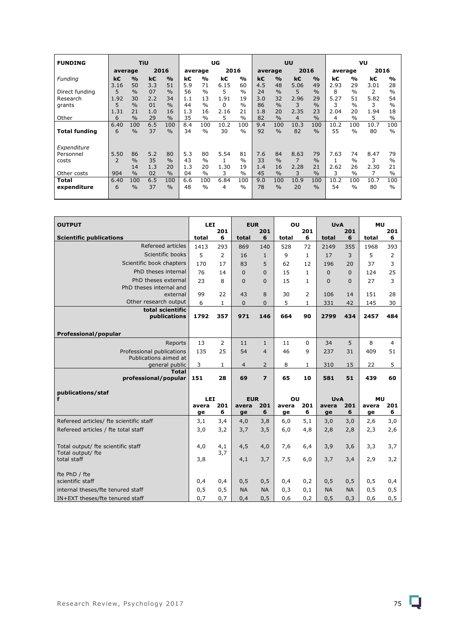| <b>FUNDING</b>       | TiU            |                    |                |               |     | UG                      |      |               |     | UU            |      | VU            |         |               |      |               |
|----------------------|----------------|--------------------|----------------|---------------|-----|-------------------------|------|---------------|-----|---------------|------|---------------|---------|---------------|------|---------------|
|                      | average        |                    |                | 2016          |     | average                 | 2016 |               |     | average       | 2016 |               | average |               | 2016 |               |
| Funding              | k€             | $\frac{0}{\alpha}$ | k€             | $\frac{0}{0}$ | k€  | $\mathbf{O}/\mathbf{O}$ | k€   | $\frac{0}{0}$ | k€  | $\frac{0}{0}$ | k€   | $\frac{0}{0}$ | k€      | $\frac{0}{0}$ | k€   | $\frac{0}{0}$ |
|                      | 3.16           | 50                 | 3.3            | 51            | 5.9 | 71                      | 6.15 | 60            | 4.5 | 48            | 5.06 | 49            | 2.93    | 29            | 3.01 | 28            |
| Direct funding       | 5              | $\frac{0}{0}$      | 07             | $\frac{0}{0}$ | 56  | $\frac{0}{0}$           | 5    | $\frac{0}{0}$ | 24  | $\frac{0}{0}$ | 5    | $\frac{0}{0}$ | 8       | $\frac{0}{0}$ | 2    | $\frac{0}{0}$ |
| Research             | 1.92           | 30                 | 2.2            | 34            | 1.1 | 13                      | 1.91 | 19            | 3.0 | 32            | 2.96 | 29            | 5.27    | 51            | 5.82 | 54            |
| grants               | 5              | $\frac{0}{0}$      | 01             | $\frac{0}{0}$ | 44  | $\frac{0}{0}$           | 0    | $\frac{0}{0}$ | 86  | $\frac{0}{0}$ | 3    | $\frac{0}{0}$ | 3       | $\frac{0}{0}$ | 3    | $\frac{0}{0}$ |
|                      | 1.31           | 21                 | 1.0            | 16            | 1.3 | 16                      | 2.16 | 21            | 1.8 | 20            | 2.35 | 23            | 2.04    | 20            | 1.94 | 18            |
| Other                | 6              | $\frac{0}{0}$      | 29             | $\frac{0}{0}$ | 35  | $\frac{0}{0}$           | 5    | $\frac{0}{0}$ | 82  | $\frac{0}{0}$ | 4    | $\frac{0}{0}$ | 4       | $\frac{0}{0}$ | 5    | $\frac{0}{0}$ |
|                      | 6.40           | 100                | 6.5            | 100           | 8.4 | 100                     | 10.2 | 100           | 9.4 | 100           | 10.3 | 100           | 10.2    | 100           | 10.7 | 100           |
| <b>Total funding</b> | 6              | $\frac{0}{0}$      | 37             | $\frac{0}{0}$ | 34  | $\frac{0}{0}$           | 30   | $\frac{0}{0}$ | 92  | $\frac{0}{0}$ | 82   | $\frac{0}{0}$ | 55      | $\frac{0}{0}$ | 80   | $\frac{0}{0}$ |
|                      |                |                    |                |               |     |                         |      |               |     |               |      |               |         |               |      |               |
| Expenditure          |                |                    |                |               |     |                         |      |               |     |               |      |               |         |               |      |               |
| Personnel            | 5.50           | 86                 | 5.2            | 80            | 5.3 | 80                      | 5.54 | 81            | 7.6 | 84            | 8.63 | 79            | 7.63    | 74            | 8.47 | 79            |
| costs                | $\overline{2}$ | $\frac{0}{0}$      | 35             | $\frac{0}{0}$ | 43  | $\frac{0}{0}$           |      | $\frac{0}{0}$ | 33  | $\frac{0}{0}$ | 7    | $\frac{0}{0}$ |         | $\frac{0}{0}$ | 3    | $\frac{0}{0}$ |
|                      |                | 14                 | 1.3            | 20            | 1.3 | 20                      | 1.30 | 19            | 1.4 | 16            | 2.28 | 21            | 2.62    | 26            | 2.30 | 21            |
| Other costs          | 904            | $\frac{0}{0}$      | 0 <sub>2</sub> | $\frac{0}{0}$ | 04  | $\frac{0}{0}$           | 3    | $\frac{0}{0}$ | 45  | $\frac{0}{0}$ | 3    | $\frac{0}{0}$ | 3       | $\frac{0}{0}$ | 7    | $\frac{0}{0}$ |
| <b>Total</b>         | 6.40           | 100                | 6.5            | 100           | 6.6 | 100                     | 6.84 | 100           | 9.0 | 100           | 10.9 | 100           | 10.2    | 100           | 10.7 | 100           |
| expenditure          | 6              | $\frac{0}{0}$      | 37             | $\frac{0}{0}$ | 48  | $\frac{0}{0}$           | 4    | $\frac{0}{0}$ | 78  | $\frac{0}{0}$ | 20   | $\frac{0}{0}$ | 54      | $\frac{0}{0}$ | 80   | $\frac{0}{0}$ |
|                      |                |                    |                |               |     |                         |      |               |     |               |      |               |         |               |      |               |

| <b>OUTPUT</b>                           | <b>LEI</b>          |                | <b>EUR</b>          |                         | OU          |                | <b>UvA</b>          |           | <b>MU</b>          |                |
|-----------------------------------------|---------------------|----------------|---------------------|-------------------------|-------------|----------------|---------------------|-----------|--------------------|----------------|
| <b>Scientific publications</b>          | total               | 201<br>6       | total               | 201<br>6                | total       | 201<br>6       | total               | 201<br>6  | total              | 201<br>6       |
| Refereed articles                       | 1413                | 293            | 869                 | 140                     | 528         | 72             | 2149                | 355       | 1968               | 393            |
| Scientific books                        | 5                   | 2              | 16                  | $\mathbf{1}$            | 9           | 1              | 17                  | 3         | 5                  | 2              |
| Scientific book chapters                | 170                 | 17             | 83                  | 5                       | 62          | 12             | 196                 | 20        | 37                 | 3              |
| PhD theses internal                     | 76                  | 14             | $\Omega$            | $\Omega$                | 15          | 1              | $\Omega$            | $\Omega$  | 124                | 25             |
| PhD theses external                     | 23                  | 8              | $\Omega$            | $\Omega$                | 15          | $\mathbf{1}$   | $\Omega$            | $\Omega$  | 27                 | 3              |
| PhD theses internal and                 |                     |                |                     |                         |             |                |                     |           |                    |                |
| external                                | 99                  | 22             | 43                  | 8                       | 30          | $\overline{2}$ | 106                 | 14        | 151                | 28             |
| Other research output                   | 6                   | 1              | $\mathbf{0}$        | $\Omega$                | 5           | $\mathbf{1}$   | 331                 | 42        | 145                | 30             |
| total scientific<br>publications        | 1792                | 357            | 971                 | 146                     | 664         | 90             | 2799                | 434       | 2457               | 484            |
|                                         |                     |                |                     |                         |             |                |                     |           |                    |                |
| Professional/popular                    |                     |                |                     |                         |             |                |                     |           |                    |                |
| Reports                                 | 13                  | $\overline{2}$ | 11                  | $\mathbf{1}$            | 11          | 0              | 34                  | 5         | 8                  | $\overline{4}$ |
| Professional publications               | 135                 | 25             | 54                  | $\overline{4}$          | 46          | 9              | 237                 | 31        | 409                | 51             |
| Publications aimed at                   |                     |                |                     |                         |             |                |                     |           |                    |                |
| general public<br><b>Total</b>          | 3                   | $\mathbf{1}$   | $\overline{4}$      | 2                       | 8           | 1              | 310                 | 15        | 22                 | 5              |
| professional/popular                    | 151                 | 28             | 69                  | $\overline{\mathbf{z}}$ | 65          | 10             | 581                 | 51        | 439                | 60             |
|                                         |                     |                |                     |                         |             |                |                     |           |                    |                |
| publications/staf                       |                     |                |                     |                         |             |                |                     |           |                    |                |
| f                                       | <b>LEI</b><br>avera | 201            | <b>EUR</b><br>avera | 201                     | OU<br>avera | 201            | <b>UvA</b><br>avera | 201       | <b>MU</b><br>avera | 201            |
|                                         | ge                  | 6              | ge                  | 6                       | ge          | 6              | ge                  | 6         | ge                 | 6              |
| Refereed articles/ fte scientific staff | 3,1                 | 3,4            | 4,0                 | 3,8                     | 6,0         | 5,1            | 3,0                 | 3,0       | 2,6                | 3,0            |
| Refereed articles / fte total staff     | 3,0                 | 3,2            | 3,7                 | 3,5                     | 6,0         | 4,8            | 2,8                 | 2,8       | 2,3                | 2,6            |
|                                         |                     |                |                     |                         |             |                |                     |           |                    |                |
| Total output/ fte scientific staff      | 4,0                 | 4,1            | 4,5                 | 4,0                     | 7,6         | 6,4            | 3,9                 | 3,6       | 3,3                | 3,7            |
| Total output/ fte                       |                     | 3,7            |                     |                         |             |                |                     |           |                    |                |
| total staff                             | 3,8                 |                | 4,1                 | 3,7                     | 7,5         | 6,0            | 3,7                 | 3,4       | 2,9                | 3,2            |
| fte PhD / fte                           |                     |                |                     |                         |             |                |                     |           |                    |                |
| scientific staff                        | 0,4                 | 0,4            | 0, 5                | 0,5                     | 0,4         | 0,2            | 0,5                 | 0, 5      | 0,5                | 0,4            |
| internal theses/fte tenured staff       | 0,5                 | 0,5            | <b>NA</b>           | <b>NA</b>               | 0,3         | 0,1            | <b>NA</b>           | <b>NA</b> | 0,5                | 0,5            |
| IN+EXT theses/fte tenured staff         | 0.7                 | 0.7            | 0,4                 | 0,5                     | 0,6         | 0,2            | 0,5                 | 0,3       | 0,6                | 0, 5           |